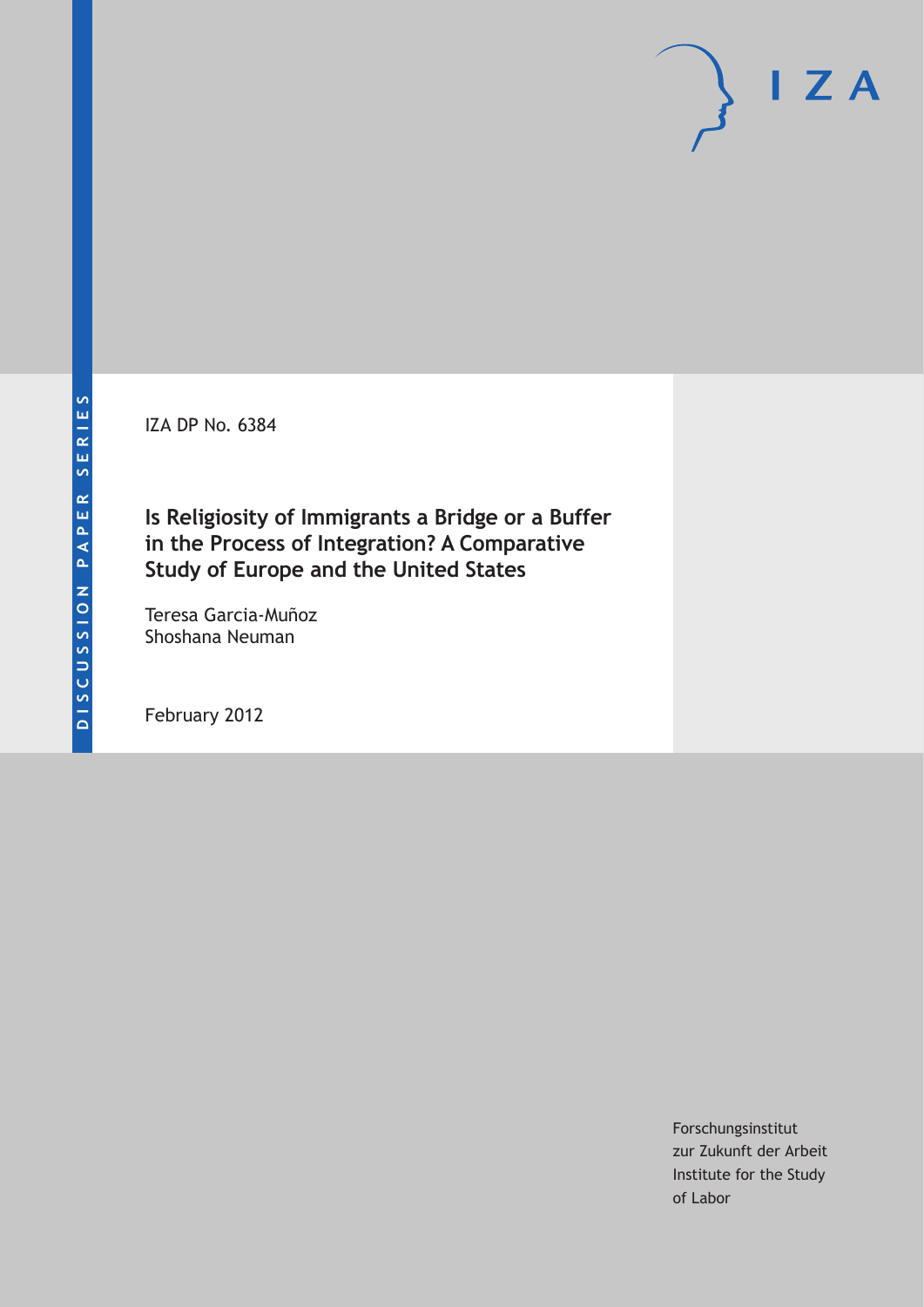IZA DP No. 6384

**Is Religiosity of Immigrants a Bridge or a Buffer in the Process of Integration? A Comparative Study of Europe and the United States**

Teresa Garcia-Muñoz Shoshana Neuman

February 2012

Forschungsinstitut zur Zukunft der Arbeit Institute for the Study of Labor

 $I Z A$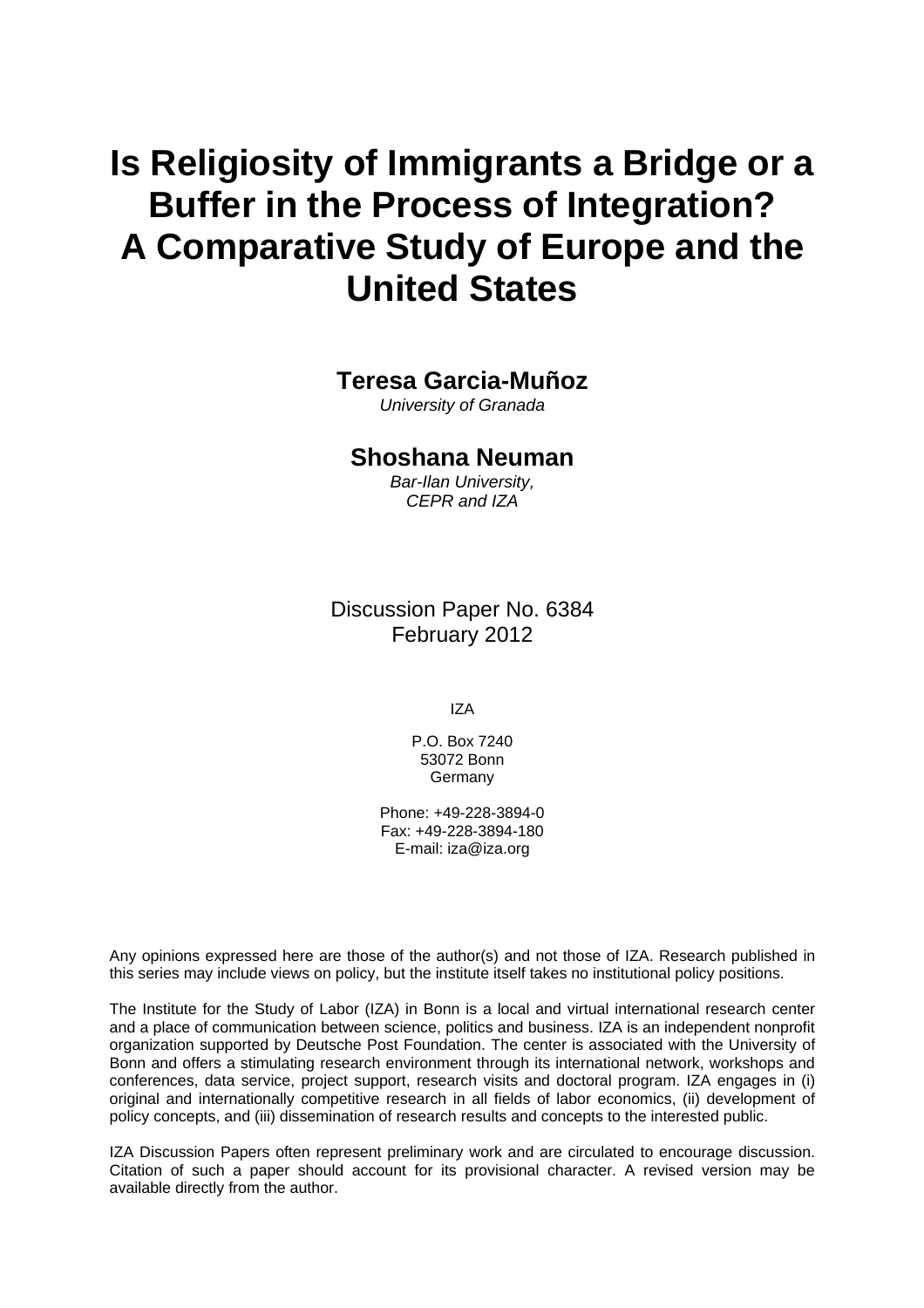# **Is Religiosity of Immigrants a Bridge or a Buffer in the Process of Integration? A Comparative Study of Europe and the United States**

### **Teresa Garcia-Muñoz**

*University of Granada* 

### **Shoshana Neuman**

*Bar-Ilan University, CEPR and IZA* 

Discussion Paper No. 6384 February 2012

IZA

P.O. Box 7240 53072 Bonn Germany

Phone: +49-228-3894-0 Fax: +49-228-3894-180 E-mail: [iza@iza.org](mailto:iza@iza.org)

Any opinions expressed here are those of the author(s) and not those of IZA. Research published in this series may include views on policy, but the institute itself takes no institutional policy positions.

The Institute for the Study of Labor (IZA) in Bonn is a local and virtual international research center and a place of communication between science, politics and business. IZA is an independent nonprofit organization supported by Deutsche Post Foundation. The center is associated with the University of Bonn and offers a stimulating research environment through its international network, workshops and conferences, data service, project support, research visits and doctoral program. IZA engages in (i) original and internationally competitive research in all fields of labor economics, (ii) development of policy concepts, and (iii) dissemination of research results and concepts to the interested public.

IZA Discussion Papers often represent preliminary work and are circulated to encourage discussion. Citation of such a paper should account for its provisional character. A revised version may be available directly from the author.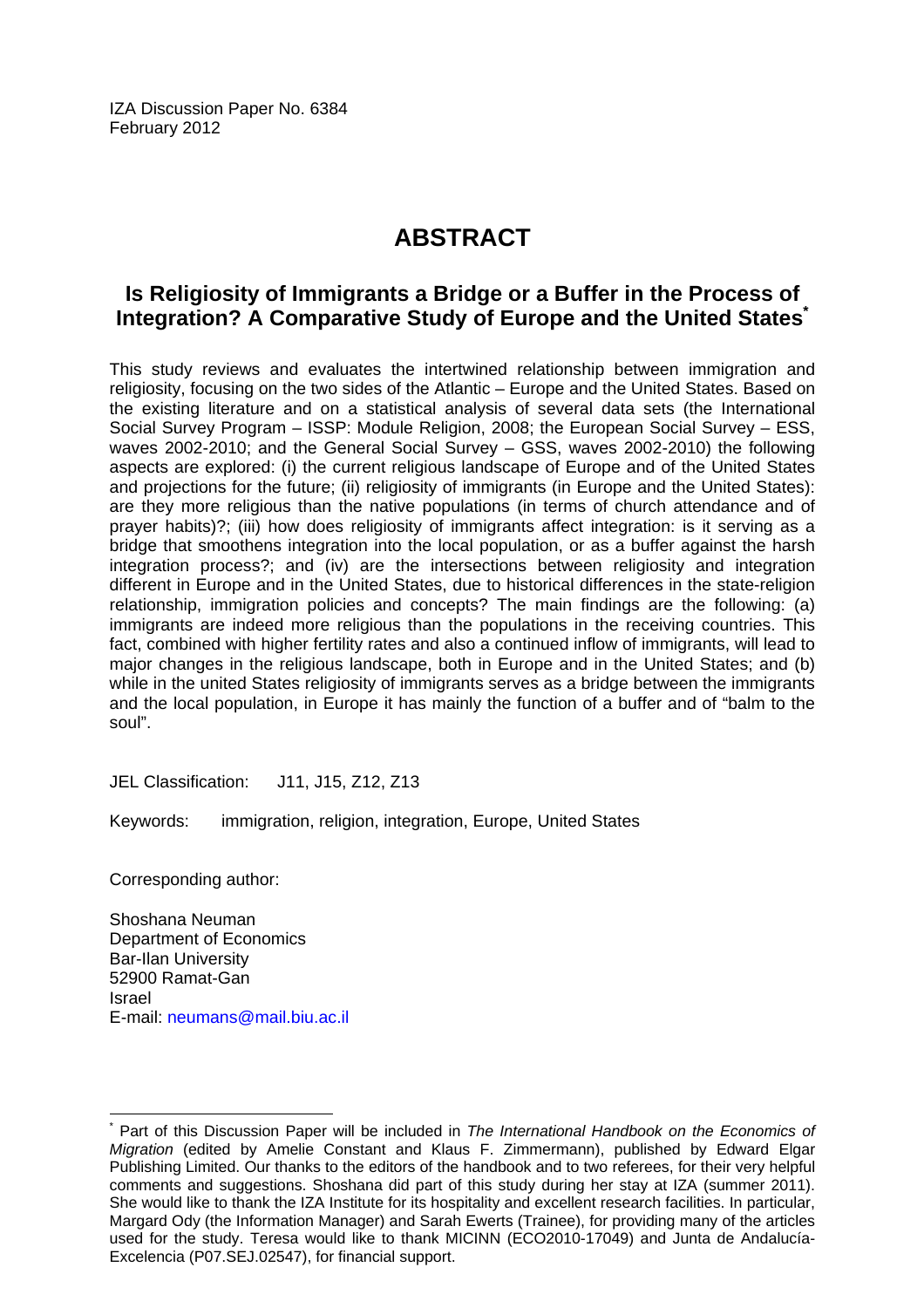IZA Discussion Paper No. 6384 February 2012

## **ABSTRACT**

### **Is Religiosity of Immigrants a Bridge or a Buffer in the Process of Integration? A Comparative Study of Europe and the United State[s\\*](#page-2-0)**

This study reviews and evaluates the intertwined relationship between immigration and religiosity, focusing on the two sides of the Atlantic – Europe and the United States. Based on the existing literature and on a statistical analysis of several data sets (the International Social Survey Program – ISSP: Module Religion, 2008; the European Social Survey – ESS, waves 2002-2010; and the General Social Survey – GSS, waves 2002-2010) the following aspects are explored: (i) the current religious landscape of Europe and of the United States and projections for the future; (ii) religiosity of immigrants (in Europe and the United States): are they more religious than the native populations (in terms of church attendance and of prayer habits)?; (iii) how does religiosity of immigrants affect integration: is it serving as a bridge that smoothens integration into the local population, or as a buffer against the harsh integration process?; and (iv) are the intersections between religiosity and integration different in Europe and in the United States, due to historical differences in the state-religion relationship, immigration policies and concepts? The main findings are the following: (a) immigrants are indeed more religious than the populations in the receiving countries. This fact, combined with higher fertility rates and also a continued inflow of immigrants, will lead to major changes in the religious landscape, both in Europe and in the United States; and (b) while in the united States religiosity of immigrants serves as a bridge between the immigrants and the local population, in Europe it has mainly the function of a buffer and of "balm to the soul".

JEL Classification: J11, J15, Z12, Z13

Keywords: immigration, religion, integration, Europe, United States

Corresponding author:

 $\overline{a}$ 

Shoshana Neuman Department of Economics Bar-Ilan University 52900 Ramat-Gan Israel E-mail: [neumans@mail.biu.ac.il](mailto:neumans@mail.biu.ac.il) 

<span id="page-2-0"></span><sup>\*</sup> Part of this Discussion Paper will be included in *The International Handbook on the Economics of Migration* (edited by Amelie Constant and Klaus F. Zimmermann), published by Edward Elgar Publishing Limited. Our thanks to the editors of the handbook and to two referees, for their very helpful comments and suggestions. Shoshana did part of this study during her stay at IZA (summer 2011). She would like to thank the IZA Institute for its hospitality and excellent research facilities. In particular, Margard Ody (the Information Manager) and Sarah Ewerts (Trainee), for providing many of the articles used for the study. Teresa would like to thank MICINN (ECO2010-17049) and Junta de Andalucía-Excelencia (P07.SEJ.02547), for financial support.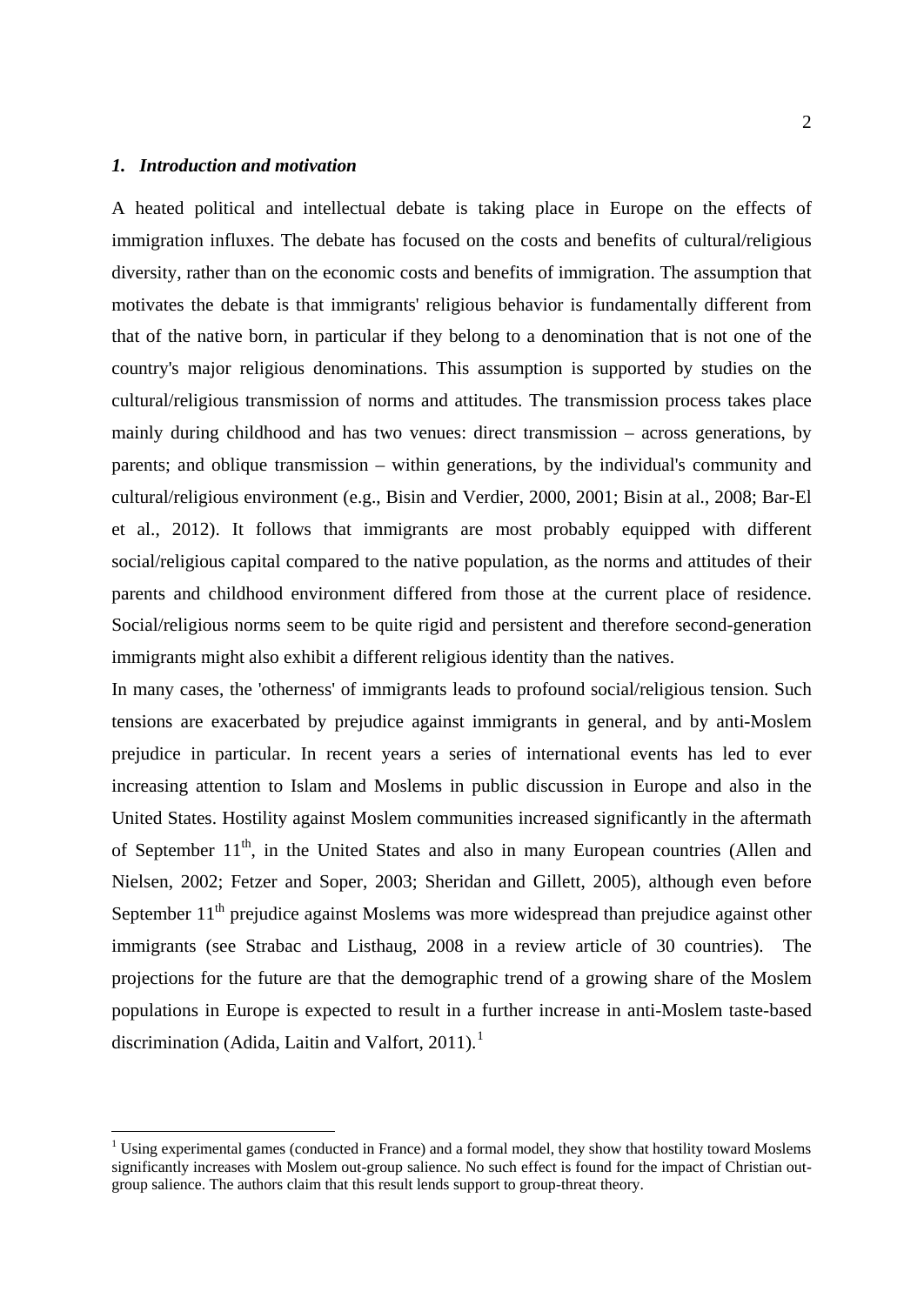#### <span id="page-3-0"></span>*1. Introduction and motivation*

A heated political and intellectual debate is taking place in Europe on the effects of immigration influxes. The debate has focused on the costs and benefits of cultural/religious diversity, rather than on the economic costs and benefits of immigration. The assumption that motivates the debate is that immigrants' religious behavior is fundamentally different from that of the native born, in particular if they belong to a denomination that is not one of the country's major religious denominations. This assumption is supported by studies on the cultural/religious transmission of norms and attitudes. The transmission process takes place mainly during childhood and has two venues: direct transmission – across generations, by parents; and oblique transmission – within generations, by the individual's community and cultural/religious environment (e.g., Bisin and Verdier, 2000, 2001; Bisin at al., 2008; Bar-El et al., 2012). It follows that immigrants are most probably equipped with different social/religious capital compared to the native population, as the norms and attitudes of their parents and childhood environment differed from those at the current place of residence. Social/religious norms seem to be quite rigid and persistent and therefore second-generation immigrants might also exhibit a different religious identity than the natives.

In many cases, the 'otherness' of immigrants leads to profound social/religious tension. Such tensions are exacerbated by prejudice against immigrants in general, and by anti-Moslem prejudice in particular. In recent years a series of international events has led to ever increasing attention to Islam and Moslems in public discussion in Europe and also in the United States. Hostility against Moslem communities increased significantly in the aftermath of September 11<sup>th</sup>, in the United States and also in many European countries (Allen and Nielsen, 2002; Fetzer and Soper, 2003; Sheridan and Gillett, 2005), although even before September  $11<sup>th</sup>$  prejudice against Moslems was more widespread than prejudice against other immigrants (see Strabac and Listhaug, 2008 in a review article of 30 countries). The projections for the future are that the demographic trend of a growing share of the Moslem populations in Europe is expected to result in a further increase in anti-Moslem taste-based discrimination (Adida, Laitin and Valfort, 20[1](#page-3-0)1).<sup>1</sup>

<sup>&</sup>lt;sup>1</sup> Using experimental games (conducted in France) and a formal model, they show that hostility toward Moslems significantly increases with Moslem out-group salience. No such effect is found for the impact of Christian outgroup salience. The authors claim that this result lends support to group-threat theory.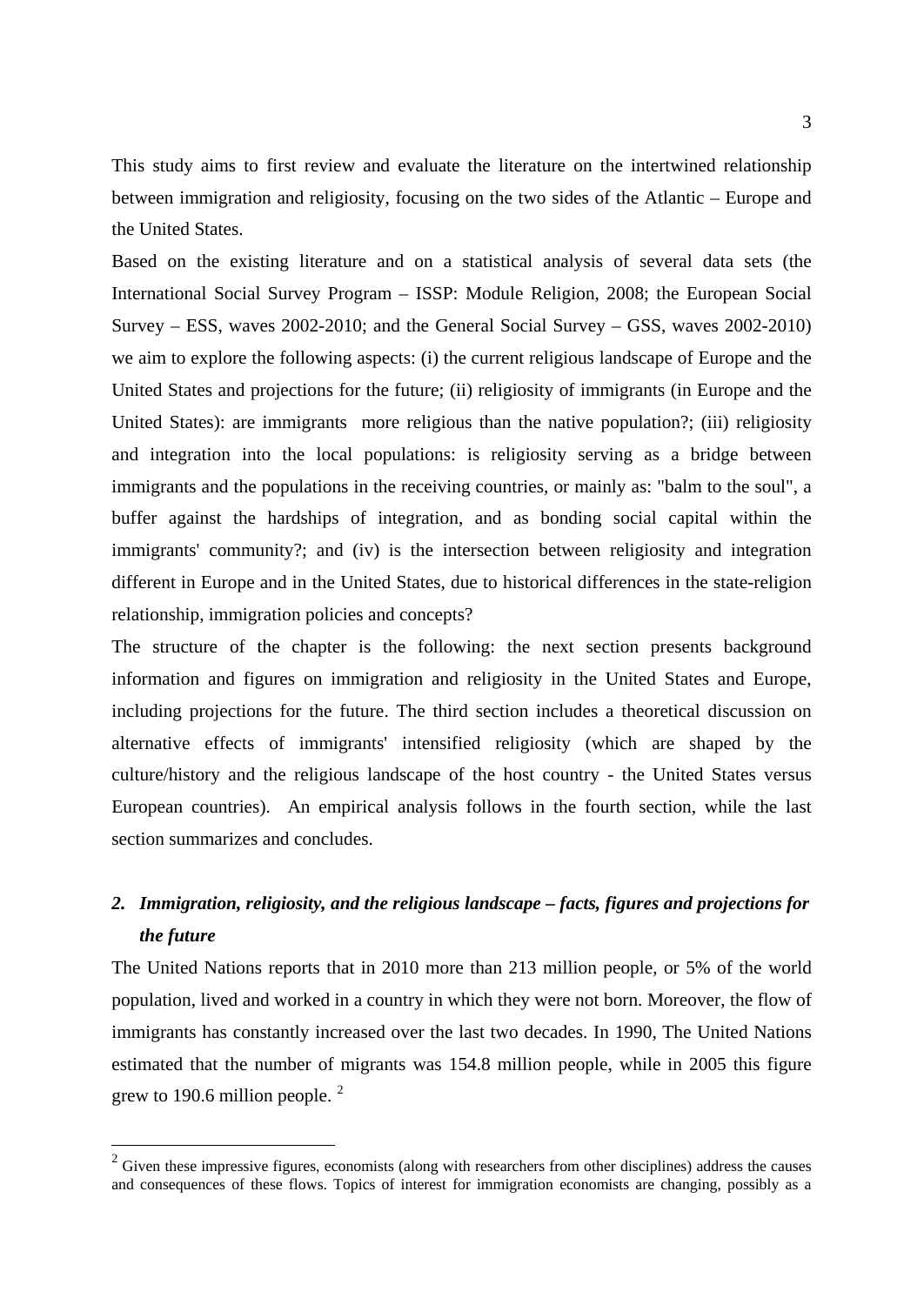This study aims to first review and evaluate the literature on the intertwined relationship between immigration and religiosity, focusing on the two sides of the Atlantic – Europe and the United States.

Based on the existing literature and on a statistical analysis of several data sets (the International Social Survey Program – ISSP: Module Religion, 2008; the European Social Survey – ESS, waves 2002-2010; and the General Social Survey – GSS, waves 2002-2010) we aim to explore the following aspects: (i) the current religious landscape of Europe and the United States and projections for the future; (ii) religiosity of immigrants (in Europe and the United States): are immigrants more religious than the native population?; (iii) religiosity and integration into the local populations: is religiosity serving as a bridge between immigrants and the populations in the receiving countries, or mainly as: "balm to the soul", a buffer against the hardships of integration, and as bonding social capital within the immigrants' community?; and (iv) is the intersection between religiosity and integration different in Europe and in the United States, due to historical differences in the state-religion relationship, immigration policies and concepts?

The structure of the chapter is the following: the next section presents background information and figures on immigration and religiosity in the United States and Europe, including projections for the future. The third section includes a theoretical discussion on alternative effects of immigrants' intensified religiosity (which are shaped by the culture/history and the religious landscape of the host country - the United States versus European countries). An empirical analysis follows in the fourth section, while the last section summarizes and concludes.

### *2. Immigration, religiosity, and the religious landscape – facts, figures and projections for the future*

The United Nations reports that in 2010 more than 213 million people, or 5% of the world population, lived and worked in a country in which they were not born. Moreover, the flow of immigrants has constantly increased over the last two decades. In 1990, The United Nations estimated that the number of migrants was 154.8 million people, while in 2005 this figure grew to 190.6 million people. $<sup>2</sup>$  $<sup>2</sup>$  $<sup>2</sup>$ </sup>

<span id="page-4-0"></span> $2$  Given these impressive figures, economists (along with researchers from other disciplines) address the causes and consequences of these flows. Topics of interest for immigration economists are changing, possibly as a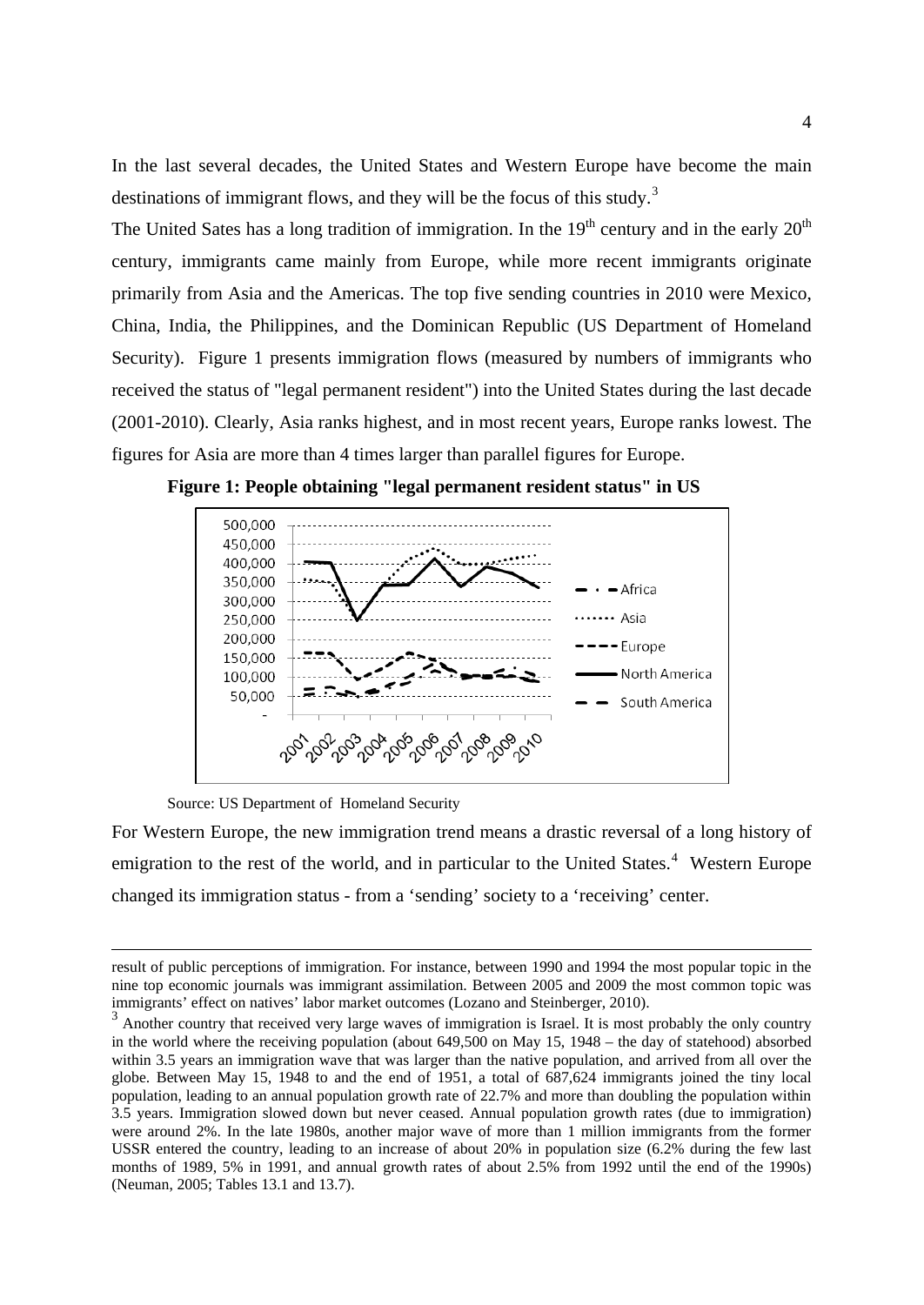In the last several decades, the United States and Western Europe have become the main destinations of immigrant flows, and they will be the focus of this study.<sup>[3](#page-5-0)</sup>

The United Sates has a long tradition of immigration. In the  $19<sup>th</sup>$  century and in the early  $20<sup>th</sup>$ century, immigrants came mainly from Europe, while more recent immigrants originate primarily from Asia and the Americas. The top five sending countries in 2010 were Mexico, China, India, the Philippines, and the Dominican Republic (US Department of Homeland Security). Figure 1 presents immigration flows (measured by numbers of immigrants who received the status of "legal permanent resident") into the United States during the last decade (2001-2010). Clearly, Asia ranks highest, and in most recent years, Europe ranks lowest. The figures for Asia are more than 4 times larger than parallel figures for Europe.



**Figure 1: People obtaining "legal permanent resident status" in US**

Source: US Department of Homeland Security

For Western Europe, the new immigration trend means a drastic reversal of a long history of emigration to the rest of the world, and in particular to the United States.<sup>[4](#page-5-1)</sup> Western Europe changed its immigration status - from a 'sending' society to a 'receiving' center.

result of public perceptions of immigration. For instance, between 1990 and 1994 the most popular topic in the nine top economic journals was immigrant assimilation. Between 2005 and 2009 the most common topic was immigrants' effect on natives' labor market outcomes (Lozano and Steinberger, 2010).

<span id="page-5-1"></span><span id="page-5-0"></span><sup>&</sup>lt;sup>3</sup> Another country that received very large waves of immigration is Israel. It is most probably the only country in the world where the receiving population (about 649,500 on May 15, 1948 – the day of statehood) absorbed within 3.5 years an immigration wave that was larger than the native population, and arrived from all over the globe. Between May 15, 1948 to and the end of 1951, a total of 687,624 immigrants joined the tiny local population, leading to an annual population growth rate of 22.7% and more than doubling the population within 3.5 years. Immigration slowed down but never ceased. Annual population growth rates (due to immigration) were around 2%. In the late 1980s, another major wave of more than 1 million immigrants from the former USSR entered the country, leading to an increase of about 20% in population size (6.2% during the few last months of 1989, 5% in 1991, and annual growth rates of about 2.5% from 1992 until the end of the 1990s) (Neuman, 2005; Tables 13.1 and 13.7).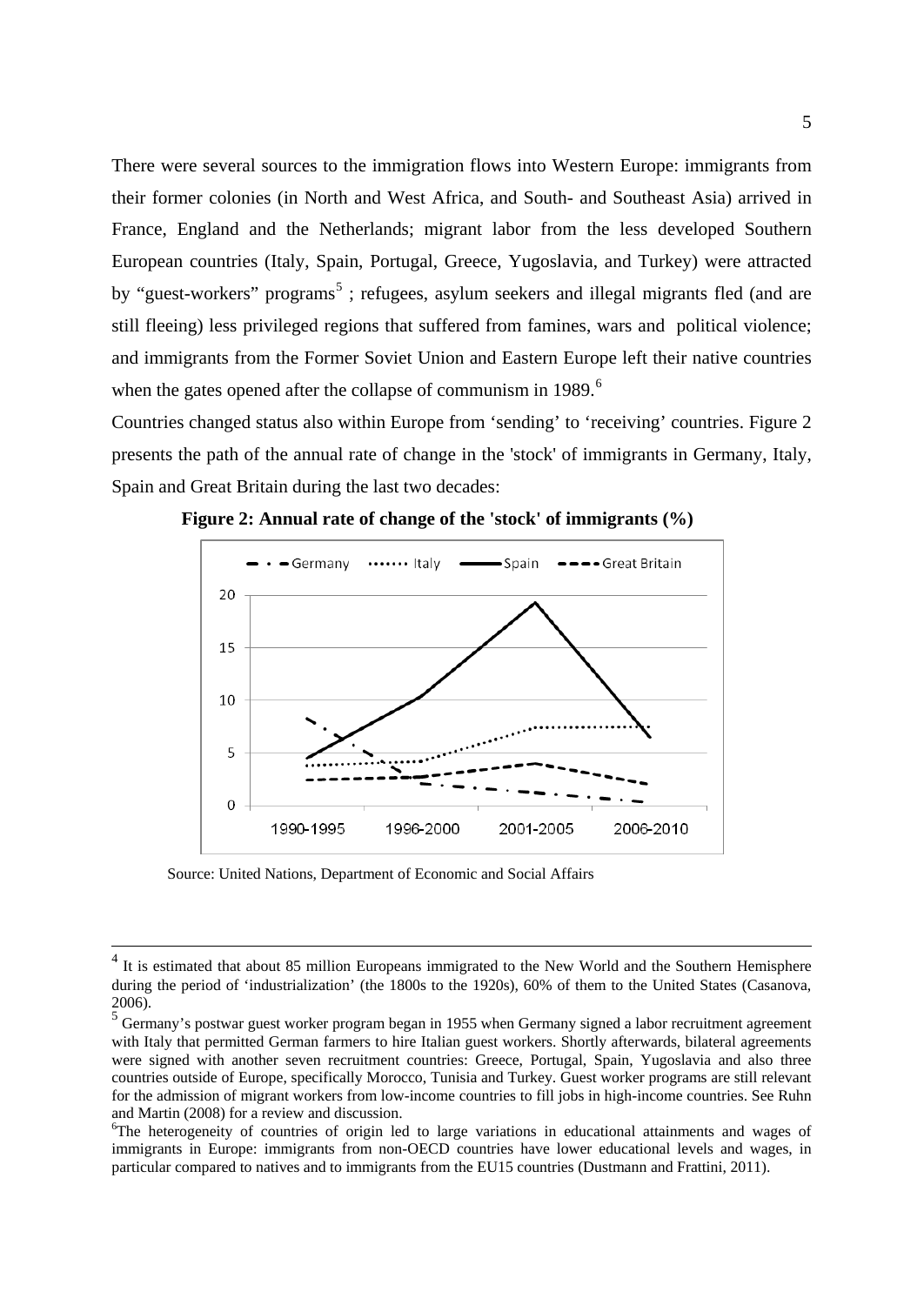There were several sources to the immigration flows into Western Europe: immigrants from their former colonies (in North and West Africa, and South- and Southeast Asia) arrived in France, England and the Netherlands; migrant labor from the less developed Southern European countries (Italy, Spain, Portugal, Greece, Yugoslavia, and Turkey) were attracted by "guest-workers" programs<sup>[5](#page-6-0)</sup>; refugees, asylum seekers and illegal migrants fled (and are still fleeing) less privileged regions that suffered from famines, wars and political violence; and immigrants from the Former Soviet Union and Eastern Europe left their native countries when the gates opened after the collapse of communism in 1989.<sup>[6](#page-6-1)</sup>

Countries changed status also within Europe from 'sending' to 'receiving' countries. Figure 2 presents the path of the annual rate of change in the 'stock' of immigrants in Germany, Italy, Spain and Great Britain during the last two decades:



 **Figure 2: Annual rate of change of the 'stock' of immigrants (%)**

Source: United Nations, Department of Economic and Social Affairs

<sup>&</sup>lt;sup>4</sup> It is estimated that about 85 million Europeans immigrated to the New World and the Southern Hemisphere during the period of 'industrialization' (the 1800s to the 1920s), 60% of them to the United States (Casanova, 2006).

<span id="page-6-0"></span> $<sup>5</sup>$  Germany's postwar guest worker program began in 1955 when Germany signed a labor recruitment agreement</sup> with Italy that permitted German farmers to hire Italian guest workers. Shortly afterwards, bilateral agreements were signed with another seven recruitment countries: Greece, Portugal, Spain, Yugoslavia and also three countries outside of Europe, specifically Morocco, Tunisia and Turkey. Guest worker programs are still relevant for the admission of migrant workers from low-income countries to fill jobs in high-income countries. See Ruhn and Martin (2008) for a review and discussion.

<span id="page-6-1"></span><sup>&</sup>lt;sup>6</sup>The heterogeneity of countries of origin led to large variations in educational attainments and wages of immigrants in Europe: immigrants from non-OECD countries have lower educational levels and wages, in particular compared to natives and to immigrants from the EU15 countries (Dustmann and Frattini, 2011).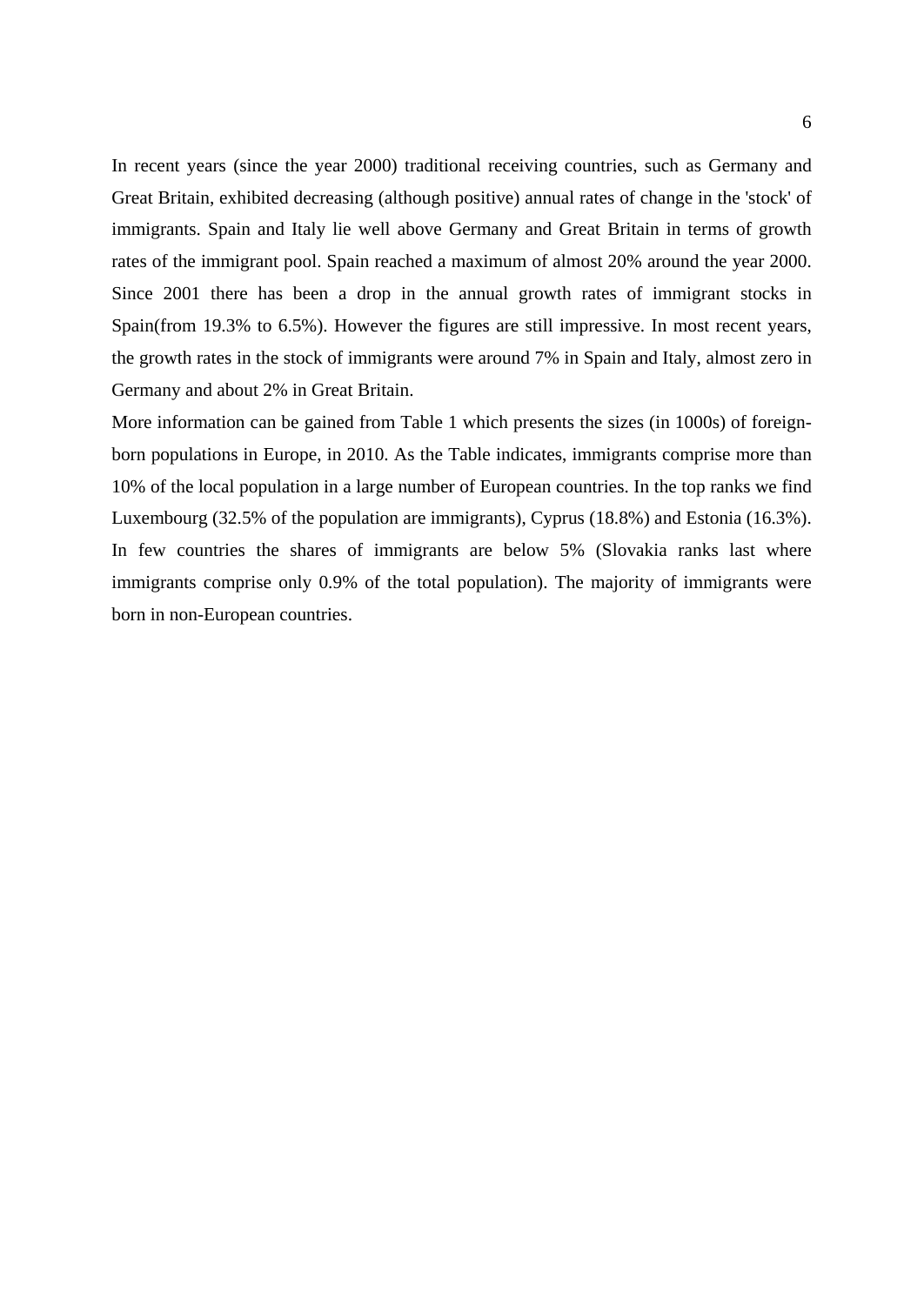In recent years (since the year 2000) traditional receiving countries, such as Germany and Great Britain, exhibited decreasing (although positive) annual rates of change in the 'stock' of immigrants. Spain and Italy lie well above Germany and Great Britain in terms of growth rates of the immigrant pool. Spain reached a maximum of almost 20% around the year 2000. Since 2001 there has been a drop in the annual growth rates of immigrant stocks in Spain(from 19.3% to 6.5%). However the figures are still impressive. In most recent years, the growth rates in the stock of immigrants were around 7% in Spain and Italy, almost zero in Germany and about 2% in Great Britain.

More information can be gained from Table 1 which presents the sizes (in 1000s) of foreignborn populations in Europe, in 2010. As the Table indicates, immigrants comprise more than 10% of the local population in a large number of European countries. In the top ranks we find Luxembourg (32.5% of the population are immigrants), Cyprus (18.8%) and Estonia (16.3%). In few countries the shares of immigrants are below 5% (Slovakia ranks last where immigrants comprise only 0.9% of the total population). The majority of immigrants were born in non-European countries.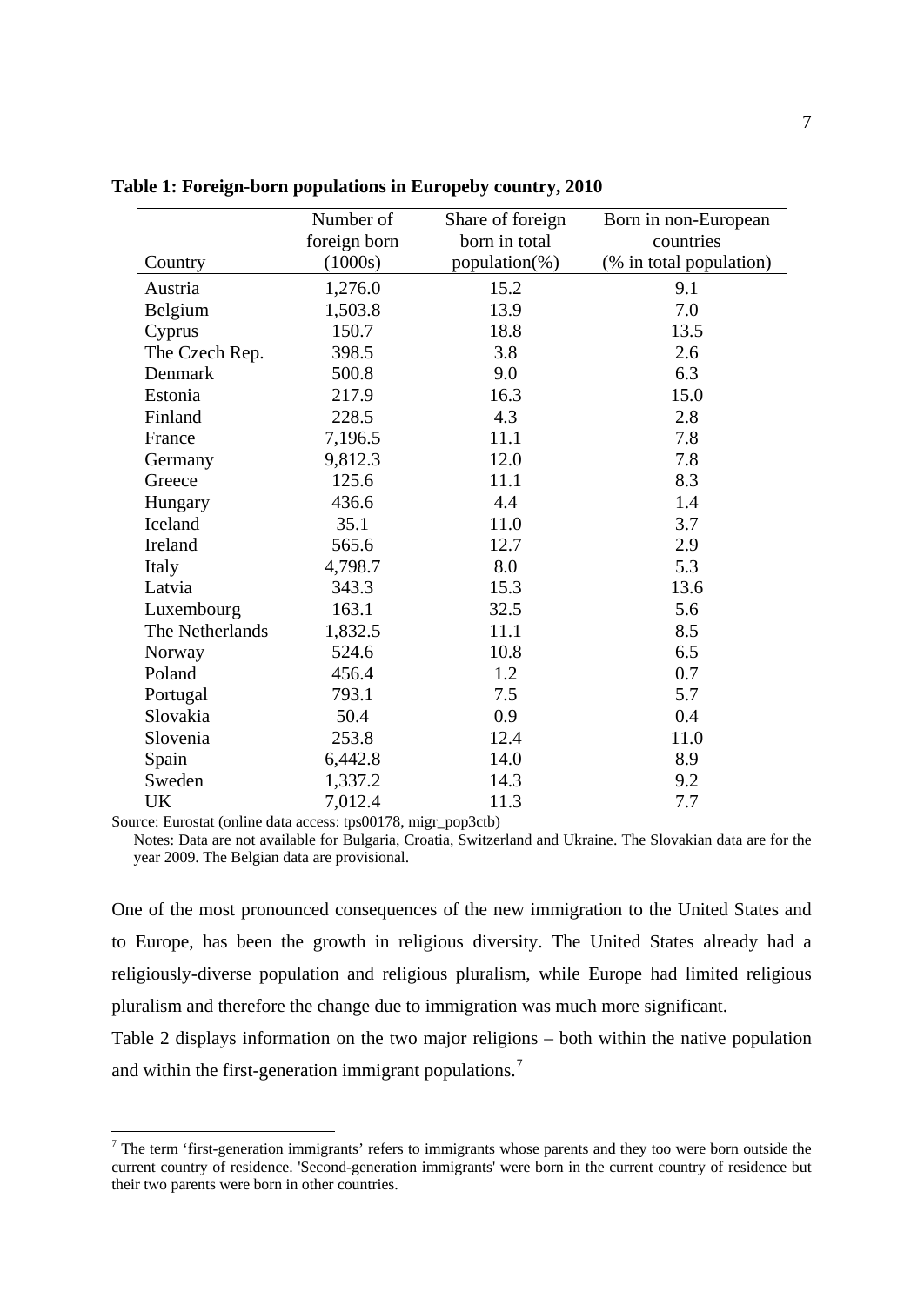|                 | Number of    | Share of foreign | Born in non-European    |
|-----------------|--------------|------------------|-------------------------|
|                 | foreign born | born in total    | countries               |
| Country         | (1000s)      | population(%)    | (% in total population) |
| Austria         | 1,276.0      | 15.2             | 9.1                     |
| Belgium         | 1,503.8      | 13.9             | 7.0                     |
| Cyprus          | 150.7        | 18.8             | 13.5                    |
| The Czech Rep.  | 398.5        | 3.8              | 2.6                     |
| Denmark         | 500.8        | 9.0              | 6.3                     |
| Estonia         | 217.9        | 16.3             | 15.0                    |
| Finland         | 228.5        | 4.3              | 2.8                     |
| France          | 7,196.5      | 11.1             | 7.8                     |
| Germany         | 9,812.3      | 12.0             | 7.8                     |
| Greece          | 125.6        | 11.1             | 8.3                     |
| Hungary         | 436.6        | 4.4              | 1.4                     |
| Iceland         | 35.1         | 11.0             | 3.7                     |
| Ireland         | 565.6        | 12.7             | 2.9                     |
| Italy           | 4,798.7      | 8.0              | 5.3                     |
| Latvia          | 343.3        | 15.3             | 13.6                    |
| Luxembourg      | 163.1        | 32.5             | 5.6                     |
| The Netherlands | 1,832.5      | 11.1             | 8.5                     |
| Norway          | 524.6        | 10.8             | 6.5                     |
| Poland          | 456.4        | 1.2              | 0.7                     |
| Portugal        | 793.1        | 7.5              | 5.7                     |
| Slovakia        | 50.4         | 0.9              | 0.4                     |
| Slovenia        | 253.8        | 12.4             | 11.0                    |
| Spain           | 6,442.8      | 14.0             | 8.9                     |
| Sweden          | 1,337.2      | 14.3             | 9.2                     |
| UK              | 7,012.4      | 11.3             | 7.7                     |

**Table 1: Foreign-born populations in Europeby country, 2010**

Source: Eurostat (online data access: tps00178, migr\_pop3ctb)

Notes: Data are not available for Bulgaria, Croatia, Switzerland and Ukraine. The Slovakian data are for the year 2009. The Belgian data are provisional.

One of the most pronounced consequences of the new immigration to the United States and to Europe, has been the growth in religious diversity. The United States already had a religiously-diverse population and religious pluralism, while Europe had limited religious pluralism and therefore the change due to immigration was much more significant.

Table 2 displays information on the two major religions – both within the native population and within the first-generation immigrant populations.<sup>[7](#page-8-0)</sup>

<span id="page-8-0"></span><sup>&</sup>lt;sup>7</sup> The term 'first-generation immigrants' refers to immigrants whose parents and they too were born outside the current country of residence. 'Second-generation immigrants' were born in the current country of residence but their two parents were born in other countries.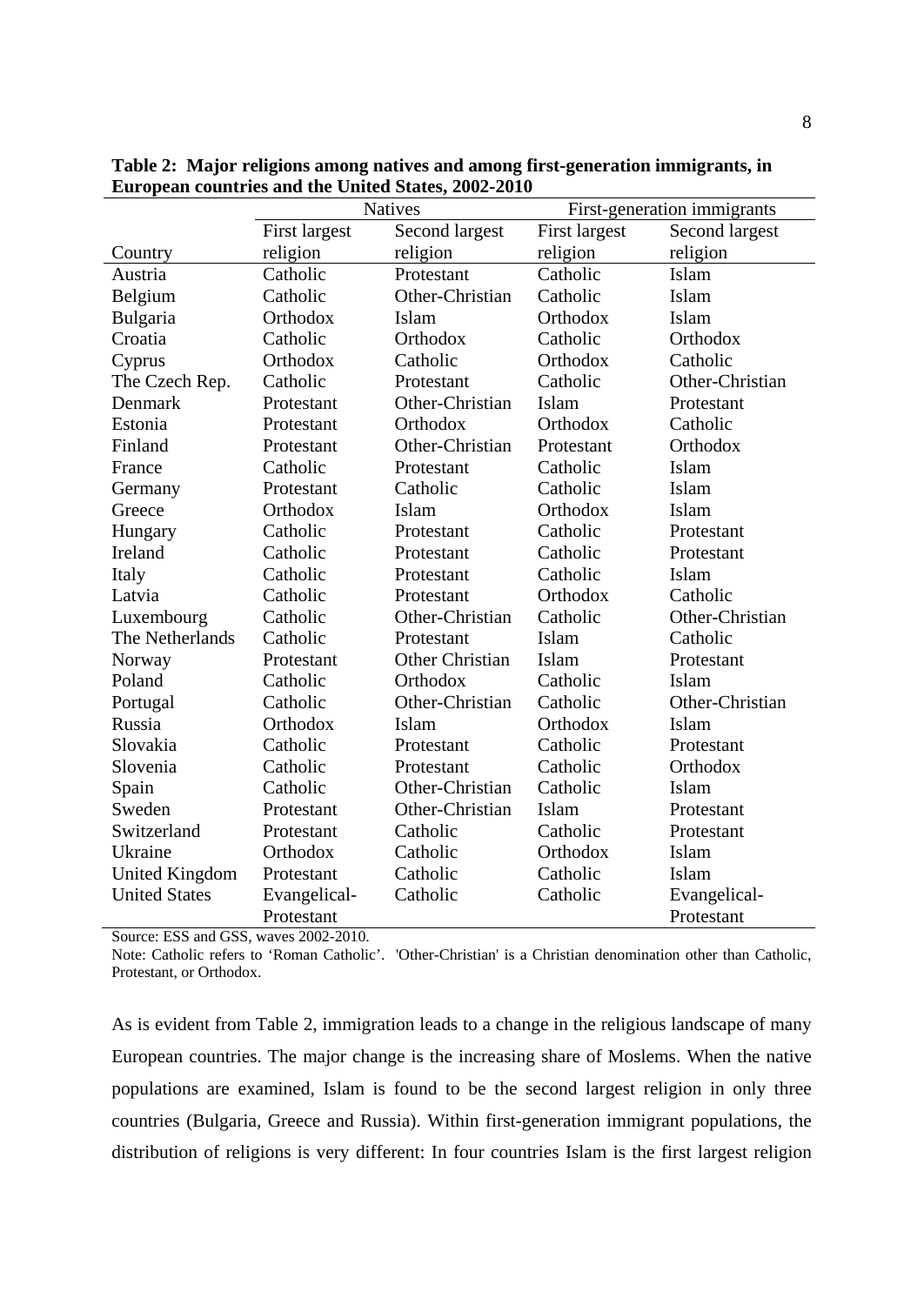|                      | <b>Natives</b>                  |                        | First-generation immigrants |                 |
|----------------------|---------------------------------|------------------------|-----------------------------|-----------------|
|                      | First largest                   | Second largest         | First largest               | Second largest  |
| Country              | religion                        | religion               | religion                    | religion        |
| Austria              | Catholic                        | Protestant             | Catholic                    | Islam           |
| Belgium              | Catholic                        | Other-Christian        | Catholic                    | Islam           |
| Bulgaria             | Orthodox                        | Islam                  | Orthodox                    | Islam           |
| Croatia              | Catholic                        | Orthodox               | Catholic                    | Orthodox        |
| Cyprus               | Orthodox                        | Catholic               | Orthodox                    | Catholic        |
| The Czech Rep.       | Catholic                        | Protestant             | Catholic                    | Other-Christian |
| Denmark              | Protestant                      | Other-Christian        | Islam                       | Protestant      |
| Estonia              | Protestant                      | Orthodox               | Orthodox                    | Catholic        |
| Finland              | Protestant                      | Other-Christian        | Protestant                  | Orthodox        |
| France               | Catholic                        | Protestant             | Catholic                    | Islam           |
| Germany              | Protestant                      | Catholic               | Catholic                    | Islam           |
| Greece               | Orthodox                        | Islam                  | Orthodox                    | Islam           |
| Hungary              | Catholic                        | Protestant             | Catholic                    | Protestant      |
| Ireland              | Catholic                        | Protestant             | Catholic                    | Protestant      |
| Italy                | Catholic                        | Protestant             | Catholic                    | Islam           |
| Latvia               | Catholic                        | Protestant             | Orthodox                    | Catholic        |
| Luxembourg           | Catholic                        | Other-Christian        | Catholic                    | Other-Christian |
| The Netherlands      | Catholic                        | Protestant             | Islam                       | Catholic        |
| Norway               | Protestant                      | <b>Other Christian</b> | Islam                       | Protestant      |
| Poland               | Catholic                        | Orthodox               | Catholic                    | Islam           |
| Portugal             | Catholic                        | Other-Christian        | Catholic                    | Other-Christian |
| Russia               | Orthodox                        | Islam                  | Orthodox                    | Islam           |
| Slovakia             | Catholic                        | Protestant             | Catholic                    | Protestant      |
| Slovenia             | Catholic                        | Protestant             | Catholic                    | Orthodox        |
| Spain                | Catholic                        | Other-Christian        | Catholic                    | Islam           |
| Sweden               | Protestant                      | Other-Christian        | Islam                       | Protestant      |
| Switzerland          | Protestant                      | Catholic               | Catholic                    | Protestant      |
| Ukraine              | Orthodox                        | Catholic               | Orthodox                    | Islam           |
| United Kingdom       | Protestant                      | Catholic               | Catholic                    | Islam           |
| <b>United States</b> | Evangelical-                    | Catholic               | Catholic                    | Evangelical-    |
| 1.000<br>$R^{\sim}$  | Protestant<br>$\cdots$<br>0.000 |                        |                             | Protestant      |

**Table 2: Major religions among natives and among first-generation immigrants, in European countries and the United States, 2002-2010**

Source: ESS and GSS, waves 2002-2010.

Note: Catholic refers to 'Roman Catholic'. 'Other-Christian' is a Christian denomination other than Catholic, Protestant, or Orthodox.

As is evident from Table 2, immigration leads to a change in the religious landscape of many European countries. The major change is the increasing share of Moslems. When the native populations are examined, Islam is found to be the second largest religion in only three countries (Bulgaria, Greece and Russia). Within first-generation immigrant populations, the distribution of religions is very different: In four countries Islam is the first largest religion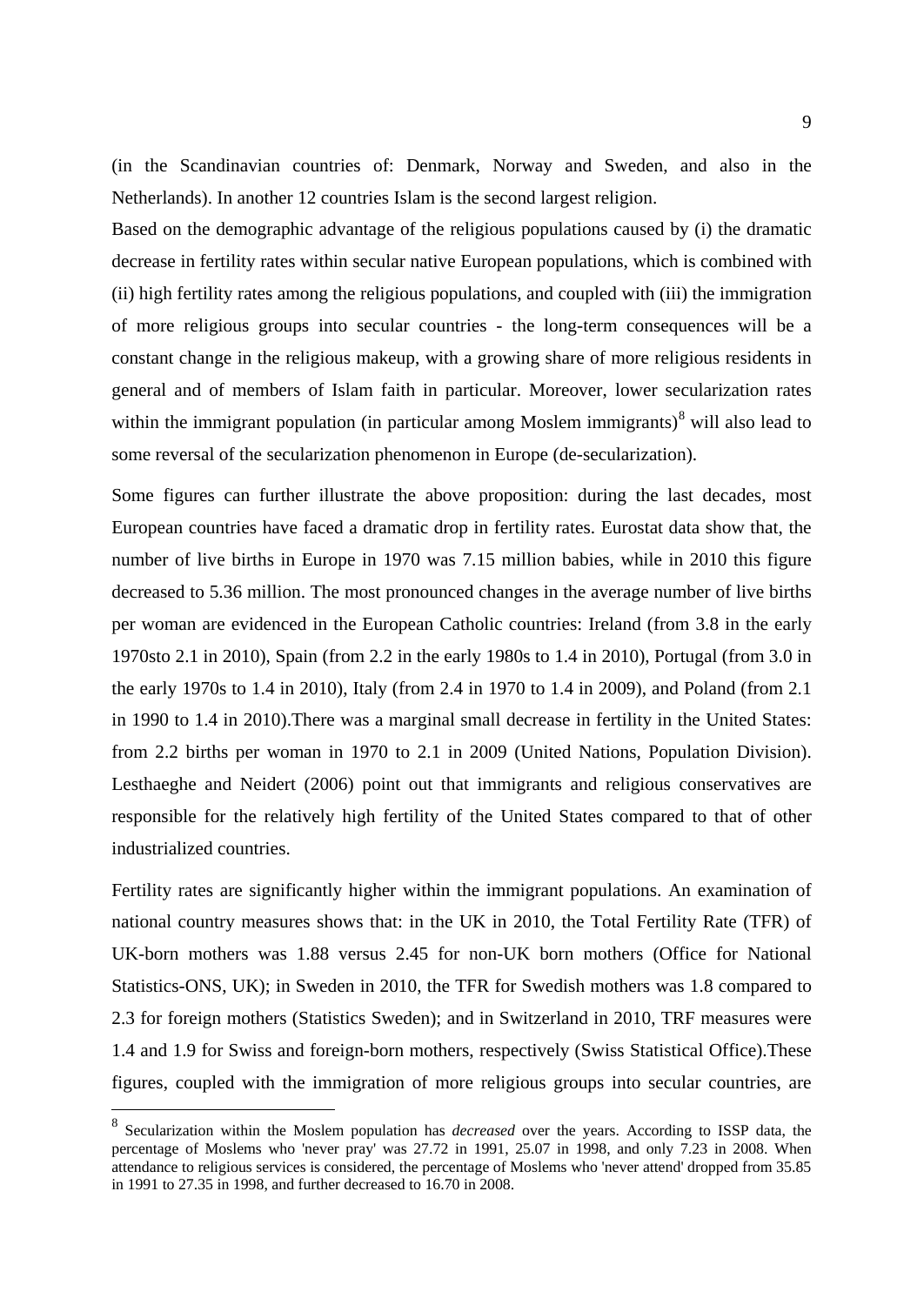(in the Scandinavian countries of: Denmark, Norway and Sweden, and also in the Netherlands). In another 12 countries Islam is the second largest religion.

Based on the demographic advantage of the religious populations caused by (i) the dramatic decrease in fertility rates within secular native European populations, which is combined with (ii) high fertility rates among the religious populations, and coupled with (iii) the immigration of more religious groups into secular countries - the long-term consequences will be a constant change in the religious makeup, with a growing share of more religious residents in general and of members of Islam faith in particular. Moreover, lower secularization rates within the immigrant population (in particular among Moslem immigrants) $<sup>8</sup>$  $<sup>8</sup>$  $<sup>8</sup>$  will also lead to</sup> some reversal of the secularization phenomenon in Europe (de-secularization).

Some figures can further illustrate the above proposition: during the last decades, most European countries have faced a dramatic drop in fertility rates. Eurostat data show that, the number of live births in Europe in 1970 was 7.15 million babies, while in 2010 this figure decreased to 5.36 million. The most pronounced changes in the average number of live births per woman are evidenced in the European Catholic countries: Ireland (from 3.8 in the early 1970sto 2.1 in 2010), Spain (from 2.2 in the early 1980s to 1.4 in 2010), Portugal (from 3.0 in the early 1970s to 1.4 in 2010), Italy (from 2.4 in 1970 to 1.4 in 2009), and Poland (from 2.1 in 1990 to 1.4 in 2010).There was a marginal small decrease in fertility in the United States: from 2.2 births per woman in 1970 to 2.1 in 2009 (United Nations, Population Division). Lesthaeghe and Neidert (2006) point out that immigrants and religious conservatives are responsible for the relatively high fertility of the United States compared to that of other industrialized countries.

Fertility rates are significantly higher within the immigrant populations. An examination of national country measures shows that: in the UK in 2010, the Total Fertility Rate (TFR) of UK-born mothers was 1.88 versus 2.45 for non-UK born mothers (Office for National Statistics-ONS, UK); in Sweden in 2010, the TFR for Swedish mothers was 1.8 compared to 2.3 for foreign mothers (Statistics Sweden); and in Switzerland in 2010, TRF measures were 1.4 and 1.9 for Swiss and foreign-born mothers, respectively (Swiss Statistical Office).These figures, coupled with the immigration of more religious groups into secular countries, are

<span id="page-10-0"></span> <sup>8</sup> Secularization within the Moslem population has *decreased* over the years. According to ISSP data, the percentage of Moslems who 'never pray' was 27.72 in 1991, 25.07 in 1998, and only 7.23 in 2008. When attendance to religious services is considered, the percentage of Moslems who 'never attend' dropped from 35.85 in 1991 to 27.35 in 1998, and further decreased to 16.70 in 2008.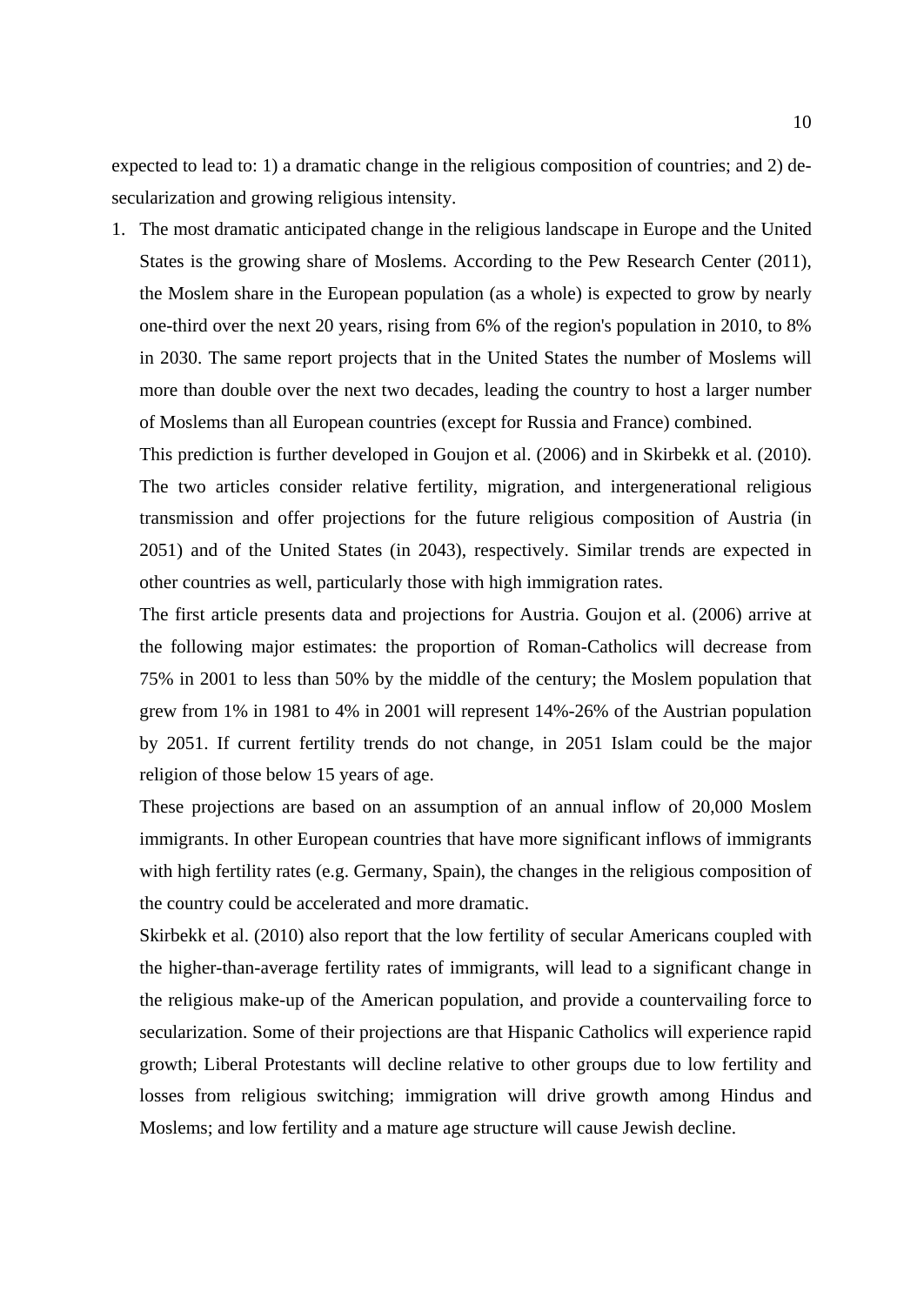expected to lead to: 1) a dramatic change in the religious composition of countries; and 2) desecularization and growing religious intensity.

1. The most dramatic anticipated change in the religious landscape in Europe and the United States is the growing share of Moslems. According to the Pew Research Center (2011), the Moslem share in the European population (as a whole) is expected to grow by nearly one-third over the next 20 years, rising from 6% of the region's population in 2010, to 8% in 2030. The same report projects that in the United States the number of Moslems will more than double over the next two decades, leading the country to host a larger number of Moslems than all European countries (except for Russia and France) combined.

This prediction is further developed in Goujon et al. (2006) and in Skirbekk et al. (2010). The two articles consider relative fertility, migration, and intergenerational religious transmission and offer projections for the future religious composition of Austria (in 2051) and of the United States (in 2043), respectively. Similar trends are expected in other countries as well, particularly those with high immigration rates.

The first article presents data and projections for Austria. Goujon et al. (2006) arrive at the following major estimates: the proportion of Roman-Catholics will decrease from 75% in 2001 to less than 50% by the middle of the century; the Moslem population that grew from 1% in 1981 to 4% in 2001 will represent 14%-26% of the Austrian population by 2051. If current fertility trends do not change, in 2051 Islam could be the major religion of those below 15 years of age.

These projections are based on an assumption of an annual inflow of 20,000 Moslem immigrants. In other European countries that have more significant inflows of immigrants with high fertility rates (e.g. Germany, Spain), the changes in the religious composition of the country could be accelerated and more dramatic.

Skirbekk et al. (2010) also report that the low fertility of secular Americans coupled with the higher-than-average fertility rates of immigrants, will lead to a significant change in the religious make-up of the American population, and provide a countervailing force to secularization. Some of their projections are that Hispanic Catholics will experience rapid growth; Liberal Protestants will decline relative to other groups due to low fertility and losses from religious switching; immigration will drive growth among Hindus and Moslems; and low fertility and a mature age structure will cause Jewish decline.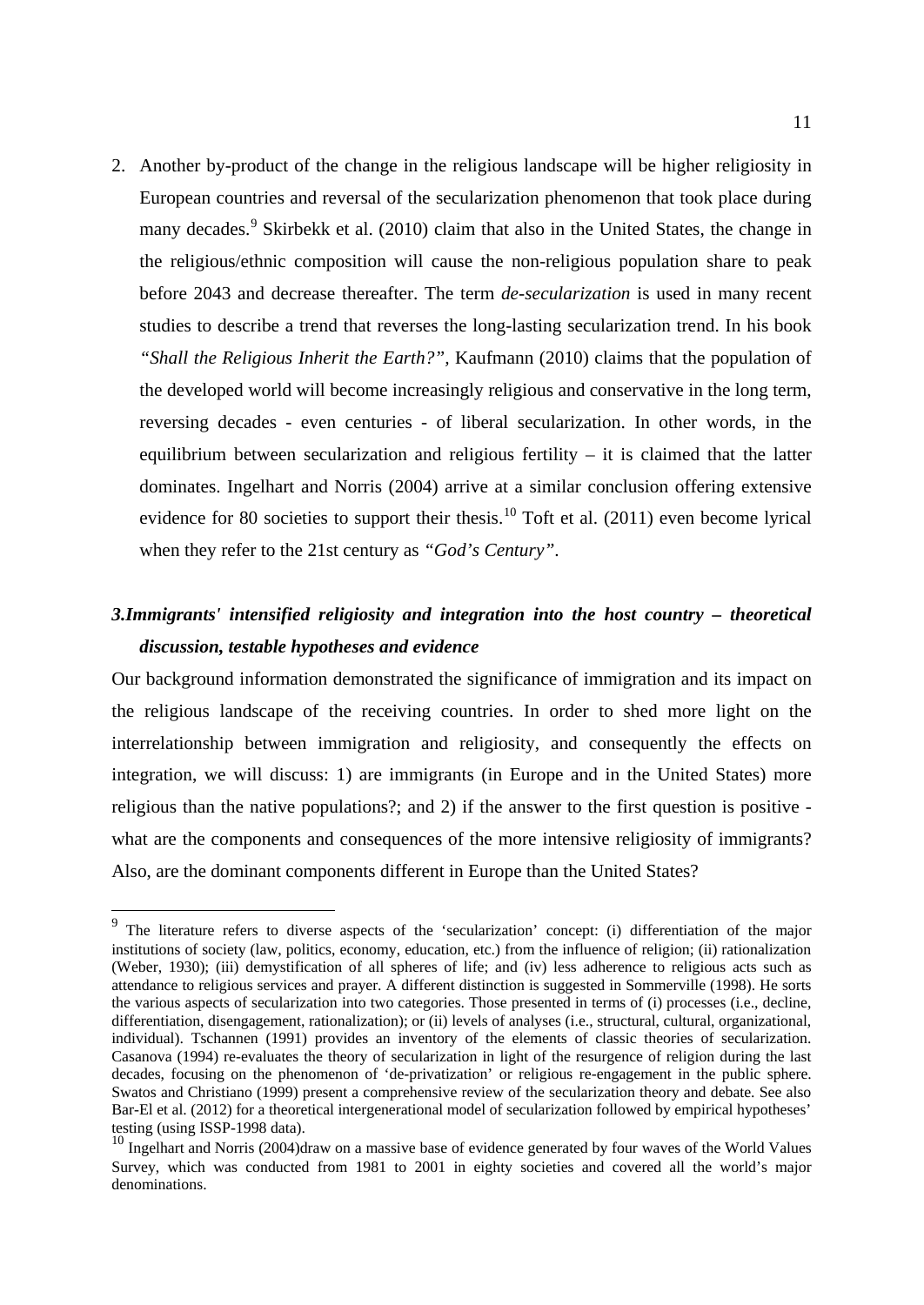2. Another by-product of the change in the religious landscape will be higher religiosity in European countries and reversal of the secularization phenomenon that took place during many decades.<sup>[9](#page-12-0)</sup> Skirbekk et al. (2010) claim that also in the United States, the change in the religious/ethnic composition will cause the non-religious population share to peak before 2043 and decrease thereafter. The term *de-secularization* is used in many recent studies to describe a trend that reverses the long-lasting secularization trend. In his book *"Shall the Religious Inherit the Earth?",* Kaufmann (2010) claims that the population of the developed world will become increasingly religious and conservative in the long term, reversing decades - even centuries - of liberal secularization. In other words, in the equilibrium between secularization and religious fertility – it is claimed that the latter dominates. Ingelhart and Norris (2004) arrive at a similar conclusion offering extensive evidence for 80 societies to support their thesis.<sup>[10](#page-12-1)</sup> Toft et al.  $(2011)$  even become lyrical when they refer to the 21st century as *"God's Century"*.

### *3.Immigrants' intensified religiosity and integration into the host country – theoretical discussion, testable hypotheses and evidence*

Our background information demonstrated the significance of immigration and its impact on the religious landscape of the receiving countries. In order to shed more light on the interrelationship between immigration and religiosity, and consequently the effects on integration, we will discuss: 1) are immigrants (in Europe and in the United States) more religious than the native populations?; and 2) if the answer to the first question is positive what are the components and consequences of the more intensive religiosity of immigrants? Also, are the dominant components different in Europe than the United States?

<span id="page-12-0"></span> <sup>9</sup> The literature refers to diverse aspects of the 'secularization' concept: (i) differentiation of the major institutions of society (law, politics, economy, education, etc.) from the influence of religion; (ii) rationalization (Weber, 1930); (iii) demystification of all spheres of life; and (iv) less adherence to religious acts such as attendance to religious services and prayer. A different distinction is suggested in Sommerville (1998). He sorts the various aspects of secularization into two categories. Those presented in terms of (i) processes (i.e., decline, differentiation, disengagement, rationalization); or (ii) levels of analyses (i.e., structural, cultural, organizational, individual). Tschannen (1991) provides an inventory of the elements of classic theories of secularization. Casanova (1994) re-evaluates the theory of secularization in light of the resurgence of religion during the last decades, focusing on the phenomenon of 'de-privatization' or religious re-engagement in the public sphere. Swatos and Christiano (1999) present a comprehensive review of the secularization theory and debate. See also Bar-El et al. (2012) for a theoretical intergenerational model of secularization followed by empirical hypotheses' testing (using ISSP-1998 data).

<span id="page-12-1"></span><sup>&</sup>lt;sup>10</sup> Ingelhart and Norris (2004)draw on a massive base of evidence generated by four waves of the World Values Survey, which was conducted from 1981 to 2001 in eighty societies and covered all the world's major denominations.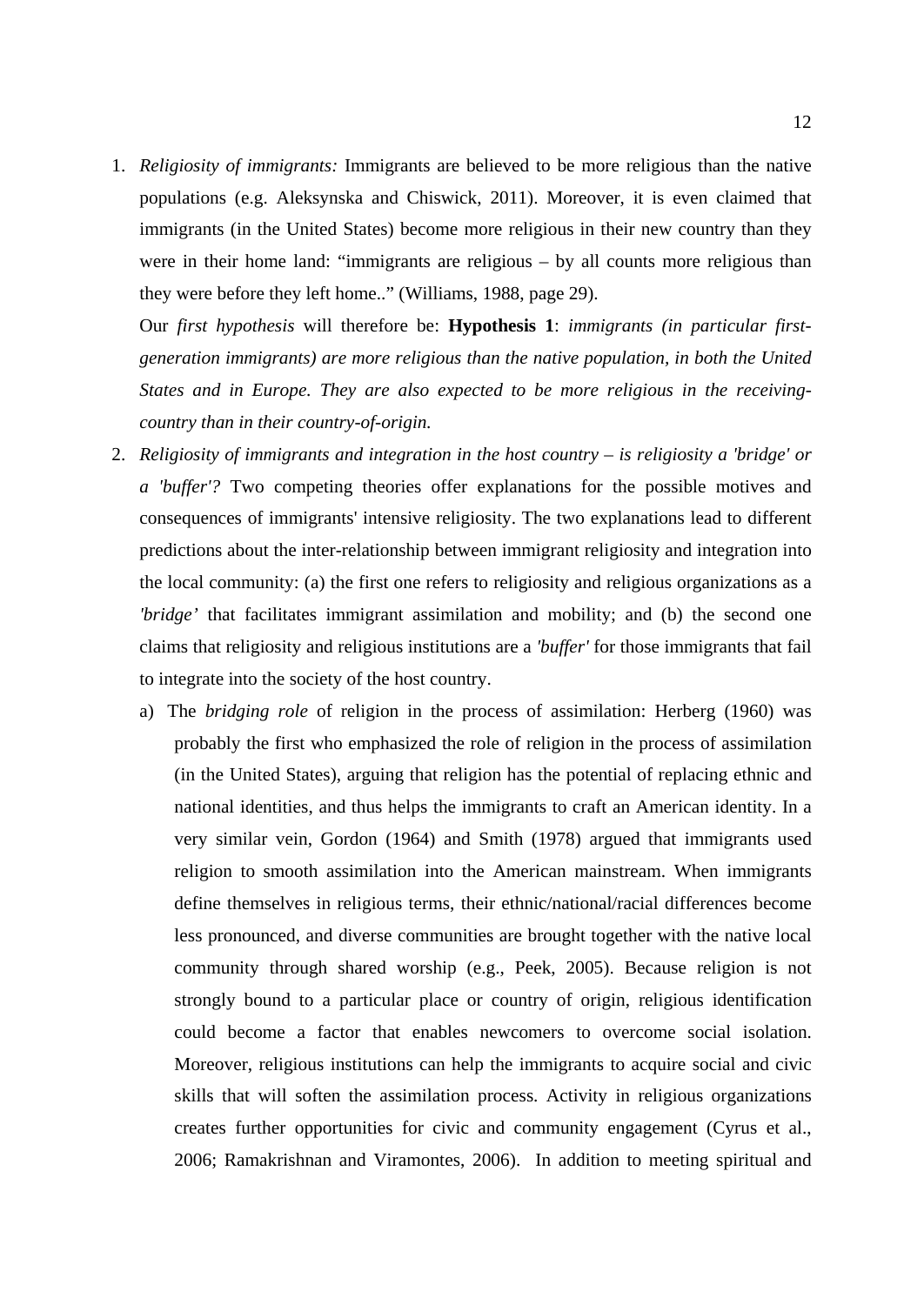1. *Religiosity of immigrants:* Immigrants are believed to be more religious than the native populations (e.g. Aleksynska and Chiswick, 2011). Moreover, it is even claimed that immigrants (in the United States) become more religious in their new country than they were in their home land: "immigrants are religious – by all counts more religious than they were before they left home.." (Williams, 1988, page 29).

Our *first hypothesis* will therefore be: **Hypothesis 1**: *immigrants (in particular firstgeneration immigrants) are more religious than the native population, in both the United States and in Europe. They are also expected to be more religious in the receivingcountry than in their country-of-origin.* 

- 2. *Religiosity of immigrants and integration in the host country is religiosity a 'bridge' or a 'buffer'?* Two competing theories offer explanations for the possible motives and consequences of immigrants' intensive religiosity. The two explanations lead to different predictions about the inter-relationship between immigrant religiosity and integration into the local community: (a) the first one refers to religiosity and religious organizations as a *'bridge'* that facilitates immigrant assimilation and mobility; and (b) the second one claims that religiosity and religious institutions are a *'buffer'* for those immigrants that fail to integrate into the society of the host country.
	- a) The *bridging role* of religion in the process of assimilation: Herberg (1960) was probably the first who emphasized the role of religion in the process of assimilation (in the United States), arguing that religion has the potential of replacing ethnic and national identities, and thus helps the immigrants to craft an American identity. In a very similar vein, Gordon (1964) and Smith (1978) argued that immigrants used religion to smooth assimilation into the American mainstream. When immigrants define themselves in religious terms, their ethnic/national/racial differences become less pronounced, and diverse communities are brought together with the native local community through shared worship (e.g., Peek, 2005). Because religion is not strongly bound to a particular place or country of origin, religious identification could become a factor that enables newcomers to overcome social isolation. Moreover, religious institutions can help the immigrants to acquire social and civic skills that will soften the assimilation process. Activity in religious organizations creates further opportunities for civic and community engagement (Cyrus et al., 2006; Ramakrishnan and Viramontes, 2006). In addition to meeting spiritual and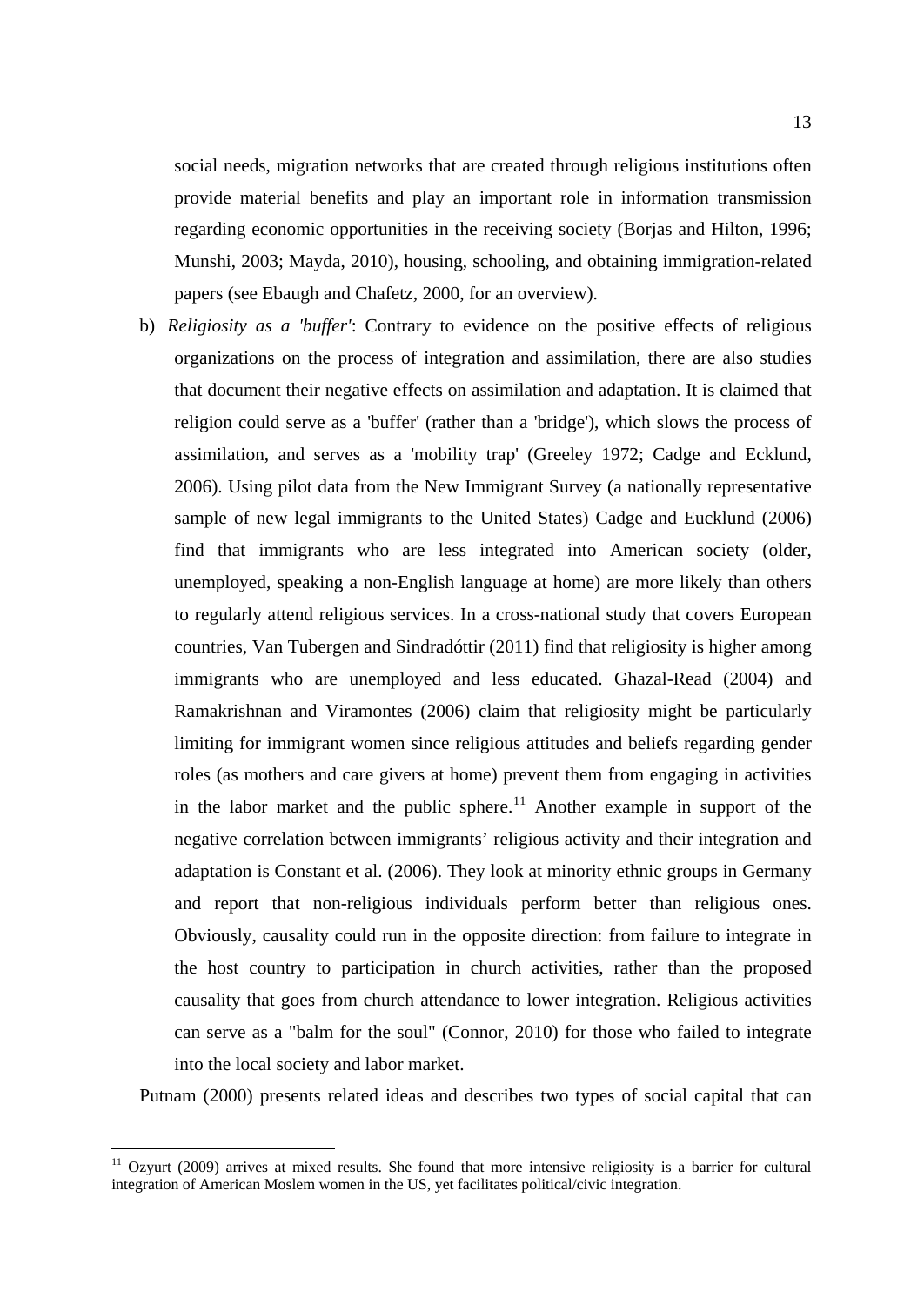social needs, migration networks that are created through religious institutions often provide material benefits and play an important role in information transmission regarding economic opportunities in the receiving society (Borjas and Hilton, 1996; Munshi, 2003; Mayda, 2010), housing, schooling, and obtaining immigration-related papers (see Ebaugh and Chafetz, 2000, for an overview).

b) *Religiosity as a 'buffer'*: Contrary to evidence on the positive effects of religious organizations on the process of integration and assimilation, there are also studies that document their negative effects on assimilation and adaptation. It is claimed that religion could serve as a 'buffer' (rather than a 'bridge'), which slows the process of assimilation, and serves as a 'mobility trap' (Greeley 1972; Cadge and Ecklund, 2006). Using pilot data from the New Immigrant Survey (a nationally representative sample of new legal immigrants to the United States) Cadge and Eucklund (2006) find that immigrants who are less integrated into American society (older, unemployed, speaking a non-English language at home) are more likely than others to regularly attend religious services. In a cross-national study that covers European countries, Van Tubergen and Sindradóttir (2011) find that religiosity is higher among immigrants who are unemployed and less educated. Ghazal-Read (2004) and Ramakrishnan and Viramontes (2006) claim that religiosity might be particularly limiting for immigrant women since religious attitudes and beliefs regarding gender roles (as mothers and care givers at home) prevent them from engaging in activities in the labor market and the public sphere.<sup>[11](#page-14-0)</sup> Another example in support of the negative correlation between immigrants' religious activity and their integration and adaptation is Constant et al. (2006). They look at minority ethnic groups in Germany and report that non-religious individuals perform better than religious ones. Obviously, causality could run in the opposite direction: from failure to integrate in the host country to participation in church activities, rather than the proposed causality that goes from church attendance to lower integration. Religious activities can serve as a "balm for the soul" (Connor, 2010) for those who failed to integrate into the local society and labor market.

Putnam (2000) presents related ideas and describes two types of social capital that can

<span id="page-14-0"></span><sup>&</sup>lt;sup>11</sup> Ozyurt (2009) arrives at mixed results. She found that more intensive religiosity is a barrier for cultural integration of American Moslem women in the US, yet facilitates political/civic integration.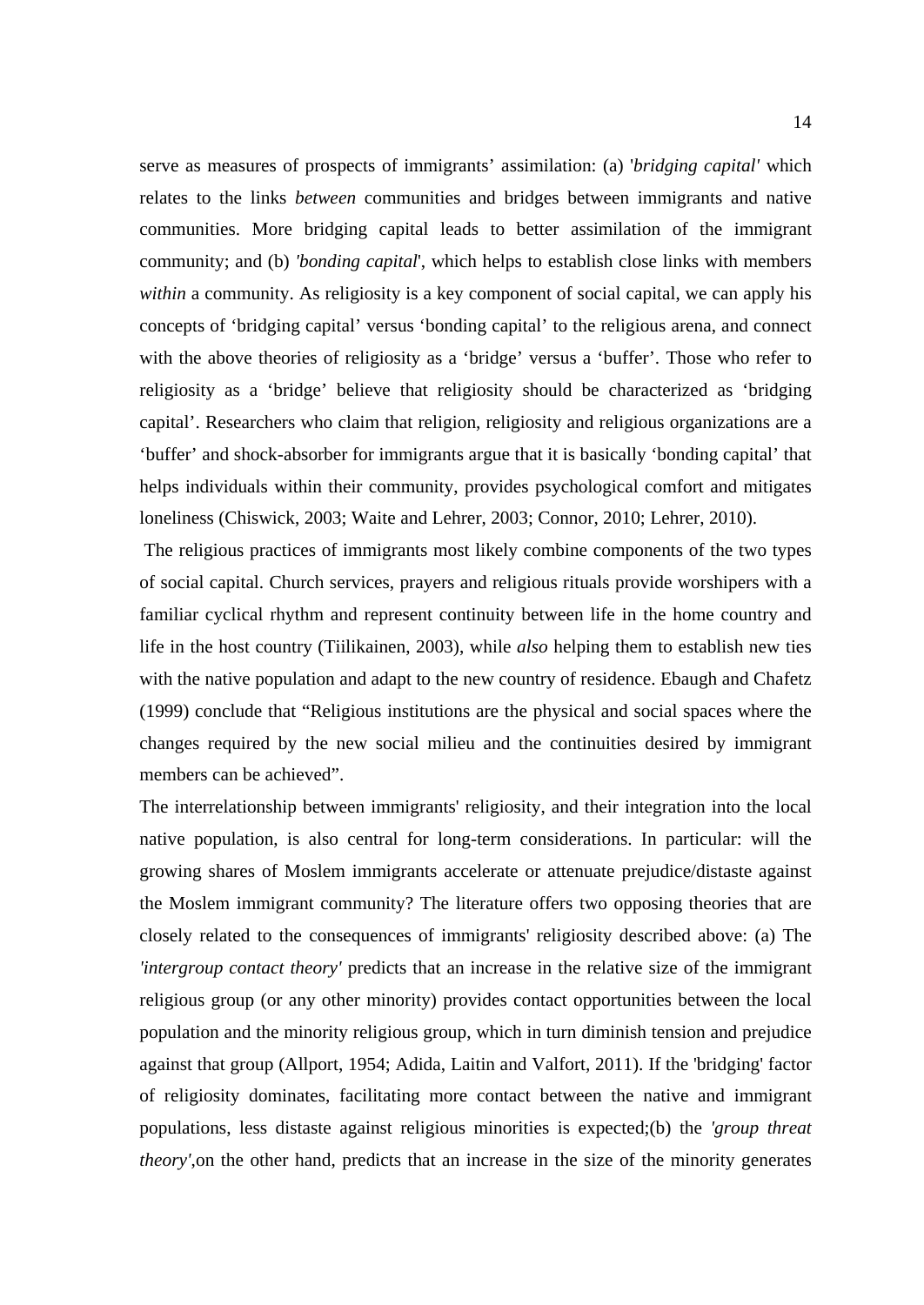serve as measures of prospects of immigrants' assimilation: (a) '*bridging capital'* which relates to the links *between* communities and bridges between immigrants and native communities. More bridging capital leads to better assimilation of the immigrant community; and (b) *'bonding capital*', which helps to establish close links with members *within* a community. As religiosity is a key component of social capital, we can apply his concepts of 'bridging capital' versus 'bonding capital' to the religious arena, and connect with the above theories of religiosity as a 'bridge' versus a 'buffer'. Those who refer to religiosity as a 'bridge' believe that religiosity should be characterized as 'bridging capital'. Researchers who claim that religion, religiosity and religious organizations are a 'buffer' and shock-absorber for immigrants argue that it is basically 'bonding capital' that helps individuals within their community, provides psychological comfort and mitigates loneliness (Chiswick, 2003; Waite and Lehrer, 2003; Connor, 2010; Lehrer, 2010).

The religious practices of immigrants most likely combine components of the two types of social capital. Church services, prayers and religious rituals provide worshipers with a familiar cyclical rhythm and represent continuity between life in the home country and life in the host country (Tiilikainen, 2003), while *also* helping them to establish new ties with the native population and adapt to the new country of residence. Ebaugh and Chafetz (1999) conclude that "Religious institutions are the physical and social spaces where the changes required by the new social milieu and the continuities desired by immigrant members can be achieved".

The interrelationship between immigrants' religiosity, and their integration into the local native population, is also central for long-term considerations. In particular: will the growing shares of Moslem immigrants accelerate or attenuate prejudice/distaste against the Moslem immigrant community? The literature offers two opposing theories that are closely related to the consequences of immigrants' religiosity described above: (a) The *'intergroup contact theory'* predicts that an increase in the relative size of the immigrant religious group (or any other minority) provides contact opportunities between the local population and the minority religious group, which in turn diminish tension and prejudice against that group (Allport, 1954; Adida, Laitin and Valfort, 2011). If the 'bridging' factor of religiosity dominates, facilitating more contact between the native and immigrant populations, less distaste against religious minorities is expected;(b) the *'group threat theory'*,on the other hand, predicts that an increase in the size of the minority generates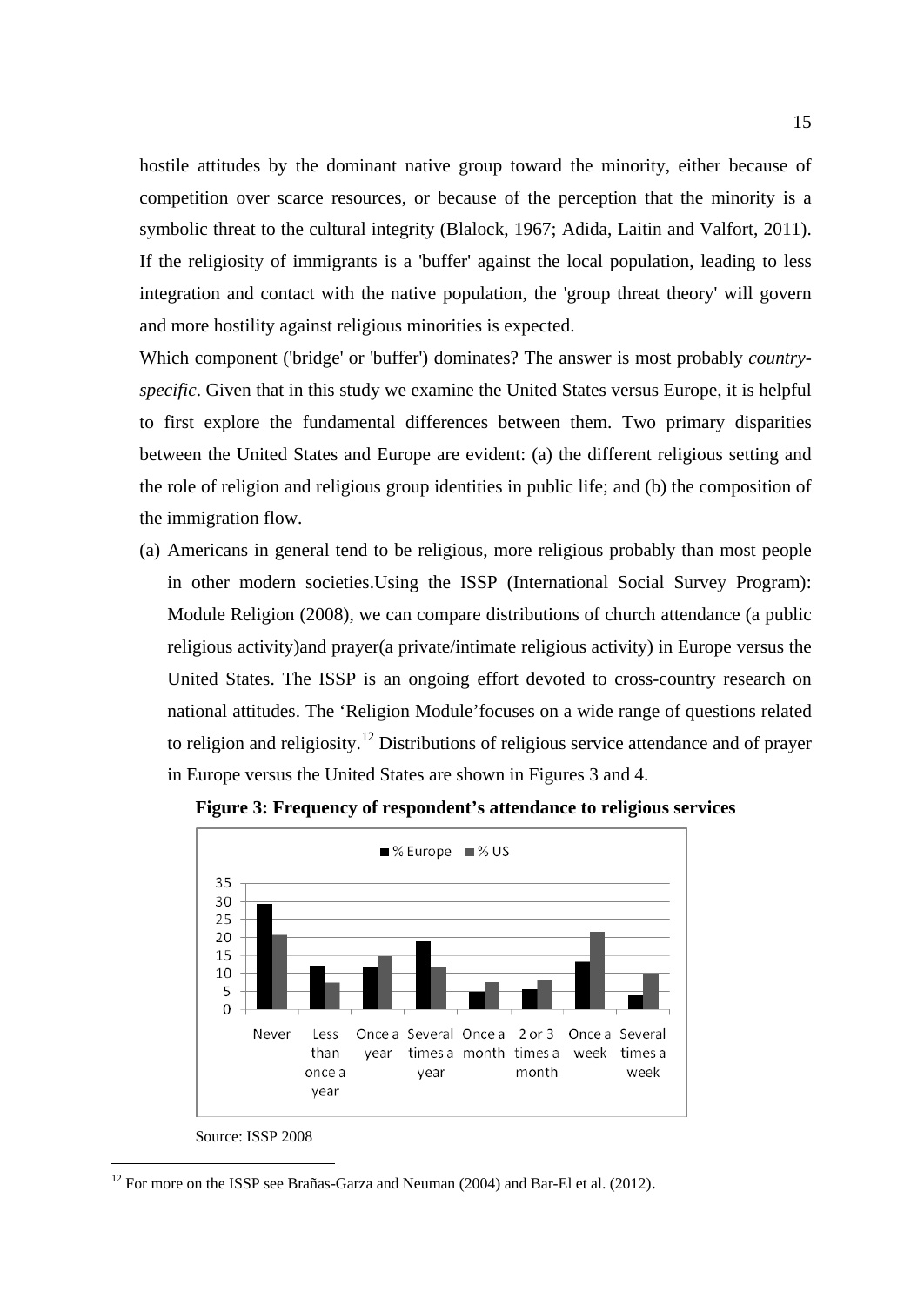hostile attitudes by the dominant native group toward the minority, either because of competition over scarce resources, or because of the perception that the minority is a symbolic threat to the cultural integrity (Blalock, 1967; Adida, Laitin and Valfort, 2011). If the religiosity of immigrants is a 'buffer' against the local population, leading to less integration and contact with the native population, the 'group threat theory' will govern and more hostility against religious minorities is expected.

Which component ('bridge' or 'buffer') dominates? The answer is most probably *countryspecific*. Given that in this study we examine the United States versus Europe, it is helpful to first explore the fundamental differences between them. Two primary disparities between the United States and Europe are evident: (a) the different religious setting and the role of religion and religious group identities in public life; and (b) the composition of the immigration flow.

(a) Americans in general tend to be religious, more religious probably than most people in other modern societies.Using the ISSP (International Social Survey Program): Module Religion (2008), we can compare distributions of church attendance (a public religious activity)and prayer(a private/intimate religious activity) in Europe versus the United States. The ISSP is an ongoing effort devoted to cross-country research on national attitudes. The 'Religion Module'focuses on a wide range of questions related to religion and religiosity.<sup>[12](#page-16-0)</sup> Distributions of religious service attendance and of prayer in Europe versus the United States are shown in Figures 3 and 4.





Source: ISSP 2008

<span id="page-16-0"></span><sup>&</sup>lt;sup>12</sup> For more on the ISSP see Brañas-Garza and Neuman (2004) and Bar-El et al. (2012).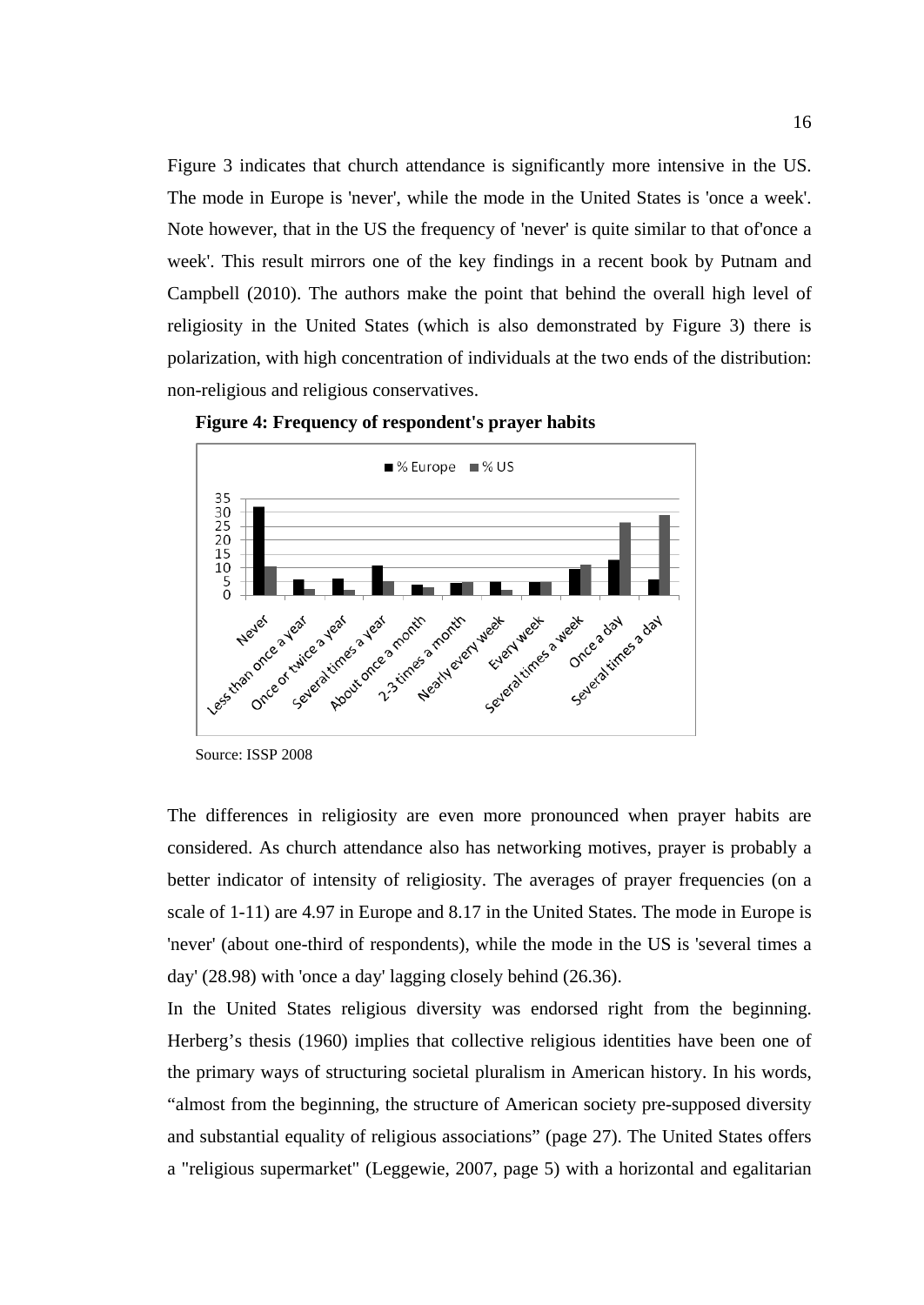Figure 3 indicates that church attendance is significantly more intensive in the US. The mode in Europe is 'never', while the mode in the United States is 'once a week'. Note however, that in the US the frequency of 'never' is quite similar to that of'once a week'. This result mirrors one of the key findings in a recent book by Putnam and Campbell (2010). The authors make the point that behind the overall high level of religiosity in the United States (which is also demonstrated by Figure 3) there is polarization, with high concentration of individuals at the two ends of the distribution: non-religious and religious conservatives.



**Figure 4: Frequency of respondent's prayer habits**

The differences in religiosity are even more pronounced when prayer habits are considered. As church attendance also has networking motives, prayer is probably a better indicator of intensity of religiosity. The averages of prayer frequencies (on a scale of 1-11) are 4.97 in Europe and 8.17 in the United States. The mode in Europe is 'never' (about one-third of respondents), while the mode in the US is 'several times a day' (28.98) with 'once a day' lagging closely behind (26.36).

In the United States religious diversity was endorsed right from the beginning. Herberg's thesis (1960) implies that collective religious identities have been one of the primary ways of structuring societal pluralism in American history. In his words, "almost from the beginning, the structure of American society pre-supposed diversity and substantial equality of religious associations" (page 27). The United States offers a "religious supermarket" (Leggewie, 2007, page 5) with a horizontal and egalitarian

Source: ISSP 2008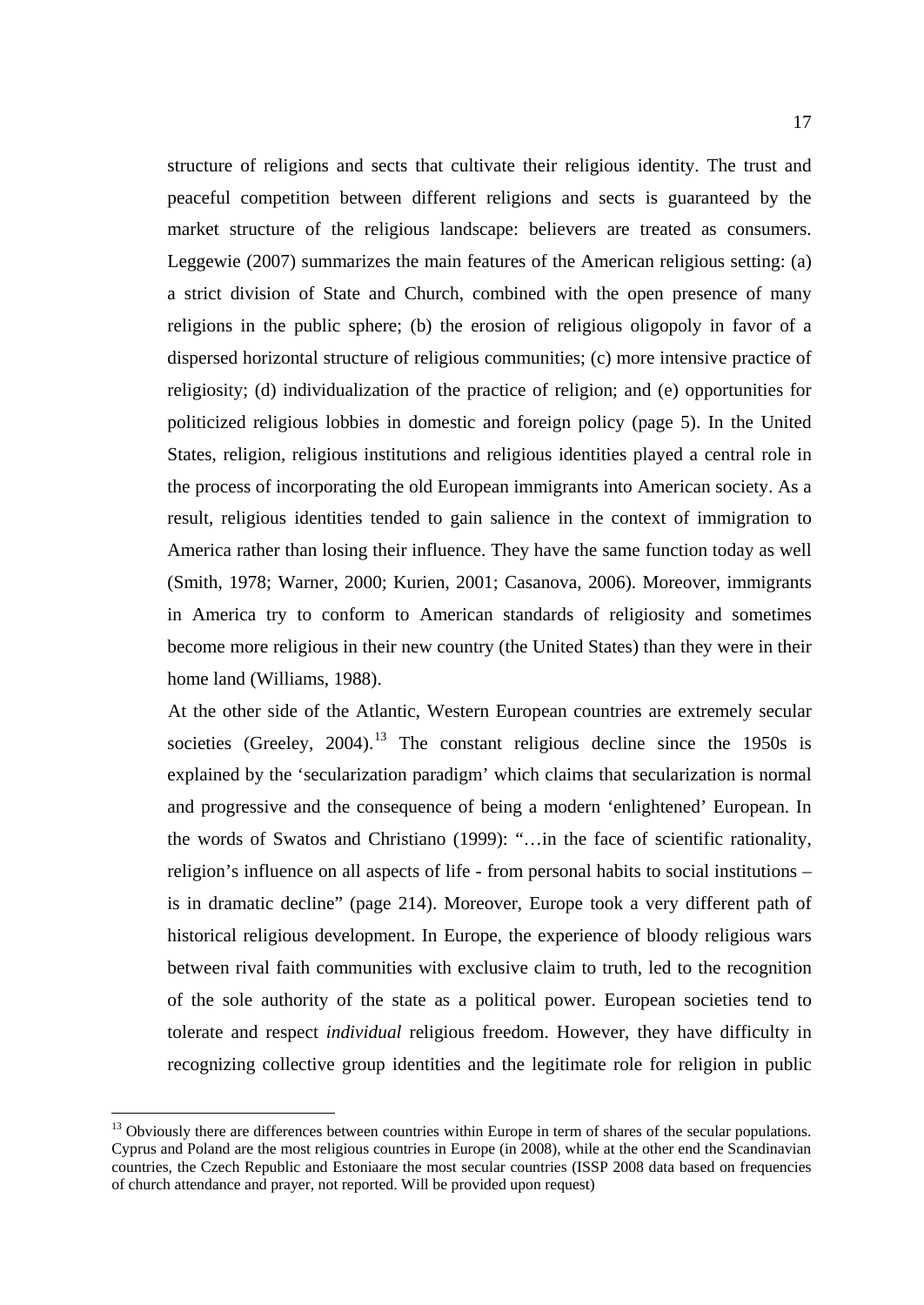structure of religions and sects that cultivate their religious identity. The trust and peaceful competition between different religions and sects is guaranteed by the market structure of the religious landscape: believers are treated as consumers. Leggewie (2007) summarizes the main features of the American religious setting: (a) a strict division of State and Church, combined with the open presence of many religions in the public sphere; (b) the erosion of religious oligopoly in favor of a dispersed horizontal structure of religious communities; (c) more intensive practice of religiosity; (d) individualization of the practice of religion; and (e) opportunities for politicized religious lobbies in domestic and foreign policy (page 5). In the United States, religion, religious institutions and religious identities played a central role in the process of incorporating the old European immigrants into American society. As a result, religious identities tended to gain salience in the context of immigration to America rather than losing their influence. They have the same function today as well (Smith, 1978; Warner, 2000; Kurien, 2001; Casanova, 2006). Moreover, immigrants in America try to conform to American standards of religiosity and sometimes become more religious in their new country (the United States) than they were in their home land (Williams, 1988).

At the other side of the Atlantic, Western European countries are extremely secular societies (Greeley,  $2004$ ).<sup>[13](#page-18-0)</sup> The constant religious decline since the 1950s is explained by the 'secularization paradigm' which claims that secularization is normal and progressive and the consequence of being a modern 'enlightened' European. In the words of Swatos and Christiano (1999): "…in the face of scientific rationality, religion's influence on all aspects of life - from personal habits to social institutions – is in dramatic decline" (page 214). Moreover, Europe took a very different path of historical religious development. In Europe, the experience of bloody religious wars between rival faith communities with exclusive claim to truth, led to the recognition of the sole authority of the state as a political power. European societies tend to tolerate and respect *individual* religious freedom. However, they have difficulty in recognizing collective group identities and the legitimate role for religion in public

<span id="page-18-0"></span><sup>&</sup>lt;sup>13</sup> Obviously there are differences between countries within Europe in term of shares of the secular populations. Cyprus and Poland are the most religious countries in Europe (in 2008), while at the other end the Scandinavian countries, the Czech Republic and Estoniaare the most secular countries (ISSP 2008 data based on frequencies of church attendance and prayer, not reported. Will be provided upon request)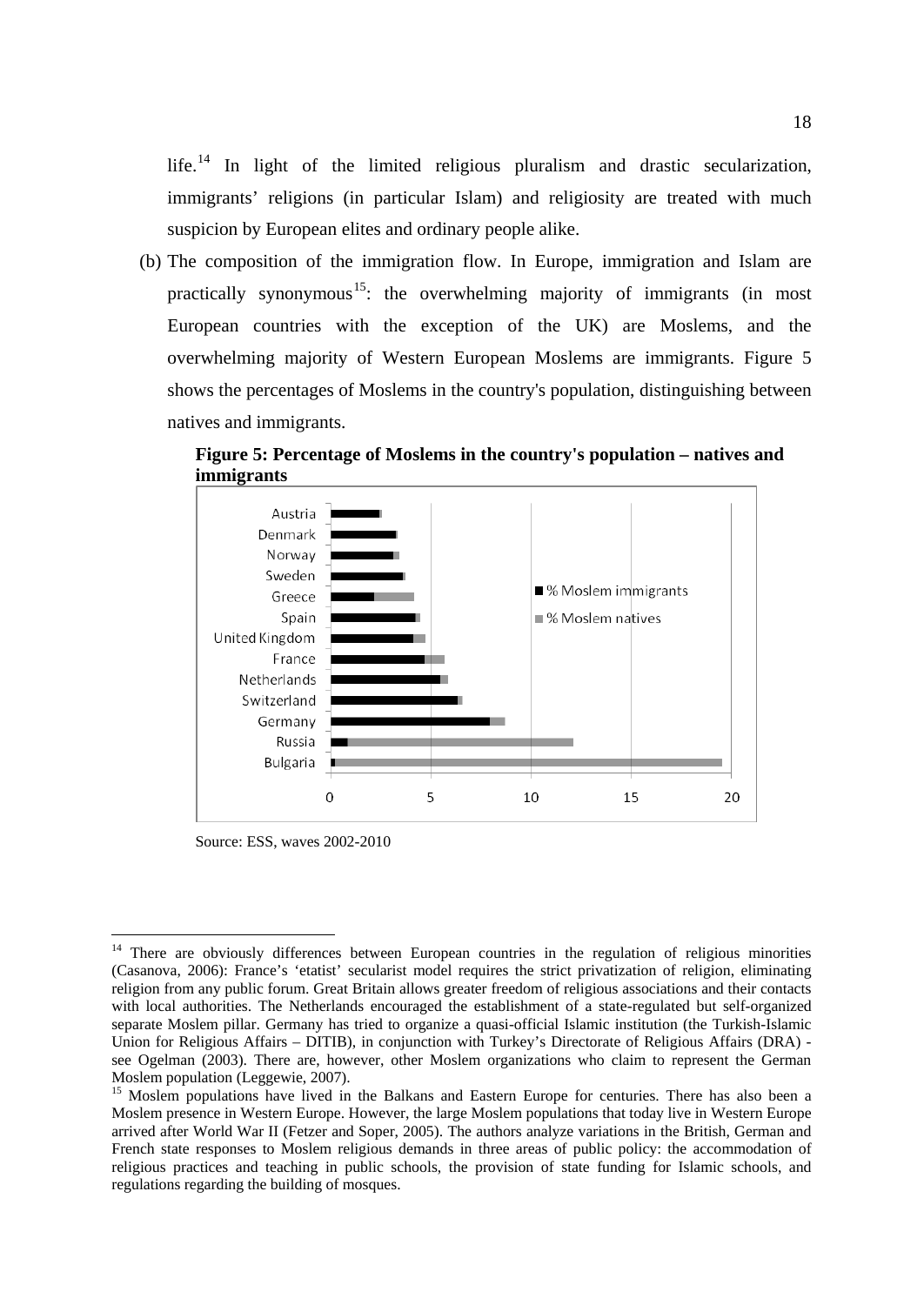life.<sup>[14](#page-19-0)</sup> In light of the limited religious pluralism and drastic secularization, immigrants' religions (in particular Islam) and religiosity are treated with much suspicion by European elites and ordinary people alike.

(b) The composition of the immigration flow. In Europe, immigration and Islam are practically synonymous<sup>[15](#page-19-1)</sup>: the overwhelming majority of immigrants (in most European countries with the exception of the UK) are Moslems, and the overwhelming majority of Western European Moslems are immigrants. Figure 5 shows the percentages of Moslems in the country's population, distinguishing between natives and immigrants.

**Figure 5: Percentage of Moslems in the country's population – natives and immigrants**



Source: ESS, waves 2002-2010

<span id="page-19-0"></span><sup>&</sup>lt;sup>14</sup> There are obviously differences between European countries in the regulation of religious minorities (Casanova, 2006): France's 'etatist' secularist model requires the strict privatization of religion, eliminating religion from any public forum. Great Britain allows greater freedom of religious associations and their contacts with local authorities. The Netherlands encouraged the establishment of a state-regulated but self-organized separate Moslem pillar. Germany has tried to organize a quasi-official Islamic institution (the Turkish-Islamic Union for Religious Affairs – DITIB), in conjunction with Turkey's Directorate of Religious Affairs (DRA) see Ogelman (2003). There are, however, other Moslem organizations who claim to represent the German Moslem population (Leggewie, 2007).

<span id="page-19-1"></span><sup>&</sup>lt;sup>15</sup> Moslem populations have lived in the Balkans and Eastern Europe for centuries. There has also been a Moslem presence in Western Europe. However, the large Moslem populations that today live in Western Europe arrived after World War II (Fetzer and Soper, 2005). The authors analyze variations in the British, German and French state responses to Moslem religious demands in three areas of public policy: the accommodation of religious practices and teaching in public schools, the provision of state funding for Islamic schools, and regulations regarding the building of mosques.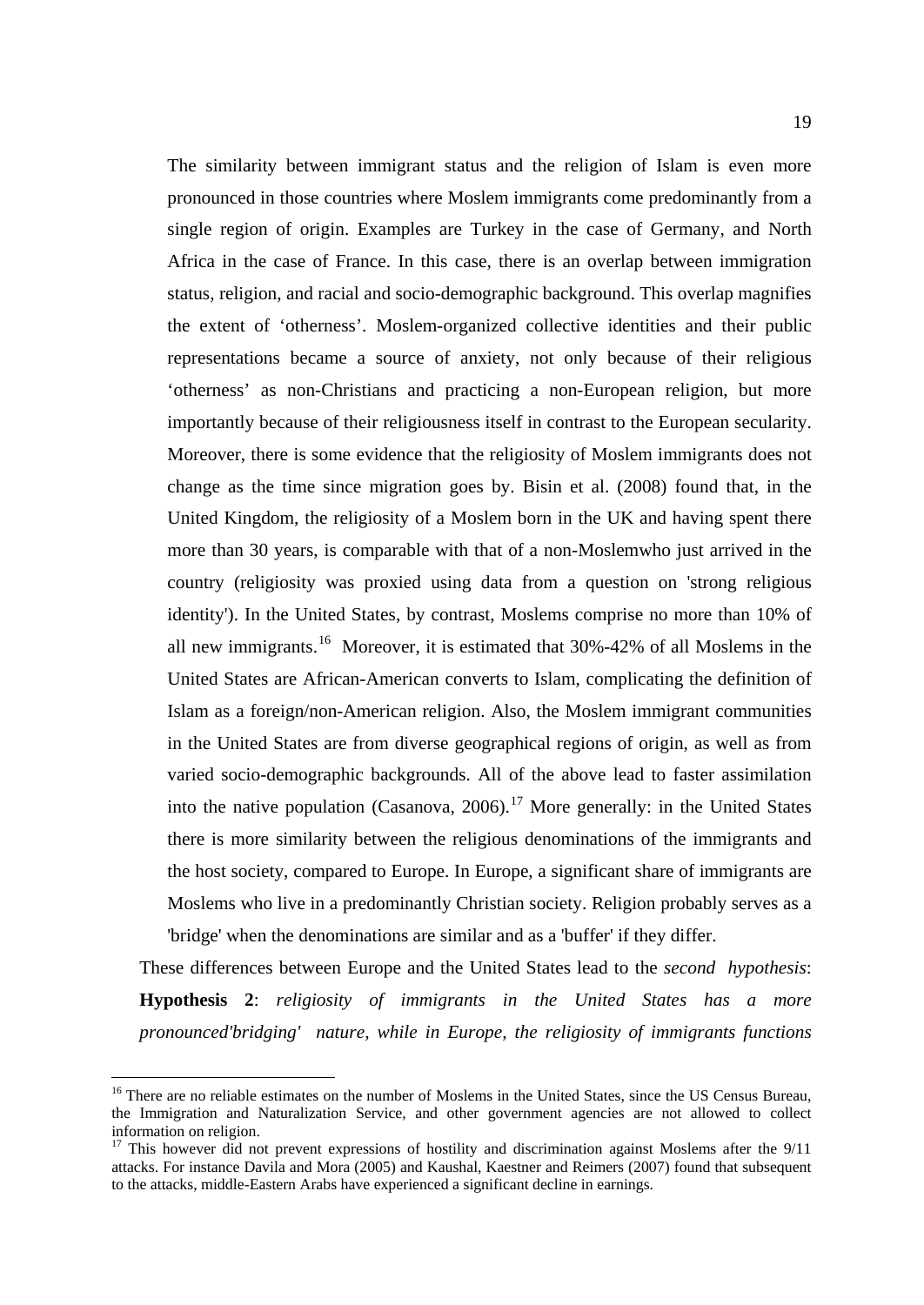The similarity between immigrant status and the religion of Islam is even more pronounced in those countries where Moslem immigrants come predominantly from a single region of origin. Examples are Turkey in the case of Germany, and North Africa in the case of France. In this case, there is an overlap between immigration status, religion, and racial and socio-demographic background. This overlap magnifies the extent of 'otherness'. Moslem-organized collective identities and their public representations became a source of anxiety, not only because of their religious 'otherness' as non-Christians and practicing a non-European religion, but more importantly because of their religiousness itself in contrast to the European secularity. Moreover, there is some evidence that the religiosity of Moslem immigrants does not change as the time since migration goes by. Bisin et al. (2008) found that, in the United Kingdom, the religiosity of a Moslem born in the UK and having spent there more than 30 years, is comparable with that of a non-Moslemwho just arrived in the country (religiosity was proxied using data from a question on 'strong religious identity'). In the United States, by contrast, Moslems comprise no more than 10% of all new immigrants.<sup>[16](#page-20-0)</sup> Moreover, it is estimated that  $30\% -42\%$  of all Moslems in the United States are African-American converts to Islam, complicating the definition of Islam as a foreign/non-American religion. Also, the Moslem immigrant communities in the United States are from diverse geographical regions of origin, as well as from varied socio-demographic backgrounds. All of the above lead to faster assimilation into the native population (Casanova, 2006).<sup>[17](#page-20-1)</sup> More generally: in the United States there is more similarity between the religious denominations of the immigrants and the host society, compared to Europe. In Europe, a significant share of immigrants are Moslems who live in a predominantly Christian society. Religion probably serves as a 'bridge' when the denominations are similar and as a 'buffer' if they differ.

These differences between Europe and the United States lead to the *second hypothesis*: **Hypothesis 2**: *religiosity of immigrants in the United States has a more pronounced'bridging' nature, while in Europe, the religiosity of immigrants functions* 

<span id="page-20-0"></span><sup>&</sup>lt;sup>16</sup> There are no reliable estimates on the number of Moslems in the United States, since the US Census Bureau, the Immigration and Naturalization Service, and other government agencies are not allowed to collect information on religion.

<span id="page-20-1"></span><sup>&</sup>lt;sup>17</sup> This however did not prevent expressions of hostility and discrimination against Moslems after the 9/11 attacks. For instance Davila and Mora (2005) and Kaushal, Kaestner and Reimers (2007) found that subsequent to the attacks, middle-Eastern Arabs have experienced a significant decline in earnings.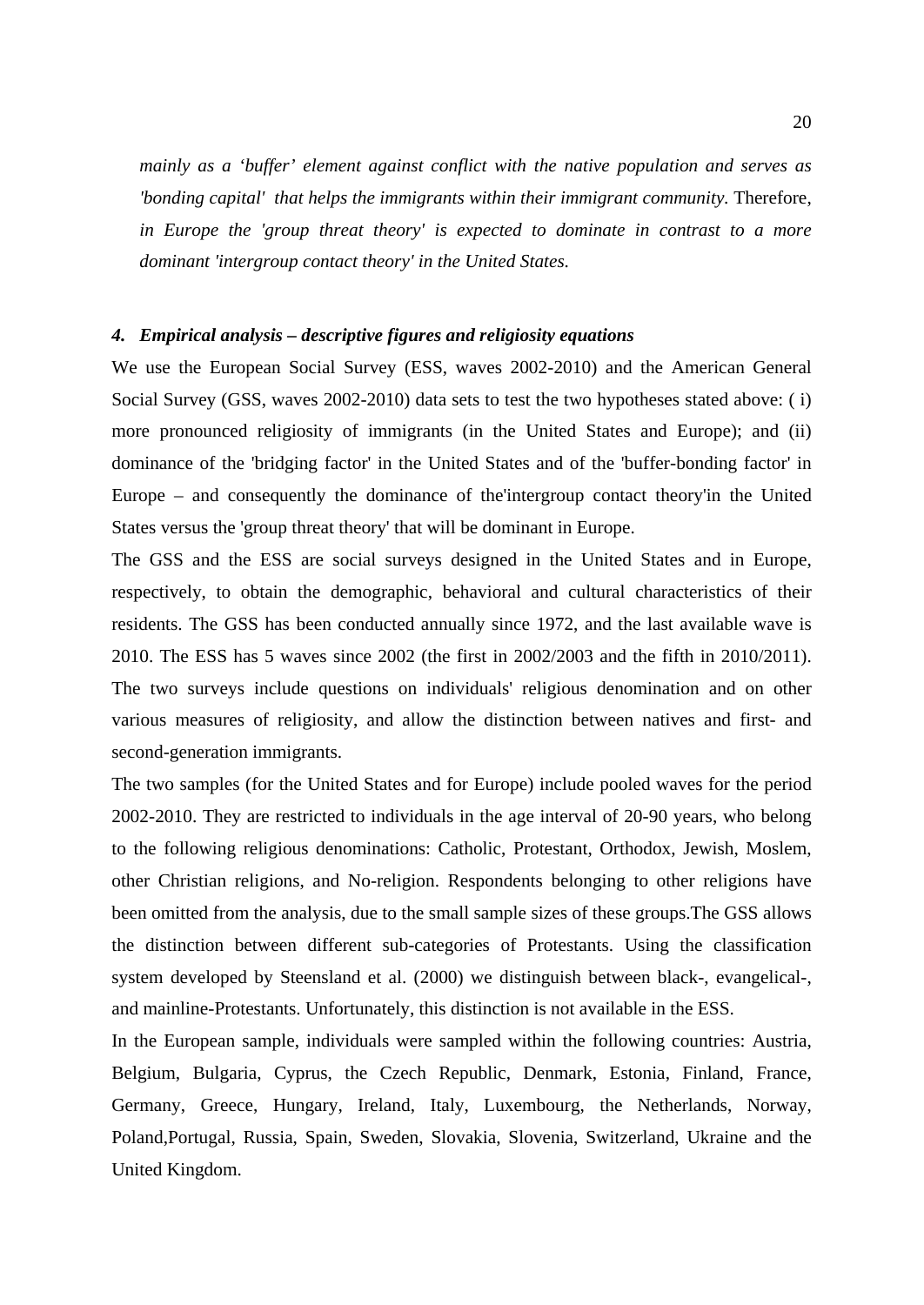*mainly as a 'buffer' element against conflict with the native population and serves as 'bonding capital' that helps the immigrants within their immigrant community.* Therefore, *in Europe the 'group threat theory' is expected to dominate in contrast to a more dominant 'intergroup contact theory' in the United States.*

#### *4. Empirical analysis – descriptive figures and religiosity equations*

We use the European Social Survey (ESS, waves 2002-2010) and the American General Social Survey (GSS, waves 2002-2010) data sets to test the two hypotheses stated above: ( i) more pronounced religiosity of immigrants (in the United States and Europe); and (ii) dominance of the 'bridging factor' in the United States and of the 'buffer-bonding factor' in Europe – and consequently the dominance of the'intergroup contact theory'in the United States versus the 'group threat theory' that will be dominant in Europe.

The GSS and the ESS are social surveys designed in the United States and in Europe, respectively, to obtain the demographic, behavioral and cultural characteristics of their residents. The GSS has been conducted annually since 1972, and the last available wave is 2010. The ESS has 5 waves since 2002 (the first in 2002/2003 and the fifth in 2010/2011). The two surveys include questions on individuals' religious denomination and on other various measures of religiosity, and allow the distinction between natives and first- and second-generation immigrants.

The two samples (for the United States and for Europe) include pooled waves for the period 2002-2010. They are restricted to individuals in the age interval of 20-90 years, who belong to the following religious denominations: Catholic, Protestant, Orthodox, Jewish, Moslem, other Christian religions, and No-religion. Respondents belonging to other religions have been omitted from the analysis, due to the small sample sizes of these groups.The GSS allows the distinction between different sub-categories of Protestants. Using the classification system developed by Steensland et al. (2000) we distinguish between black-, evangelical-, and mainline-Protestants. Unfortunately, this distinction is not available in the ESS.

In the European sample, individuals were sampled within the following countries: Austria, Belgium, Bulgaria, Cyprus, the Czech Republic, Denmark, Estonia, Finland, France, Germany, Greece, Hungary, Ireland, Italy, Luxembourg, the Netherlands, Norway, Poland,Portugal, Russia, Spain, Sweden, Slovakia, Slovenia, Switzerland, Ukraine and the United Kingdom.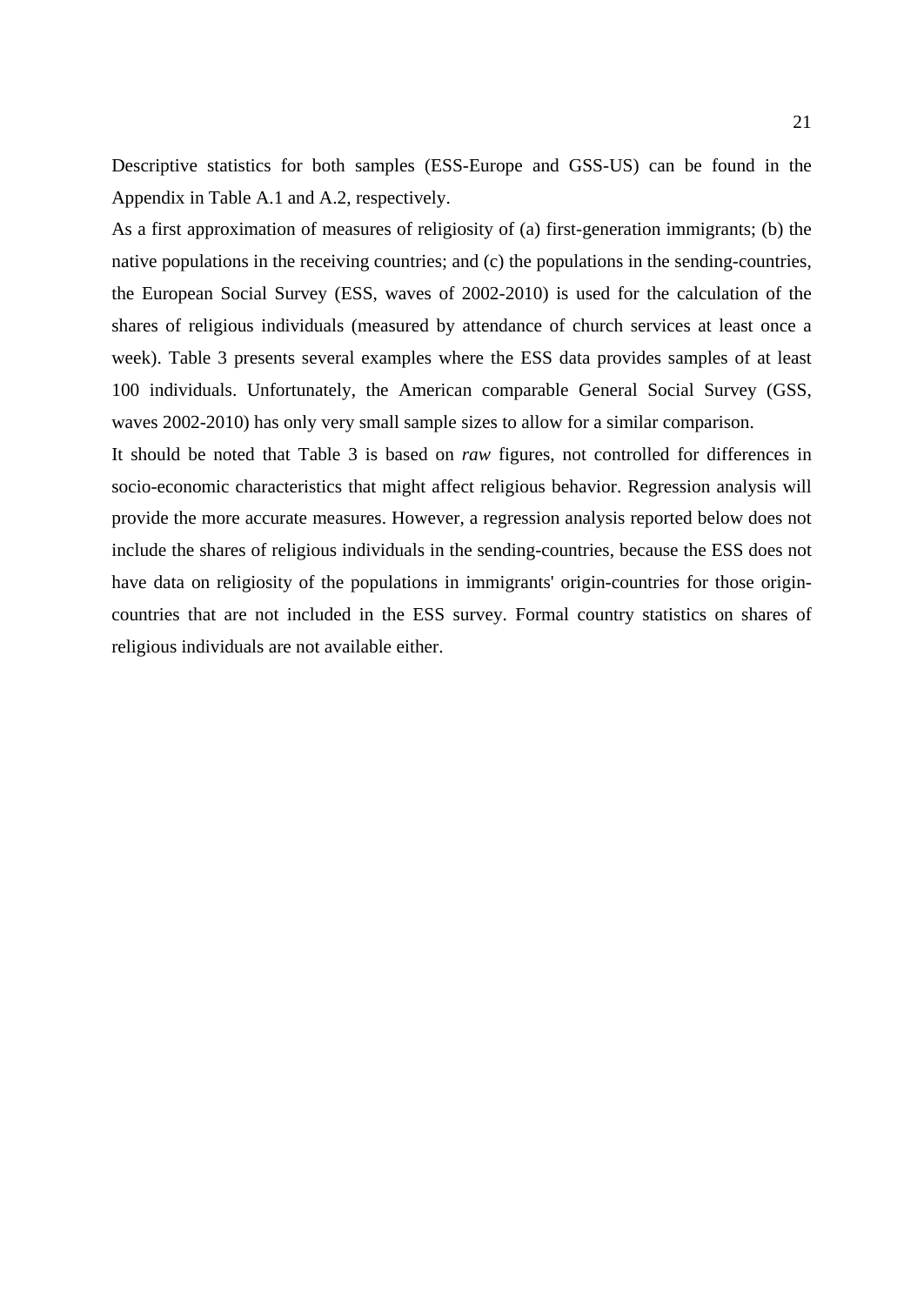Descriptive statistics for both samples (ESS-Europe and GSS-US) can be found in the Appendix in Table A.1 and A.2, respectively.

As a first approximation of measures of religiosity of (a) first-generation immigrants; (b) the native populations in the receiving countries; and (c) the populations in the sending-countries, the European Social Survey (ESS, waves of 2002-2010) is used for the calculation of the shares of religious individuals (measured by attendance of church services at least once a week). Table 3 presents several examples where the ESS data provides samples of at least 100 individuals. Unfortunately, the American comparable General Social Survey (GSS, waves 2002-2010) has only very small sample sizes to allow for a similar comparison.

It should be noted that Table 3 is based on *raw* figures, not controlled for differences in socio-economic characteristics that might affect religious behavior. Regression analysis will provide the more accurate measures. However, a regression analysis reported below does not include the shares of religious individuals in the sending-countries, because the ESS does not have data on religiosity of the populations in immigrants' origin-countries for those origincountries that are not included in the ESS survey. Formal country statistics on shares of religious individuals are not available either.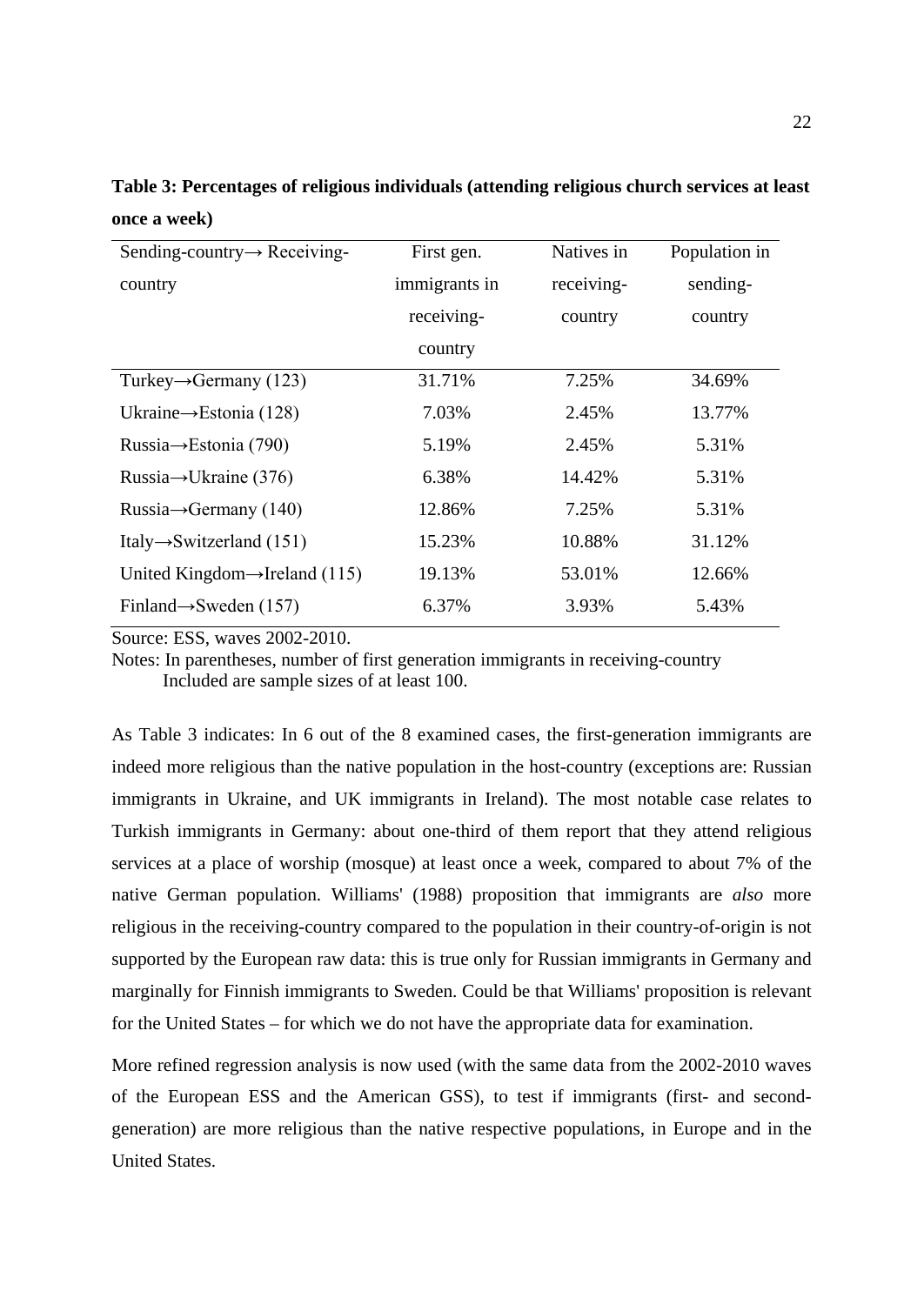| Sending-country $\rightarrow$ Receiving-   | First gen.    | Natives in | Population in |
|--------------------------------------------|---------------|------------|---------------|
| country                                    | immigrants in | receiving- | sending-      |
|                                            | receiving-    | country    | country       |
|                                            | country       |            |               |
| Turkey $\rightarrow$ Germany (123)         | 31.71%        | 7.25%      | 34.69%        |
| Ukraine $\rightarrow$ Estonia (128)        | 7.03%         | 2.45%      | 13.77%        |
| Russia→Estonia (790)                       | 5.19%         | 2.45%      | 5.31%         |
| Russia $\rightarrow$ Ukraine (376)         | 6.38%         | 14.42%     | 5.31%         |
| Russia $\rightarrow$ Germany (140)         | 12.86%        | 7.25%      | 5.31%         |
| Italy $\rightarrow$ Switzerland (151)      | 15.23%        | 10.88%     | 31.12%        |
| United Kingdom $\rightarrow$ Ireland (115) | 19.13%        | 53.01%     | 12.66%        |
| Finland $\rightarrow$ Sweden (157)         | 6.37%         | 3.93%      | 5.43%         |

**Table 3: Percentages of religious individuals (attending religious church services at least once a week)**

Source: ESS, waves 2002-2010.

Notes: In parentheses, number of first generation immigrants in receiving-country Included are sample sizes of at least 100.

As Table 3 indicates: In 6 out of the 8 examined cases, the first-generation immigrants are indeed more religious than the native population in the host-country (exceptions are: Russian immigrants in Ukraine, and UK immigrants in Ireland). The most notable case relates to Turkish immigrants in Germany: about one-third of them report that they attend religious services at a place of worship (mosque) at least once a week, compared to about 7% of the native German population. Williams' (1988) proposition that immigrants are *also* more religious in the receiving-country compared to the population in their country-of-origin is not supported by the European raw data: this is true only for Russian immigrants in Germany and marginally for Finnish immigrants to Sweden. Could be that Williams' proposition is relevant for the United States – for which we do not have the appropriate data for examination.

More refined regression analysis is now used (with the same data from the 2002-2010 waves of the European ESS and the American GSS), to test if immigrants (first- and secondgeneration) are more religious than the native respective populations, in Europe and in the United States.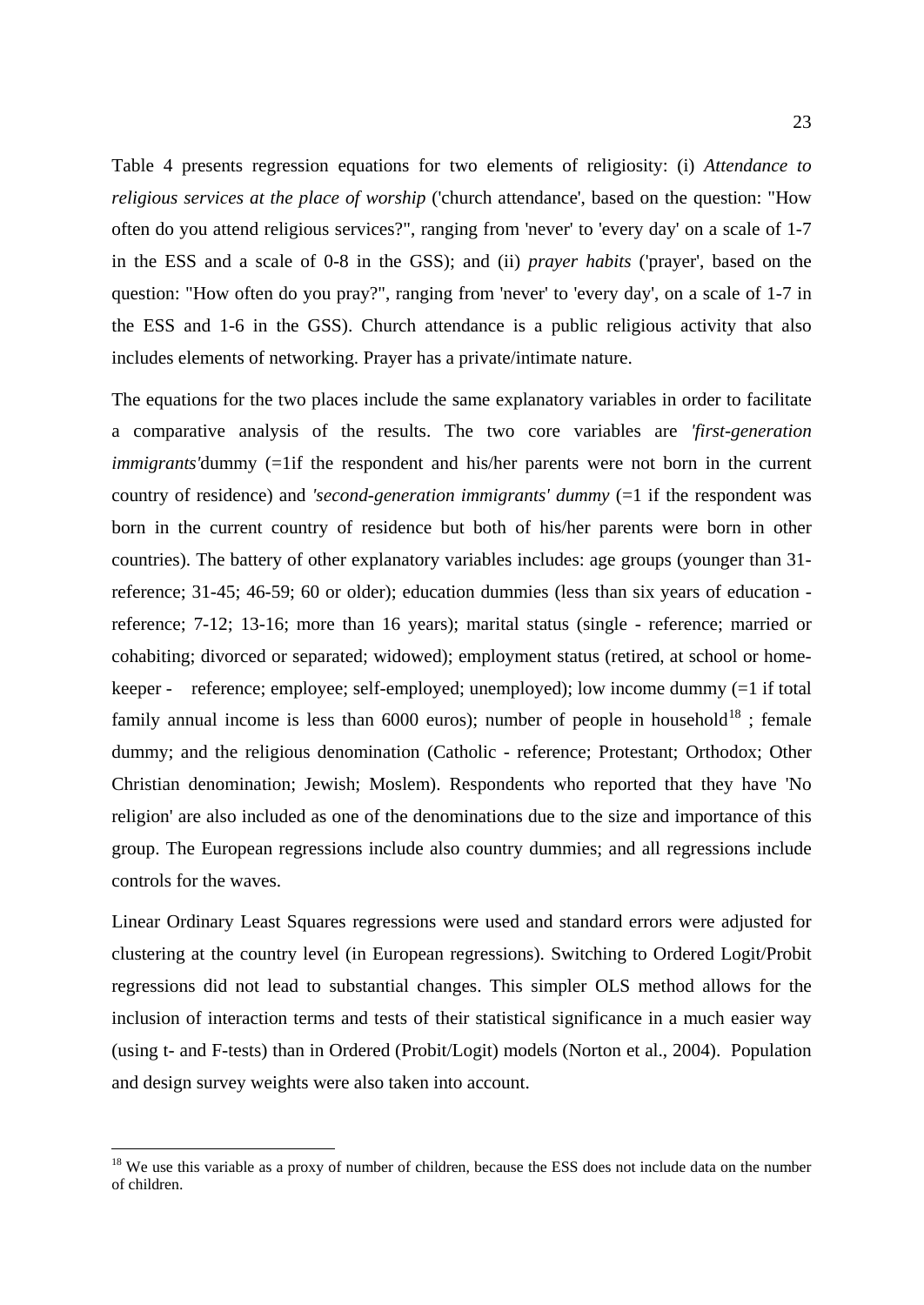Table 4 presents regression equations for two elements of religiosity: (i) *Attendance to religious services at the place of worship* ('church attendance', based on the question: "How often do you attend religious services?", ranging from 'never' to 'every day' on a scale of 1-7 in the ESS and a scale of 0-8 in the GSS); and (ii) *prayer habits* ('prayer', based on the question: "How often do you pray?", ranging from 'never' to 'every day', on a scale of 1-7 in the ESS and 1-6 in the GSS). Church attendance is a public religious activity that also includes elements of networking. Prayer has a private/intimate nature.

The equations for the two places include the same explanatory variables in order to facilitate a comparative analysis of the results. The two core variables are *'first-generation immigrants*'dummy (=1if the respondent and his/her parents were not born in the current country of residence) and *'second-generation immigrants' dummy* (=1 if the respondent was born in the current country of residence but both of his/her parents were born in other countries). The battery of other explanatory variables includes: age groups (younger than 31 reference; 31-45; 46-59; 60 or older); education dummies (less than six years of education reference; 7-12; 13-16; more than 16 years); marital status (single - reference; married or cohabiting; divorced or separated; widowed); employment status (retired, at school or homekeeper - reference; employee; self-employed; unemployed); low income dummy (=1 if total family annual income is less than  $6000$  euros); number of people in household<sup>[18](#page-24-0)</sup>; female dummy; and the religious denomination (Catholic - reference; Protestant; Orthodox; Other Christian denomination; Jewish; Moslem). Respondents who reported that they have 'No religion' are also included as one of the denominations due to the size and importance of this group. The European regressions include also country dummies; and all regressions include controls for the waves.

Linear Ordinary Least Squares regressions were used and standard errors were adjusted for clustering at the country level (in European regressions). Switching to Ordered Logit/Probit regressions did not lead to substantial changes. This simpler OLS method allows for the inclusion of interaction terms and tests of their statistical significance in a much easier way (using t- and F-tests) than in Ordered (Probit/Logit) models (Norton et al., 2004). Population and design survey weights were also taken into account.

<span id="page-24-0"></span><sup>&</sup>lt;sup>18</sup> We use this variable as a proxy of number of children, because the ESS does not include data on the number of children.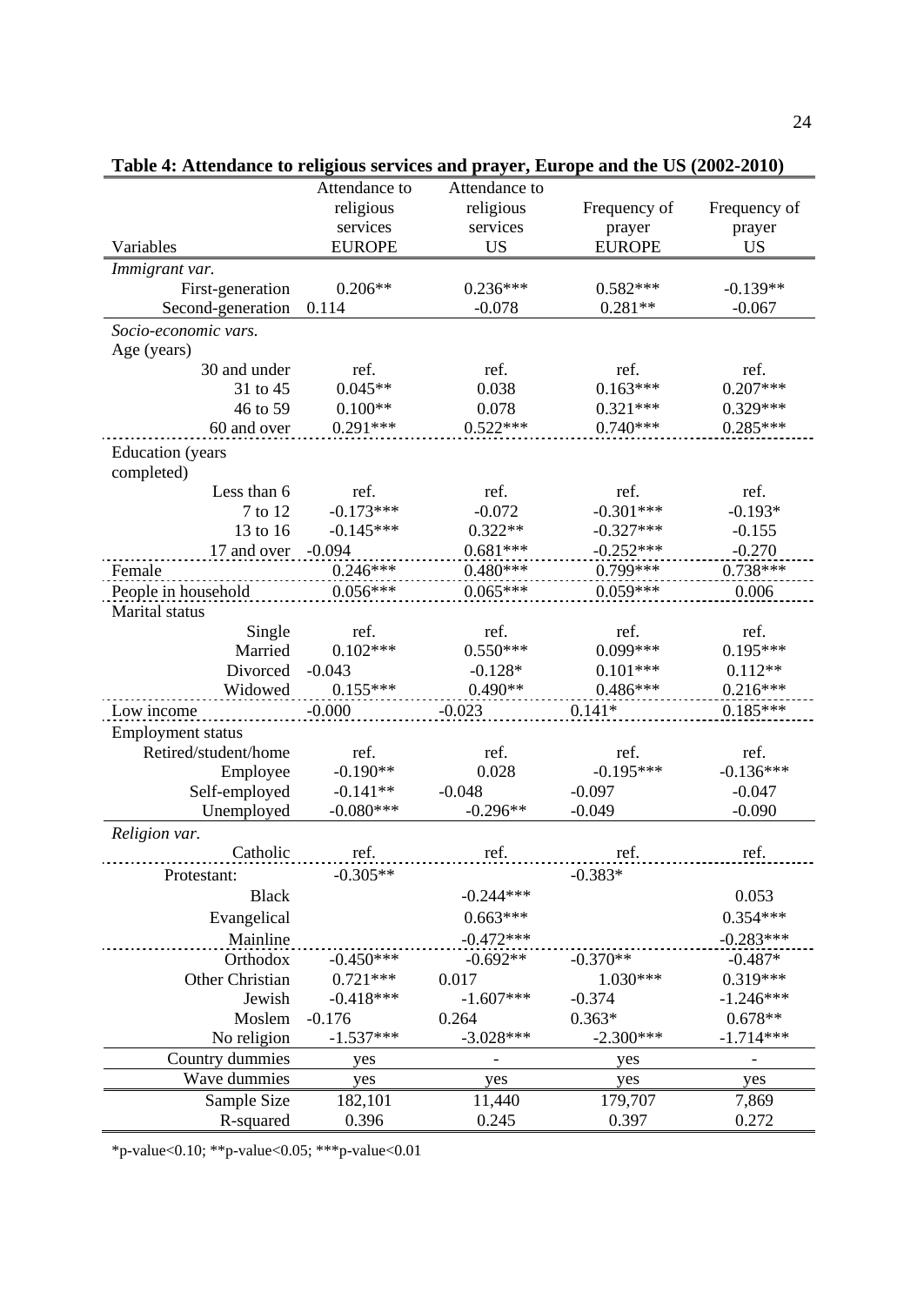|                                       | Attendance to | Attendance to |               |              |
|---------------------------------------|---------------|---------------|---------------|--------------|
|                                       | religious     | religious     | Frequency of  | Frequency of |
|                                       | services      | services      | prayer        | prayer       |
| Variables                             | <b>EUROPE</b> | <b>US</b>     | <b>EUROPE</b> | <b>US</b>    |
| Immigrant var.                        |               |               |               |              |
| First-generation                      | $0.206**$     | $0.236***$    | $0.582***$    | $-0.139**$   |
| Second-generation                     | 0.114         | $-0.078$      | $0.281**$     | $-0.067$     |
| Socio-economic vars.                  |               |               |               |              |
| Age (years)                           |               |               |               |              |
| 30 and under                          | ref.          | ref.          | ref.          | ref.         |
| 31 to 45                              | $0.045**$     | 0.038         | $0.163***$    | $0.207***$   |
| 46 to 59                              | $0.100**$     | 0.078         | $0.321***$    | $0.329***$   |
| 60 and over                           | $0.291***$    | $0.522***$    | $0.740***$    | $0.285***$   |
| <b>Education</b> (years<br>completed) |               |               |               |              |
| Less than 6                           | ref.          | ref.          | ref.          | ref.         |
| 7 to 12                               | $-0.173***$   | $-0.072$      | $-0.301***$   | $-0.193*$    |
| 13 to 16                              | $-0.145***$   | $0.322**$     | $-0.327***$   | $-0.155$     |
| 17 and over                           | $-0.094$      | $0.681***$    | $-0.252***$   | $-0.270$     |
| Female                                | $0.246***$    | $0.480***$    | $0.799***$    | $0.738***$   |
| People in household                   | $0.056***$    | $0.065***$    | $0.059***$    | 0.006        |
| Marital status                        |               |               |               |              |
| Single                                | ref.          | ref.          | ref.          | ref.         |
| Married                               | $0.102***$    | $0.550***$    | $0.099***$    | $0.195***$   |
| Divorced                              | $-0.043$      | $-0.128*$     | $0.101***$    | $0.112**$    |
| Widowed                               | $0.155***$    | $0.490**$     | $0.486***$    | $0.216***$   |
| Low income                            | $-0.000$      | $-0.023$      | $0.141*$      | $0.185***$   |
| <b>Employment status</b>              |               |               |               |              |
| Retired/student/home                  | ref.          | ref.          | ref.          | ref.         |
| Employee                              | $-0.190**$    | 0.028         | $-0.195***$   | $-0.136***$  |
| Self-employed                         | $-0.141**$    | $-0.048$      | $-0.097$      | $-0.047$     |
| Unemployed                            | $-0.080***$   | $-0.296**$    | $-0.049$      | $-0.090$     |
| Religion var.                         |               |               |               |              |
| Catholic                              | ref.          | ref.          | ref.          | ref.         |
| Protestant:                           | $-0.305**$    |               | $-0.383*$     |              |
| <b>Black</b>                          |               | $-0.244***$   |               | 0.053        |
| Evangelical                           |               | $0.663***$    |               | $0.354***$   |
| Mainline                              |               | $-0.472***$   |               | $-0.283***$  |
| Orthodox                              | $-0.450***$   | $-0.692**$    | $-0.370**$    | $-0.487*$    |
| Other Christian                       | $0.721***$    | 0.017         | $1.030***$    | $0.319***$   |
| Jewish                                | $-0.418***$   | $-1.607***$   | $-0.374$      | $-1.246***$  |
| Moslem                                | $-0.176$      | 0.264         | $0.363*$      | $0.678**$    |
| No religion                           | $-1.537***$   | $-3.028***$   | $-2.300***$   | $-1.714***$  |
| Country dummies                       | yes           |               | yes           |              |
| Wave dummies                          | yes           | yes           | yes           | yes          |
| Sample Size                           | 182,101       | 11,440        | 179,707       | 7,869        |
| R-squared                             | 0.396         | 0.245         | 0.397         | 0.272        |
|                                       |               |               |               |              |

| Table 4: Attendance to religious services and prayer, Europe and the US (2002-2010) |  |  |
|-------------------------------------------------------------------------------------|--|--|
|                                                                                     |  |  |

\*p-value<0.10; \*\*p-value<0.05; \*\*\*p-value<0.01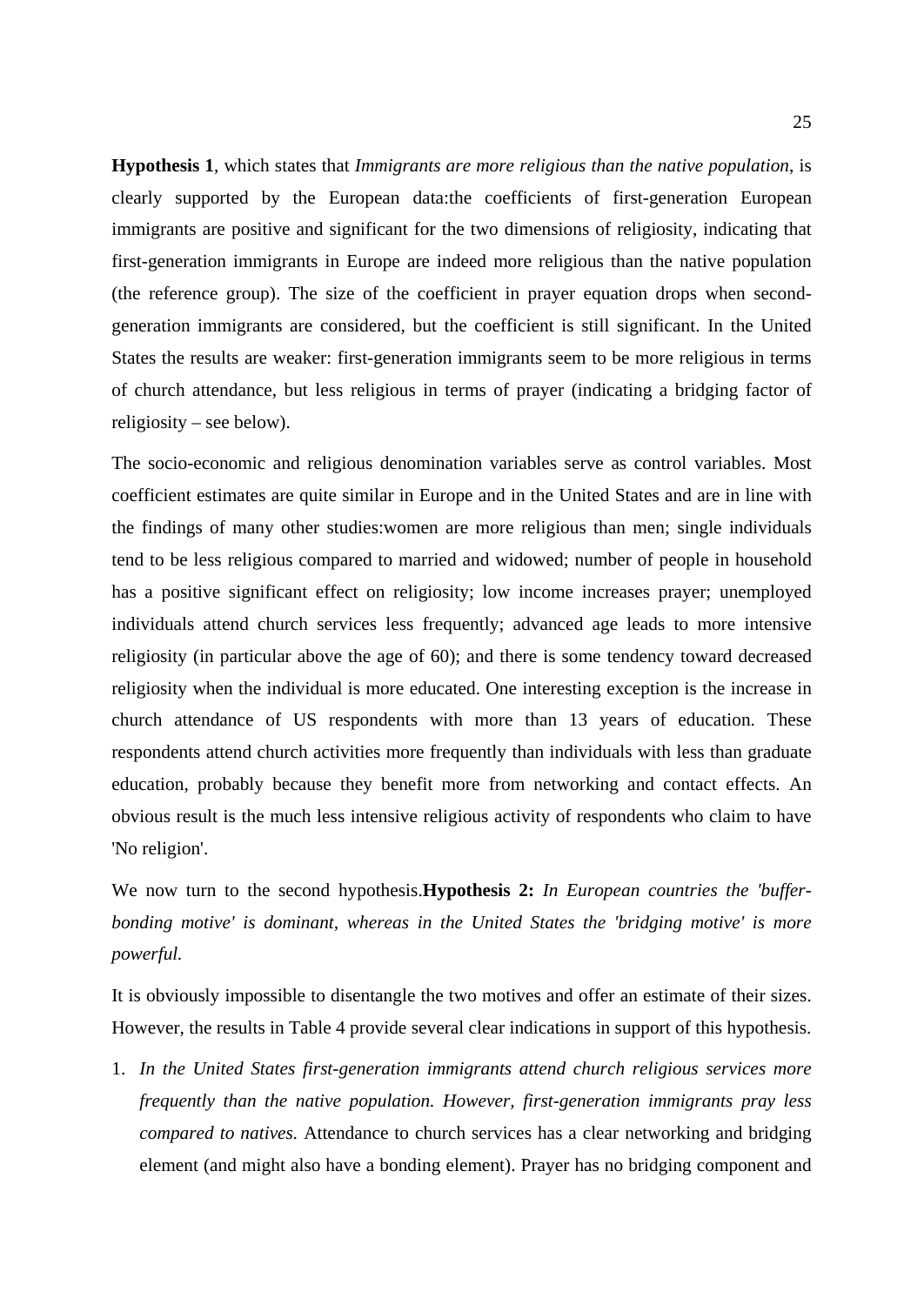**Hypothesis 1**, which states that *Immigrants are more religious than the native population*, is clearly supported by the European data:the coefficients of first-generation European immigrants are positive and significant for the two dimensions of religiosity, indicating that first-generation immigrants in Europe are indeed more religious than the native population (the reference group). The size of the coefficient in prayer equation drops when secondgeneration immigrants are considered, but the coefficient is still significant. In the United States the results are weaker: first-generation immigrants seem to be more religious in terms of church attendance, but less religious in terms of prayer (indicating a bridging factor of religiosity – see below).

The socio-economic and religious denomination variables serve as control variables. Most coefficient estimates are quite similar in Europe and in the United States and are in line with the findings of many other studies:women are more religious than men; single individuals tend to be less religious compared to married and widowed; number of people in household has a positive significant effect on religiosity; low income increases prayer; unemployed individuals attend church services less frequently; advanced age leads to more intensive religiosity (in particular above the age of 60); and there is some tendency toward decreased religiosity when the individual is more educated. One interesting exception is the increase in church attendance of US respondents with more than 13 years of education. These respondents attend church activities more frequently than individuals with less than graduate education, probably because they benefit more from networking and contact effects. An obvious result is the much less intensive religious activity of respondents who claim to have 'No religion'.

We now turn to the second hypothesis.**Hypothesis 2:** *In European countries the 'bufferbonding motive' is dominant, whereas in the United States the 'bridging motive' is more powerful.*

It is obviously impossible to disentangle the two motives and offer an estimate of their sizes. However, the results in Table 4 provide several clear indications in support of this hypothesis.

1. *In the United States first-generation immigrants attend church religious services more frequently than the native population. However, first-generation immigrants pray less compared to natives.* Attendance to church services has a clear networking and bridging element (and might also have a bonding element). Prayer has no bridging component and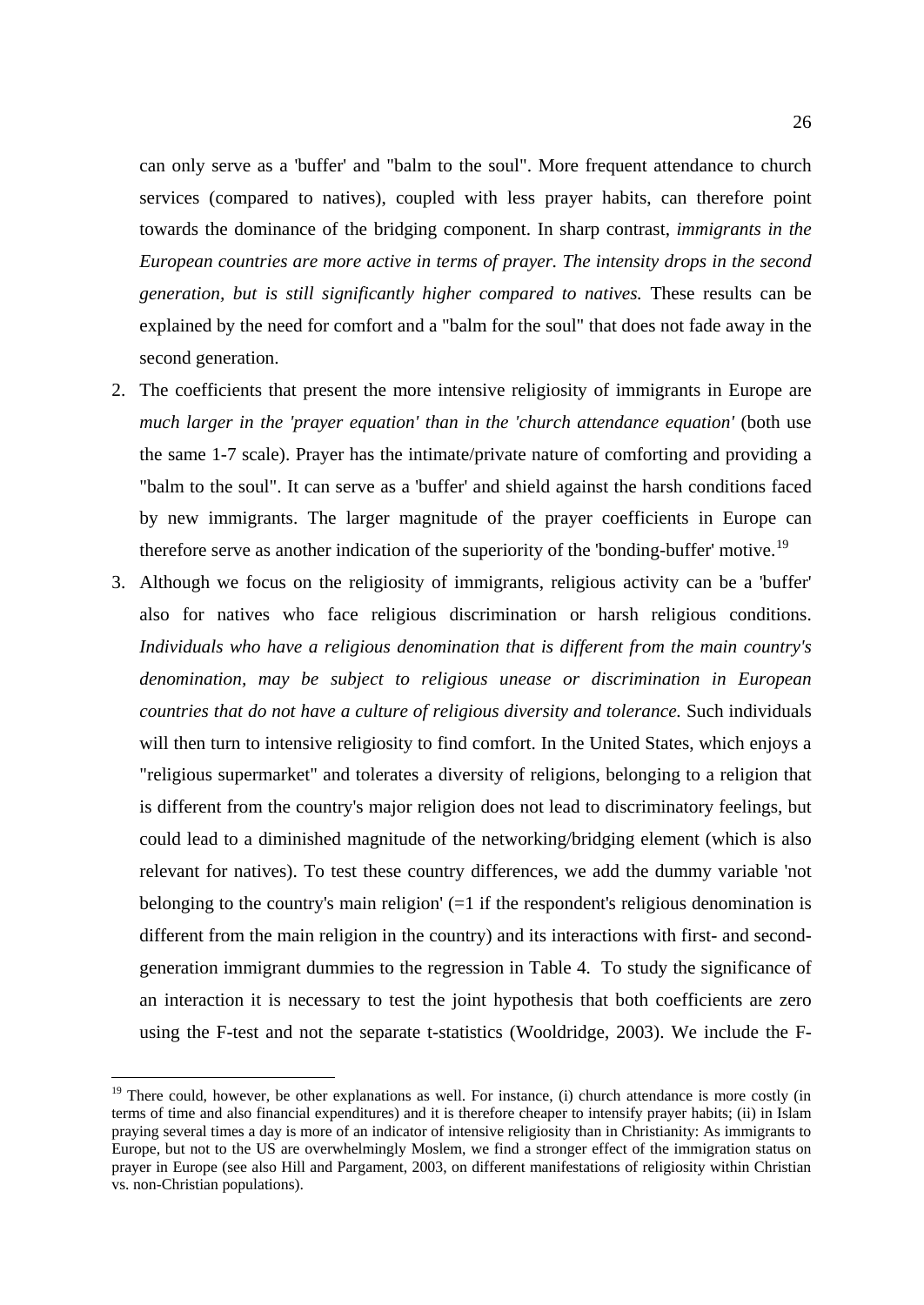can only serve as a 'buffer' and "balm to the soul". More frequent attendance to church services (compared to natives), coupled with less prayer habits, can therefore point towards the dominance of the bridging component. In sharp contrast, *immigrants in the European countries are more active in terms of prayer. The intensity drops in the second generation, but is still significantly higher compared to natives.* These results can be explained by the need for comfort and a "balm for the soul" that does not fade away in the second generation.

- 2. The coefficients that present the more intensive religiosity of immigrants in Europe are *much larger in the 'prayer equation' than in the 'church attendance equation'* (both use the same 1-7 scale). Prayer has the intimate/private nature of comforting and providing a "balm to the soul". It can serve as a 'buffer' and shield against the harsh conditions faced by new immigrants. The larger magnitude of the prayer coefficients in Europe can therefore serve as another indication of the superiority of the 'bonding-buffer' motive.<sup>[19](#page-27-0)</sup>
- 3. Although we focus on the religiosity of immigrants, religious activity can be a 'buffer' also for natives who face religious discrimination or harsh religious conditions. *Individuals who have a religious denomination that is different from the main country's denomination, may be subject to religious unease or discrimination in European countries that do not have a culture of religious diversity and tolerance.* Such individuals will then turn to intensive religiosity to find comfort. In the United States, which enjoys a "religious supermarket" and tolerates a diversity of religions, belonging to a religion that is different from the country's major religion does not lead to discriminatory feelings, but could lead to a diminished magnitude of the networking/bridging element (which is also relevant for natives). To test these country differences, we add the dummy variable 'not belonging to the country's main religion'  $(=1$  if the respondent's religious denomination is different from the main religion in the country) and its interactions with first- and secondgeneration immigrant dummies to the regression in Table 4. To study the significance of an interaction it is necessary to test the joint hypothesis that both coefficients are zero using the F-test and not the separate t-statistics (Wooldridge, 2003). We include the F-

<span id="page-27-0"></span><sup>&</sup>lt;sup>19</sup> There could, however, be other explanations as well. For instance, (i) church attendance is more costly (in terms of time and also financial expenditures) and it is therefore cheaper to intensify prayer habits; (ii) in Islam praying several times a day is more of an indicator of intensive religiosity than in Christianity: As immigrants to Europe, but not to the US are overwhelmingly Moslem, we find a stronger effect of the immigration status on prayer in Europe (see also Hill and Pargament, 2003, on different manifestations of religiosity within Christian vs. non-Christian populations).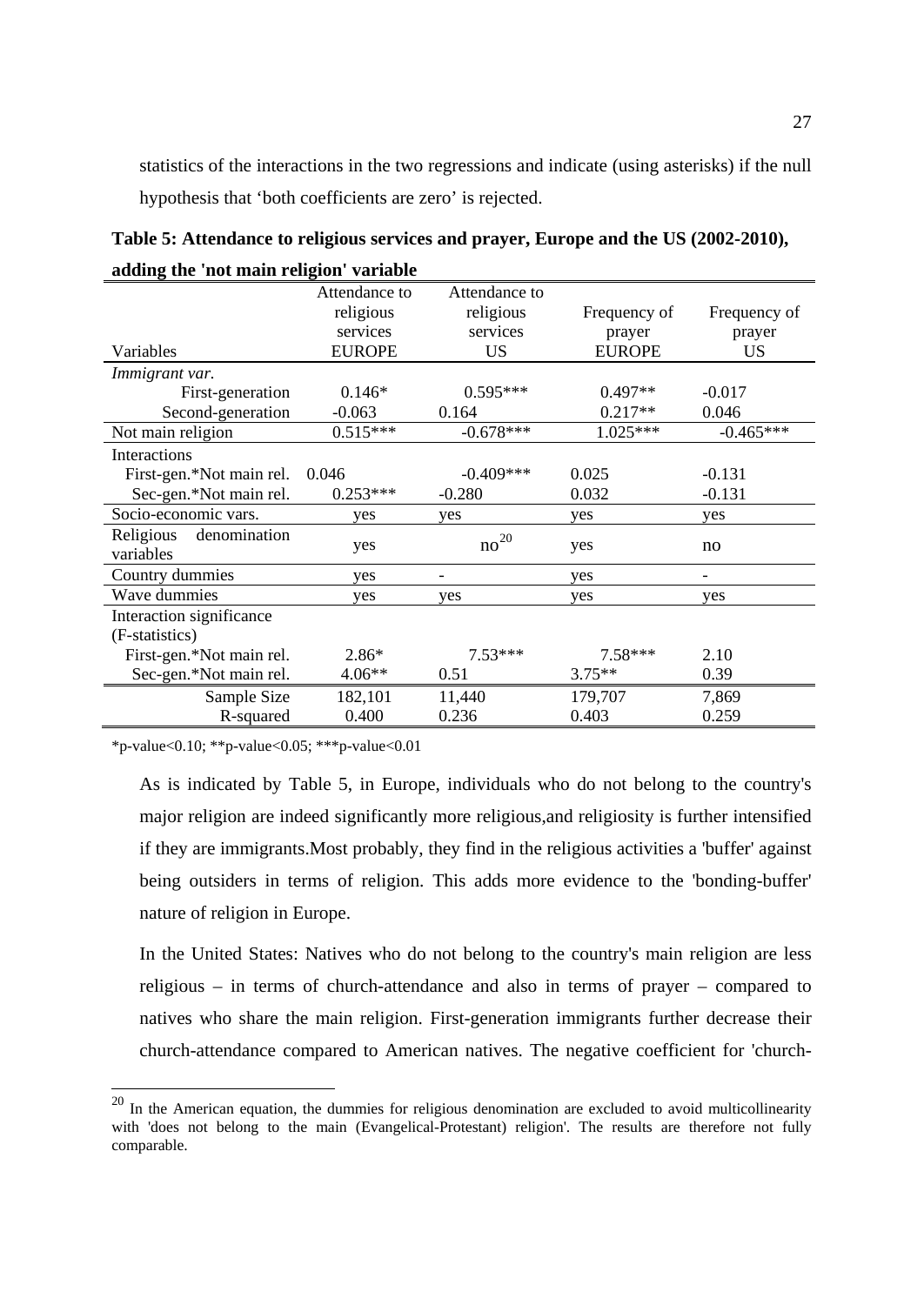statistics of the interactions in the two regressions and indicate (using asterisks) if the null hypothesis that 'both coefficients are zero' is rejected.

| Table 5: Attendance to religious services and prayer, Europe and the US (2002-2010), |
|--------------------------------------------------------------------------------------|
| adding the 'not main religion' variable                                              |

|                           | Attendance to | Attendance to |               |              |
|---------------------------|---------------|---------------|---------------|--------------|
|                           | religious     | religious     | Frequency of  | Frequency of |
|                           | services      | services      | prayer        | prayer       |
| Variables                 | <b>EUROPE</b> | <b>US</b>     | <b>EUROPE</b> | <b>US</b>    |
| Immigrant var.            |               |               |               |              |
| First-generation          | $0.146*$      | $0.595***$    | $0.497**$     | $-0.017$     |
| Second-generation         | $-0.063$      | 0.164         | $0.217**$     | 0.046        |
| Not main religion         | $0.515***$    | $-0.678***$   | $1.025***$    | $-0.465***$  |
| Interactions              |               |               |               |              |
| First-gen.*Not main rel.  | 0.046         | $-0.409***$   | 0.025         | $-0.131$     |
| Sec-gen.*Not main rel.    | $0.253***$    | $-0.280$      | 0.032         | $-0.131$     |
| Socio-economic vars.      | yes           | yes           | yes           | yes          |
| Religious<br>denomination |               | $no^{20}$     |               |              |
| variables                 | yes           |               | yes           | no           |
| Country dummies           | yes           |               | yes           |              |
| Wave dummies              | ves           | ves           | yes           | ves          |
| Interaction significance  |               |               |               |              |
| (F-statistics)            |               |               |               |              |
| First-gen.*Not main rel.  | $2.86*$       | $7.53***$     | $7.58***$     | 2.10         |
| Sec-gen.*Not main rel.    | $4.06**$      | 0.51          | $3.75**$      | 0.39         |
| Sample Size               | 182,101       | 11,440        | 179,707       | 7,869        |
| R-squared                 | 0.400         | 0.236         | 0.403         | 0.259        |

\*p-value<0.10; \*\*p-value<0.05; \*\*\*p-value<0.01

As is indicated by Table 5, in Europe, individuals who do not belong to the country's major religion are indeed significantly more religious,and religiosity is further intensified if they are immigrants.Most probably, they find in the religious activities a 'buffer' against being outsiders in terms of religion. This adds more evidence to the 'bonding-buffer' nature of religion in Europe.

In the United States: Natives who do not belong to the country's main religion are less religious – in terms of church-attendance and also in terms of prayer – compared to natives who share the main religion. First-generation immigrants further decrease their church-attendance compared to American natives. The negative coefficient for 'church-

<span id="page-28-0"></span><sup>&</sup>lt;sup>20</sup> In the American equation, the dummies for religious denomination are excluded to avoid multicollinearity with 'does not belong to the main (Evangelical-Protestant) religion'. The results are therefore not fully comparable.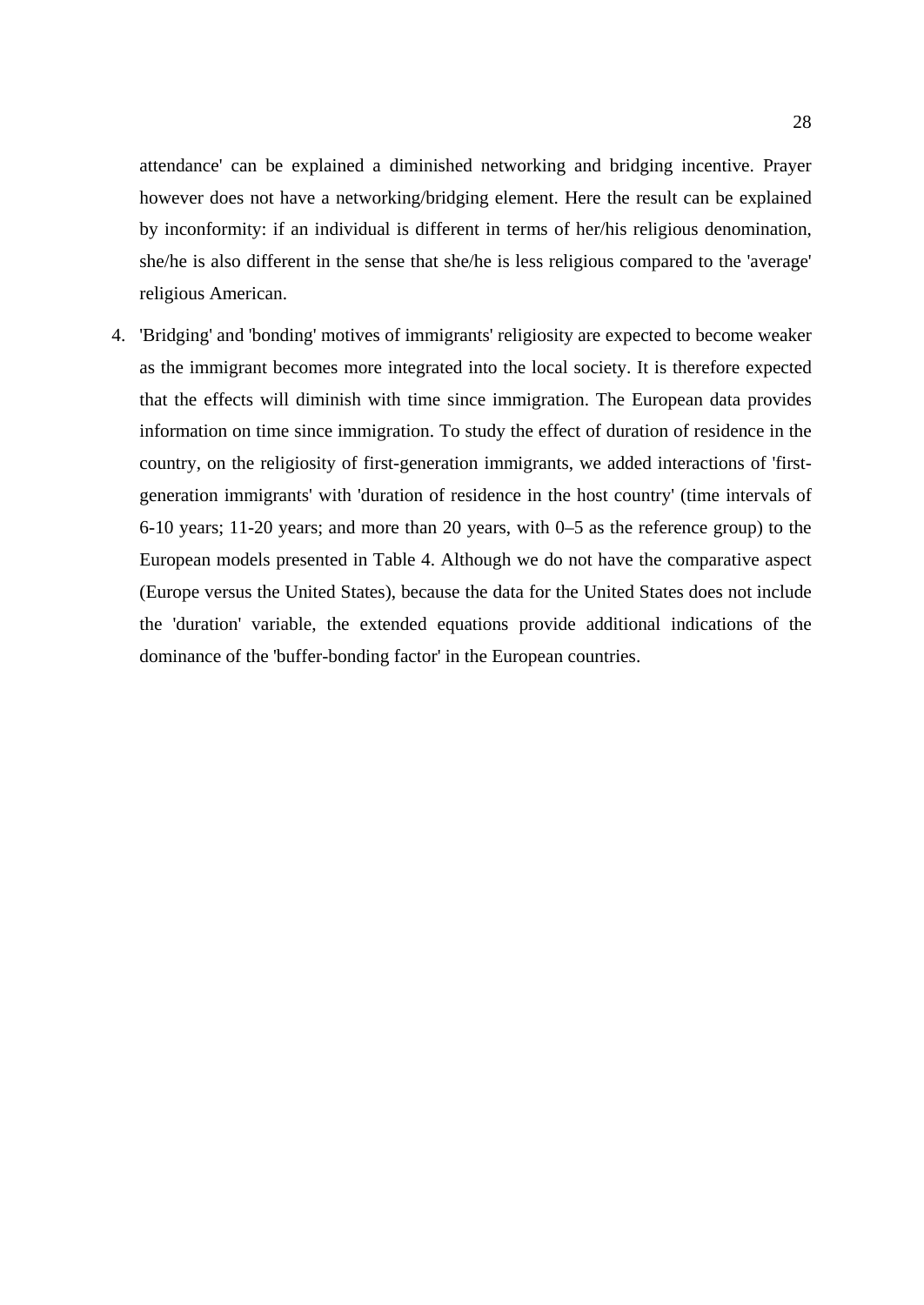attendance' can be explained a diminished networking and bridging incentive. Prayer however does not have a networking/bridging element. Here the result can be explained by inconformity: if an individual is different in terms of her/his religious denomination, she/he is also different in the sense that she/he is less religious compared to the 'average' religious American.

4. 'Bridging' and 'bonding' motives of immigrants' religiosity are expected to become weaker as the immigrant becomes more integrated into the local society. It is therefore expected that the effects will diminish with time since immigration. The European data provides information on time since immigration. To study the effect of duration of residence in the country, on the religiosity of first-generation immigrants, we added interactions of 'firstgeneration immigrants' with 'duration of residence in the host country' (time intervals of 6-10 years; 11-20 years; and more than 20 years, with 0–5 as the reference group) to the European models presented in Table 4. Although we do not have the comparative aspect (Europe versus the United States), because the data for the United States does not include the 'duration' variable, the extended equations provide additional indications of the dominance of the 'buffer-bonding factor' in the European countries.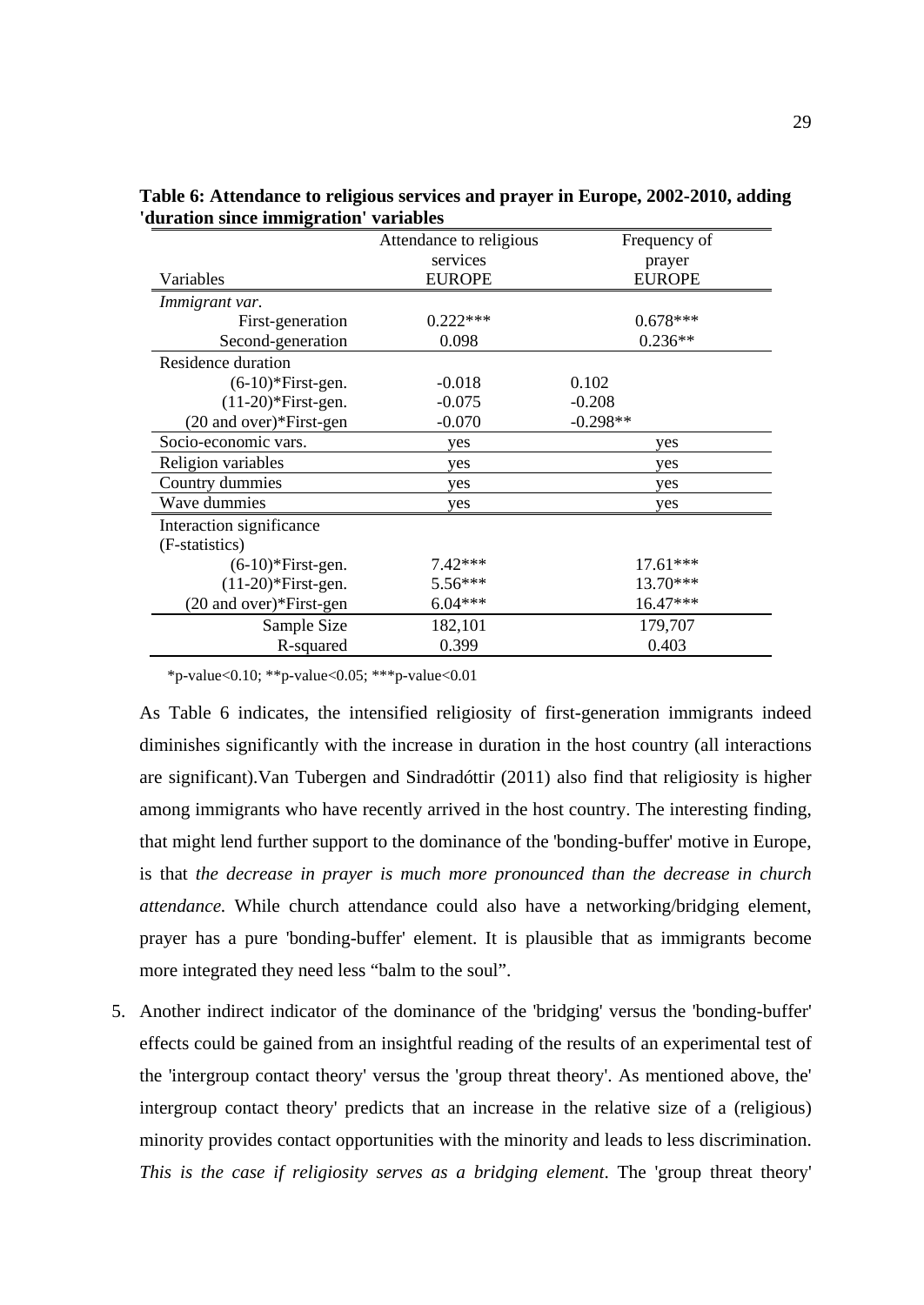|                          | Attendance to religious | Frequency of  |
|--------------------------|-------------------------|---------------|
|                          | services                | prayer        |
| Variables                | <b>EUROPE</b>           | <b>EUROPE</b> |
| Immigrant var.           |                         |               |
| First-generation         | $0.222***$              | $0.678***$    |
| Second-generation        | 0.098                   | $0.236**$     |
| Residence duration       |                         |               |
| $(6-10)*First-gen.$      | $-0.018$                | 0.102         |
| $(11-20)$ *First-gen.    | $-0.075$                | $-0.208$      |
| (20 and over)*First-gen  | $-0.070$                | $-0.298**$    |
| Socio-economic vars.     | yes                     | yes           |
| Religion variables       | yes                     | yes           |
| Country dummies          | yes                     | yes           |
| Wave dummies             | yes                     | yes           |
| Interaction significance |                         |               |
| (F-statistics)           |                         |               |
| $(6-10)*First-gen.$      | $7.42***$               | $17.61***$    |
| $(11-20)$ *First-gen.    | $5.56***$               | 13.70***      |
| (20 and over)*First-gen  | $6.04***$               | $16.47***$    |
| Sample Size              | 182,101                 | 179,707       |
| R-squared                | 0.399                   | 0.403         |

**Table 6: Attendance to religious services and prayer in Europe, 2002-2010, adding 'duration since immigration' variables**

\*p-value<0.10; \*\*p-value<0.05; \*\*\*p-value<0.01

As Table 6 indicates, the intensified religiosity of first-generation immigrants indeed diminishes significantly with the increase in duration in the host country (all interactions are significant).Van Tubergen and Sindradóttir (2011) also find that religiosity is higher among immigrants who have recently arrived in the host country. The interesting finding, that might lend further support to the dominance of the 'bonding-buffer' motive in Europe, is that *the decrease in prayer is much more pronounced than the decrease in church attendance.* While church attendance could also have a networking/bridging element, prayer has a pure 'bonding-buffer' element. It is plausible that as immigrants become more integrated they need less "balm to the soul".

5. Another indirect indicator of the dominance of the 'bridging' versus the 'bonding-buffer' effects could be gained from an insightful reading of the results of an experimental test of the 'intergroup contact theory' versus the 'group threat theory'. As mentioned above, the' intergroup contact theory' predicts that an increase in the relative size of a (religious) minority provides contact opportunities with the minority and leads to less discrimination. *This is the case if religiosity serves as a bridging element*. The 'group threat theory'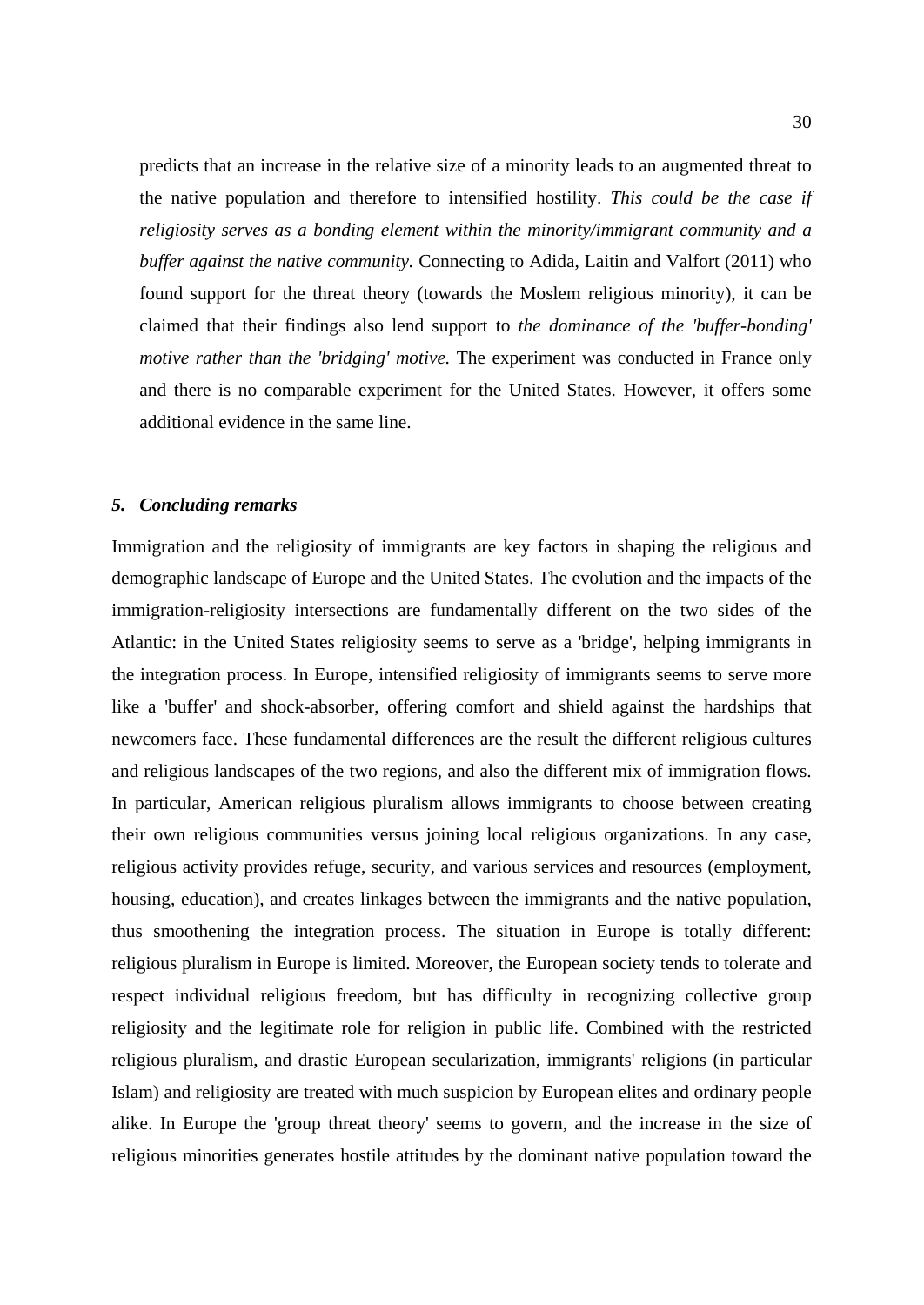predicts that an increase in the relative size of a minority leads to an augmented threat to the native population and therefore to intensified hostility. *This could be the case if religiosity serves as a bonding element within the minority/immigrant community and a buffer against the native community.* Connecting to Adida, Laitin and Valfort (2011) who found support for the threat theory (towards the Moslem religious minority), it can be claimed that their findings also lend support to *the dominance of the 'buffer-bonding' motive rather than the 'bridging' motive.* The experiment was conducted in France only and there is no comparable experiment for the United States. However, it offers some additional evidence in the same line.

#### *5. Concluding remarks*

Immigration and the religiosity of immigrants are key factors in shaping the religious and demographic landscape of Europe and the United States. The evolution and the impacts of the immigration-religiosity intersections are fundamentally different on the two sides of the Atlantic: in the United States religiosity seems to serve as a 'bridge', helping immigrants in the integration process. In Europe, intensified religiosity of immigrants seems to serve more like a 'buffer' and shock-absorber, offering comfort and shield against the hardships that newcomers face. These fundamental differences are the result the different religious cultures and religious landscapes of the two regions, and also the different mix of immigration flows. In particular, American religious pluralism allows immigrants to choose between creating their own religious communities versus joining local religious organizations. In any case, religious activity provides refuge, security, and various services and resources (employment, housing, education), and creates linkages between the immigrants and the native population, thus smoothening the integration process. The situation in Europe is totally different: religious pluralism in Europe is limited. Moreover, the European society tends to tolerate and respect individual religious freedom, but has difficulty in recognizing collective group religiosity and the legitimate role for religion in public life. Combined with the restricted religious pluralism, and drastic European secularization, immigrants' religions (in particular Islam) and religiosity are treated with much suspicion by European elites and ordinary people alike. In Europe the 'group threat theory' seems to govern, and the increase in the size of religious minorities generates hostile attitudes by the dominant native population toward the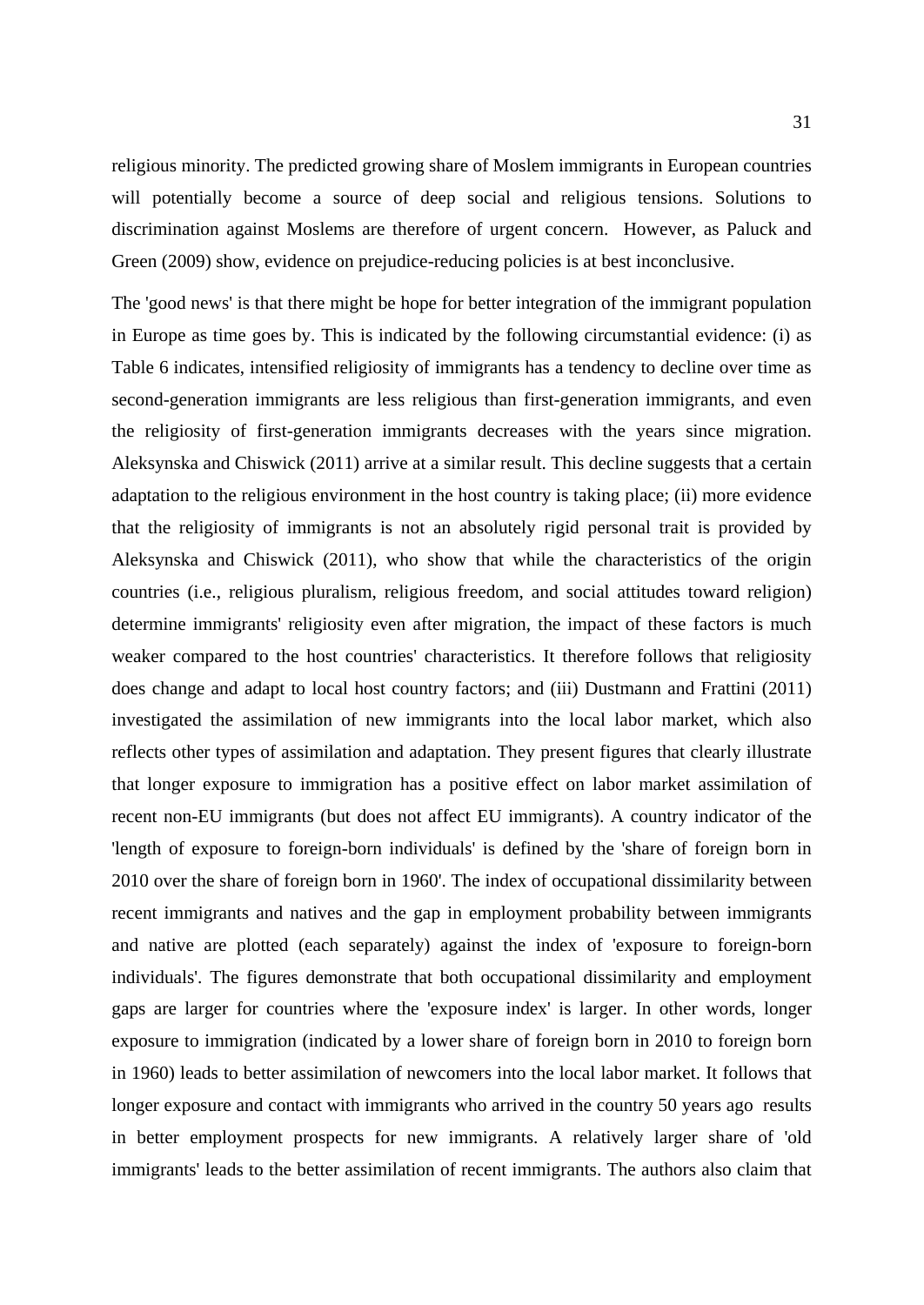religious minority. The predicted growing share of Moslem immigrants in European countries will potentially become a source of deep social and religious tensions. Solutions to discrimination against Moslems are therefore of urgent concern. However, as Paluck and Green (2009) show, evidence on prejudice-reducing policies is at best inconclusive.

The 'good news' is that there might be hope for better integration of the immigrant population in Europe as time goes by. This is indicated by the following circumstantial evidence: (i) as Table 6 indicates, intensified religiosity of immigrants has a tendency to decline over time as second-generation immigrants are less religious than first-generation immigrants, and even the religiosity of first-generation immigrants decreases with the years since migration. Aleksynska and Chiswick (2011) arrive at a similar result. This decline suggests that a certain adaptation to the religious environment in the host country is taking place; (ii) more evidence that the religiosity of immigrants is not an absolutely rigid personal trait is provided by Aleksynska and Chiswick (2011), who show that while the characteristics of the origin countries (i.e., religious pluralism, religious freedom, and social attitudes toward religion) determine immigrants' religiosity even after migration, the impact of these factors is much weaker compared to the host countries' characteristics. It therefore follows that religiosity does change and adapt to local host country factors; and (iii) Dustmann and Frattini (2011) investigated the assimilation of new immigrants into the local labor market, which also reflects other types of assimilation and adaptation. They present figures that clearly illustrate that longer exposure to immigration has a positive effect on labor market assimilation of recent non-EU immigrants (but does not affect EU immigrants). A country indicator of the 'length of exposure to foreign-born individuals' is defined by the 'share of foreign born in 2010 over the share of foreign born in 1960'. The index of occupational dissimilarity between recent immigrants and natives and the gap in employment probability between immigrants and native are plotted (each separately) against the index of 'exposure to foreign-born individuals'. The figures demonstrate that both occupational dissimilarity and employment gaps are larger for countries where the 'exposure index' is larger. In other words, longer exposure to immigration (indicated by a lower share of foreign born in 2010 to foreign born in 1960) leads to better assimilation of newcomers into the local labor market. It follows that longer exposure and contact with immigrants who arrived in the country 50 years ago results in better employment prospects for new immigrants. A relatively larger share of 'old immigrants' leads to the better assimilation of recent immigrants. The authors also claim that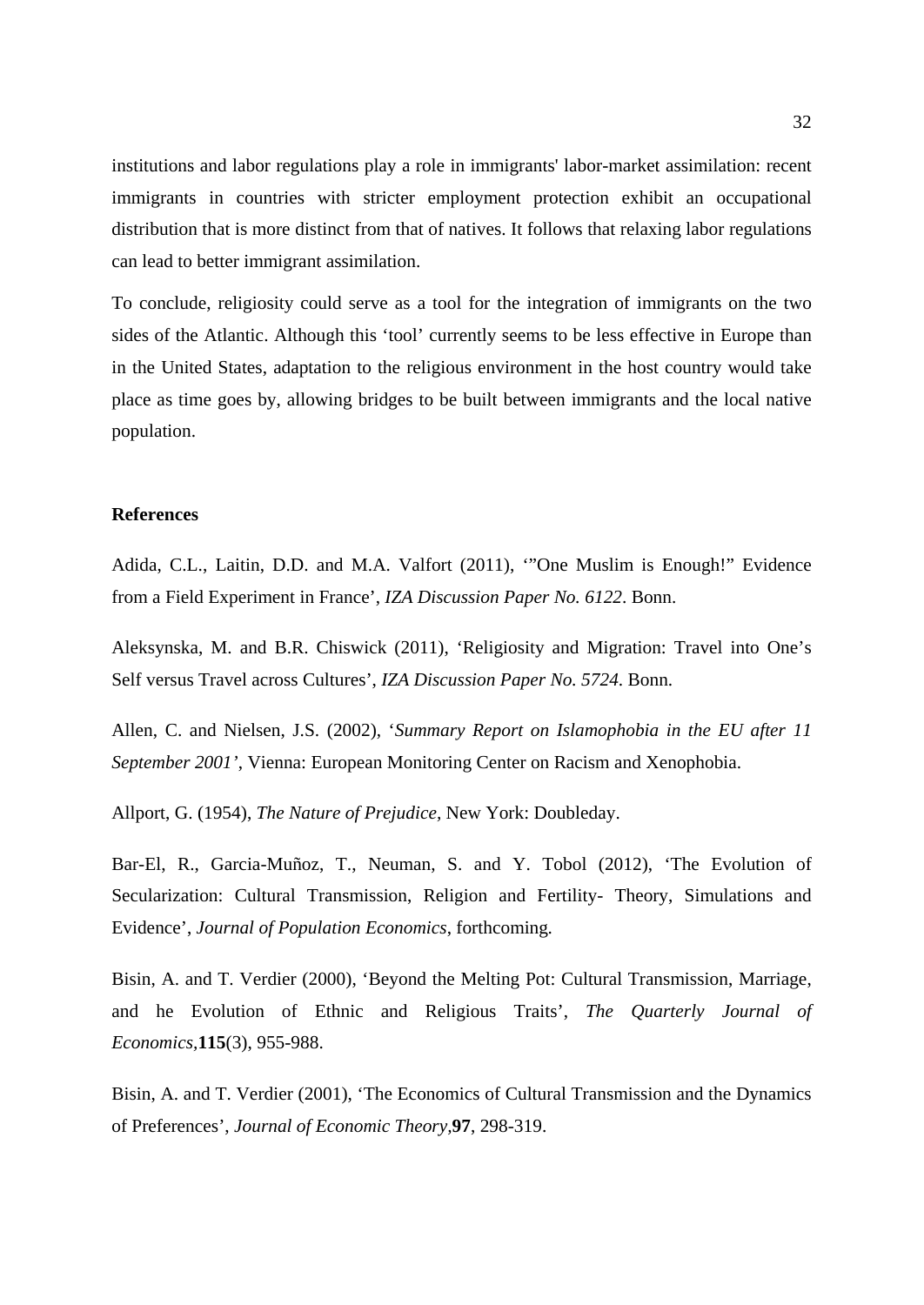institutions and labor regulations play a role in immigrants' labor-market assimilation: recent immigrants in countries with stricter employment protection exhibit an occupational distribution that is more distinct from that of natives. It follows that relaxing labor regulations can lead to better immigrant assimilation.

To conclude, religiosity could serve as a tool for the integration of immigrants on the two sides of the Atlantic. Although this 'tool' currently seems to be less effective in Europe than in the United States, adaptation to the religious environment in the host country would take place as time goes by, allowing bridges to be built between immigrants and the local native population.

#### **References**

Adida, C.L., Laitin, D.D. and M.A. Valfort (2011), '"One Muslim is Enough!" Evidence from a Field Experiment in France', *IZA Discussion Paper No. 6122*. Bonn.

Aleksynska, M. and B.R. Chiswick (2011), 'Religiosity and Migration: Travel into One's Self versus Travel across Cultures', *IZA Discussion Paper No. 5724*. Bonn.

Allen, C. and Nielsen, J.S. (2002), '*Summary Report on Islamophobia in the EU after 11 September 2001'*, Vienna: European Monitoring Center on Racism and Xenophobia.

Allport, G. (1954), *The Nature of Prejudice,* New York: Doubleday.

Bar-El, R., Garcia-Muñoz, T., Neuman, S. and Y. Tobol (2012), 'The Evolution of Secularization: Cultural Transmission, Religion and Fertility- Theory, Simulations and Evidence', *Journal of Population Economics*, forthcoming*.*

Bisin, A. and T. Verdier (2000), 'Beyond the Melting Pot: Cultural Transmission, Marriage, and he Evolution of Ethnic and Religious Traits', *The Quarterly Journal of Economics,***115**(3), 955-988.

Bisin, A. and T. Verdier (2001), 'The Economics of Cultural Transmission and the Dynamics of Preferences', *Journal of Economic Theory,***97**, 298-319.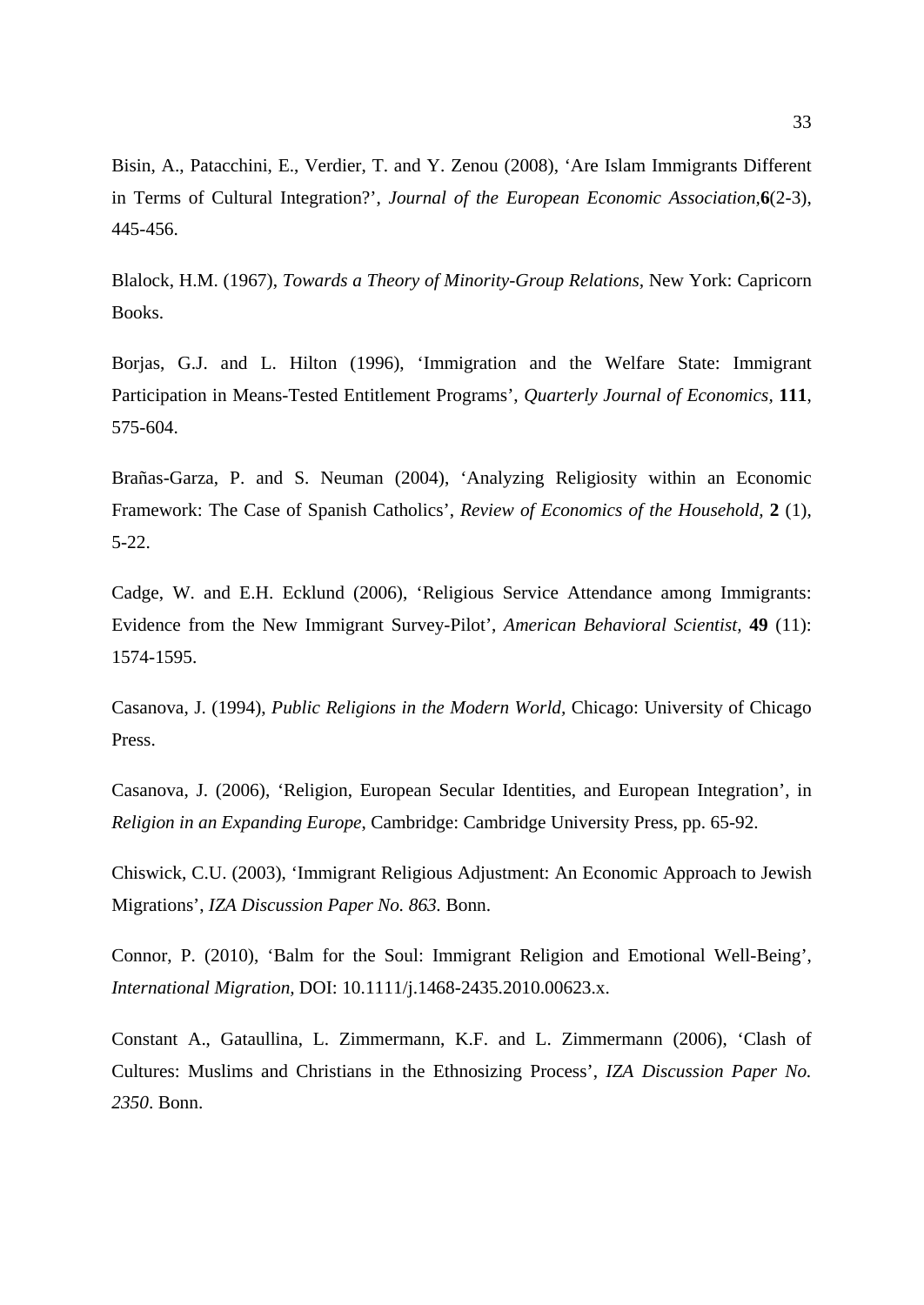Bisin, A., Patacchini, E., Verdier, T. and Y. Zenou (2008), 'Are Islam Immigrants Different in Terms of Cultural Integration?', *Journal of the European Economic Association,***6**(2-3), 445-456.

Blalock, H.M. (1967), *Towards a Theory of Minority-Group Relations,* New York: Capricorn Books.

Borjas, G.J. and L. Hilton (1996), 'Immigration and the Welfare State: Immigrant Participation in Means-Tested Entitlement Programs', *Quarterly Journal of Economics,* **111**, 575-604.

Brañas-Garza, P. and S. Neuman (2004), 'Analyzing Religiosity within an Economic Framework: The Case of Spanish Catholics', *Review of Economics of the Household,* **2** (1), 5-22.

Cadge, W. and E.H. Ecklund (2006), 'Religious Service Attendance among Immigrants: Evidence from the New Immigrant Survey-Pilot', *American Behavioral Scientist,* **49** (11): 1574-1595.

Casanova, J. (1994), *Public Religions in the Modern World,* Chicago: University of Chicago Press.

Casanova, J. (2006), 'Religion, European Secular Identities, and European Integration', in *Religion in an Expanding Europe*, Cambridge: Cambridge University Press, pp. 65-92.

Chiswick, C.U. (2003), 'Immigrant Religious Adjustment: An Economic Approach to Jewish Migrations', *IZA Discussion Paper No. 863.* Bonn.

Connor, P. (2010), 'Balm for the Soul: Immigrant Religion and Emotional Well-Being', *International Migration,* DOI: 10.1111/j.1468-2435.2010.00623.x.

Constant A., Gataullina, L. Zimmermann, K.F. and L. Zimmermann (2006), 'Clash of Cultures: Muslims and Christians in the Ethnosizing Process', *IZA Discussion Paper No. 2350*. Bonn.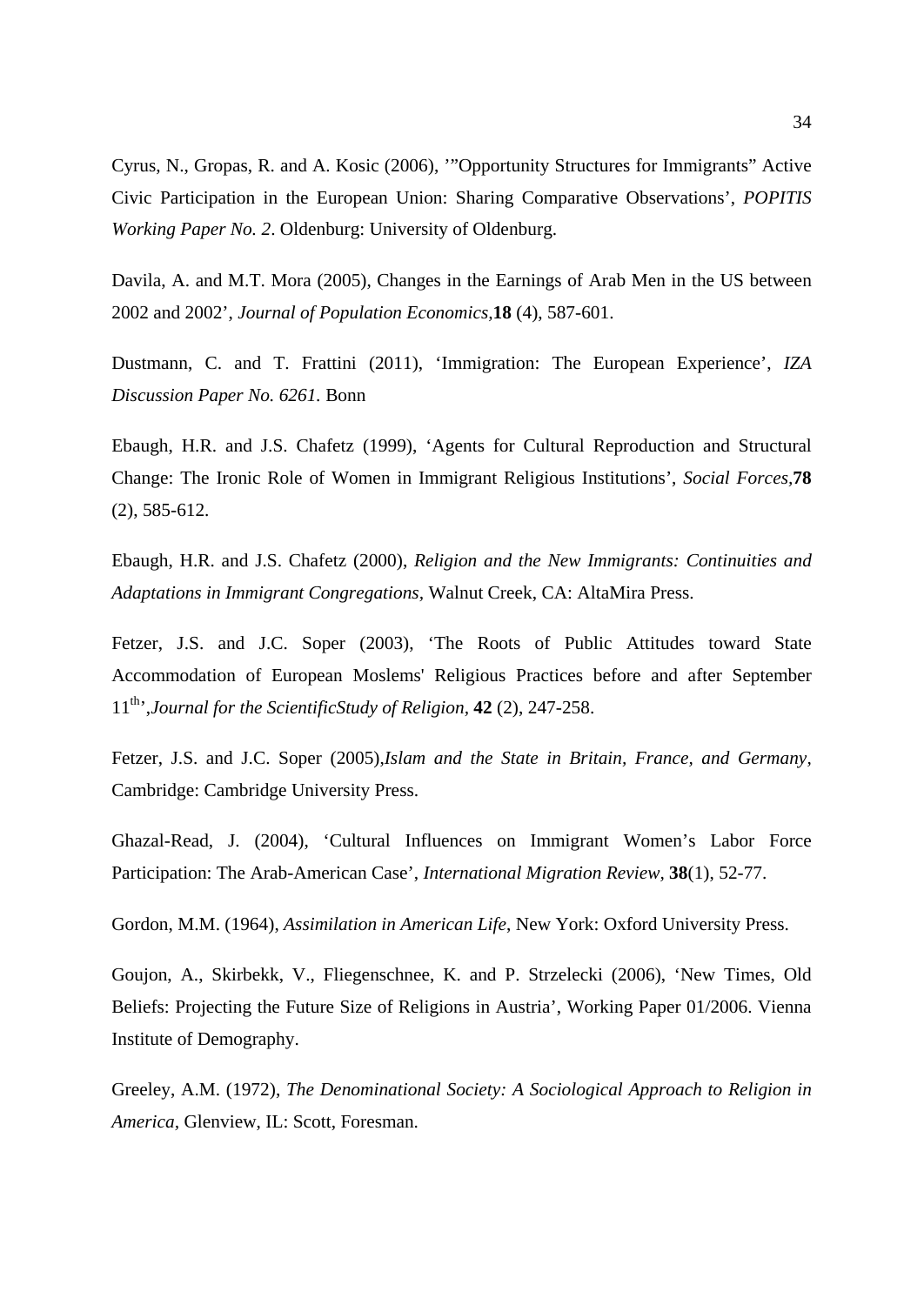Cyrus, N., Gropas, R. and A. Kosic (2006), '"Opportunity Structures for Immigrants" Active Civic Participation in the European Union: Sharing Comparative Observations', *POPITIS Working Paper No. 2*. Oldenburg: University of Oldenburg.

Davila, A. and M.T. Mora (2005), Changes in the Earnings of Arab Men in the US between 2002 and 2002', *Journal of Population Economics,***18** (4), 587-601.

Dustmann, C. and T. Frattini (2011), 'Immigration: The European Experience', *IZA Discussion Paper No. 6261.* Bonn

Ebaugh, H.R. and J.S. Chafetz (1999), 'Agents for Cultural Reproduction and Structural Change: The Ironic Role of Women in Immigrant Religious Institutions', *Social Forces,***78** (2), 585-612.

Ebaugh, H.R. and J.S. Chafetz (2000), *Religion and the New Immigrants: Continuities and Adaptations in Immigrant Congregations,* Walnut Creek, CA: AltaMira Press.

Fetzer, J.S. and J.C. Soper (2003), 'The Roots of Public Attitudes toward State Accommodation of European Moslems' Religious Practices before and after September 11th',*Journal for the ScientificStudy of Religion,* **42** (2), 247-258.

Fetzer, J.S. and J.C. Soper (2005),*Islam and the State in Britain, France, and Germany,*  Cambridge: Cambridge University Press.

Ghazal-Read, J. (2004), 'Cultural Influences on Immigrant Women's Labor Force Participation: The Arab-American Case', *International Migration Review,* **38**(1), 52-77.

Gordon, M.M. (1964), *Assimilation in American Life*, New York: Oxford University Press.

Goujon, A., Skirbekk, V., Fliegenschnee, K. and P. Strzelecki (2006), 'New Times, Old Beliefs: Projecting the Future Size of Religions in Austria', Working Paper 01/2006. Vienna Institute of Demography.

Greeley, A.M. (1972), *The Denominational Society: A Sociological Approach to Religion in America,* Glenview, IL: Scott, Foresman.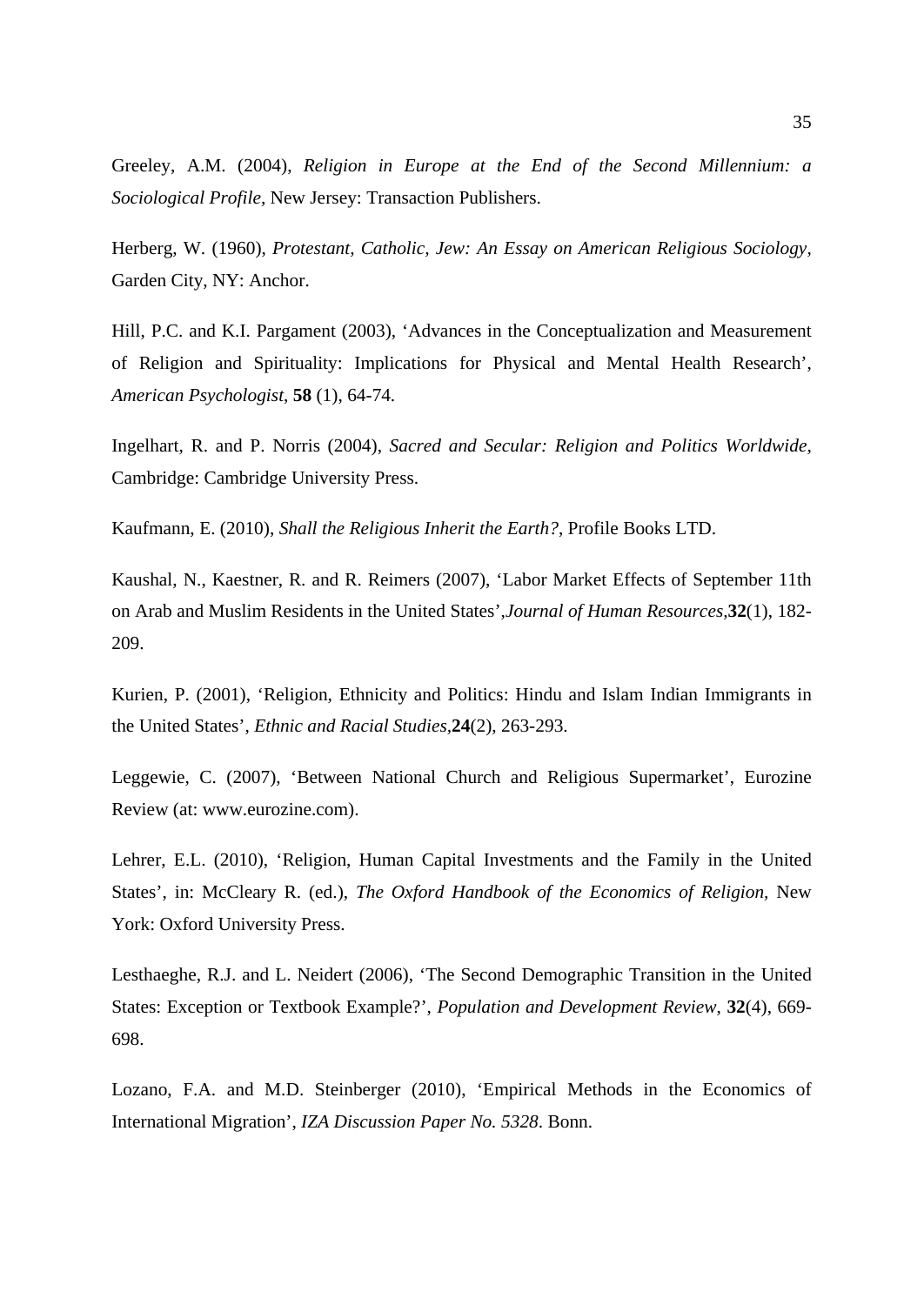Greeley, A.M. (2004), *Religion in Europe at the End of the Second Millennium: a Sociological Profile,* New Jersey: Transaction Publishers.

Herberg, W. (1960), *Protestant, Catholic, Jew: An Essay on American Religious Sociology,* Garden City, NY: Anchor.

Hill, P.C. and K.I. Pargament (2003), 'Advances in the Conceptualization and Measurement of Religion and Spirituality: Implications for Physical and Mental Health Research', *American Psychologist*, **58** (1), 64-74.

Ingelhart, R. and P. Norris (2004), *Sacred and Secular: Religion and Politics Worldwide,* Cambridge: Cambridge University Press.

Kaufmann, E. (2010), *Shall the Religious Inherit the Earth?*, Profile Books LTD.

Kaushal, N., Kaestner, R. and R. Reimers (2007), 'Labor Market Effects of September 11th on Arab and Muslim Residents in the United States',*Journal of Human Resources,***32**(1), 182- 209.

Kurien, P. (2001), 'Religion, Ethnicity and Politics: Hindu and Islam Indian Immigrants in the United States', *Ethnic and Racial Studies,***24**(2), 263-293.

Leggewie, C. (2007), 'Between National Church and Religious Supermarket', Eurozine Review (at: www.eurozine.com).

Lehrer, E.L. (2010), 'Religion, Human Capital Investments and the Family in the United States', in: McCleary R. (ed.), *The Oxford Handbook of the Economics of Religion,* New York: Oxford University Press.

Lesthaeghe, R.J. and L. Neidert (2006), 'The Second Demographic Transition in the United States: Exception or Textbook Example?', *Population and Development Review*, **32**(4), 669- 698.

Lozano, F.A. and M.D. Steinberger (2010), 'Empirical Methods in the Economics of International Migration', *IZA Discussion Paper No. 5328*. Bonn.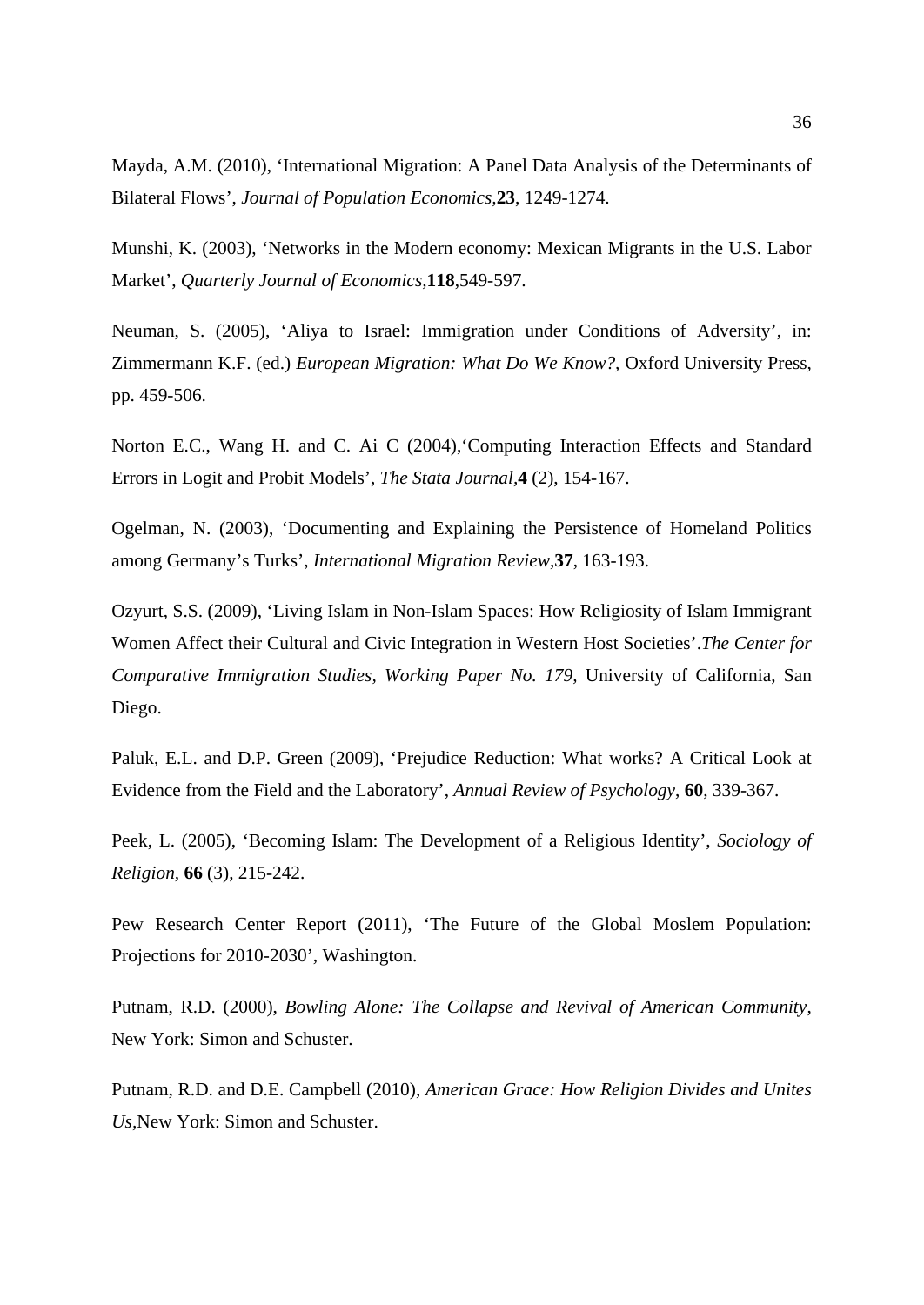Mayda, A.M. (2010), 'International Migration: A Panel Data Analysis of the Determinants of Bilateral Flows', *Journal of Population Economics,***23**, 1249-1274.

Munshi, K. (2003), 'Networks in the Modern economy: Mexican Migrants in the U.S. Labor Market', *Quarterly Journal of Economics,***118**,549-597.

Neuman, S. (2005), 'Aliya to Israel: Immigration under Conditions of Adversity', in: Zimmermann K.F. (ed.) *European Migration: What Do We Know?,* Oxford University Press, pp. 459-506.

Norton E.C., Wang H. and C. Ai C (2004), Computing Interaction Effects and Standard Errors in Logit and Probit Models', *The Stata Journal,***4** (2), 154-167.

Ogelman, N. (2003), 'Documenting and Explaining the Persistence of Homeland Politics among Germany's Turks', *International Migration Review,***37**, 163-193.

Ozyurt, S.S. (2009), 'Living Islam in Non-Islam Spaces: How Religiosity of Islam Immigrant Women Affect their Cultural and Civic Integration in Western Host Societies'.*The Center for Comparative Immigration Studies, Working Paper No. 179,* University of California, San Diego.

Paluk, E.L. and D.P. Green (2009), 'Prejudice Reduction: What works? A Critical Look at Evidence from the Field and the Laboratory', *Annual Review of Psychology*, **60**, 339-367.

Peek, L. (2005), 'Becoming Islam: The Development of a Religious Identity', *Sociology of Religion,* **66** (3), 215-242.

Pew Research Center Report (2011), 'The Future of the Global Moslem Population: Projections for 2010-2030', Washington.

Putnam, R.D. (2000), *Bowling Alone: The Collapse and Revival of American Community*, New York: Simon and Schuster.

Putnam, R.D. and D.E. Campbell (2010), *American Grace: How Religion Divides and Unites Us,*New York: Simon and Schuster.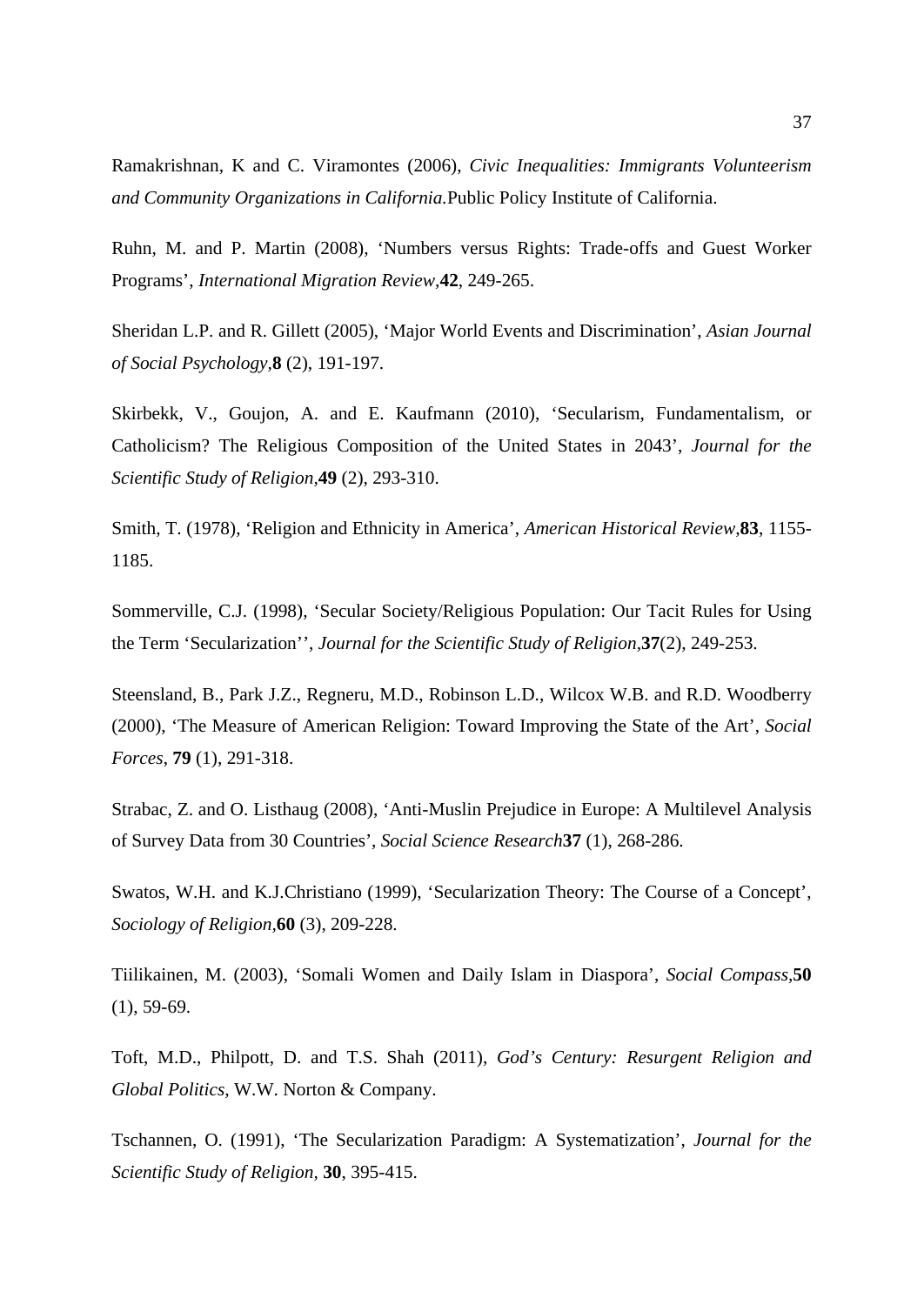Ramakrishnan, K and C. Viramontes (2006), *Civic Inequalities: Immigrants Volunteerism and Community Organizations in California.*Public Policy Institute of California.

Ruhn, M. and P. Martin (2008), 'Numbers versus Rights: Trade-offs and Guest Worker Programs', *International Migration Review,***42**, 249-265.

Sheridan L.P. and R. Gillett (2005), 'Major World Events and Discrimination', *Asian Journal of Social Psychology,***8** (2), 191-197.

Skirbekk, V., Goujon, A. and E. Kaufmann (2010), 'Secularism, Fundamentalism, or Catholicism? The Religious Composition of the United States in 2043', *Journal for the Scientific Study of Religion,***49** (2), 293-310.

Smith, T. (1978), 'Religion and Ethnicity in America', *American Historical Review,***83**, 1155- 1185.

Sommerville, C.J. (1998), 'Secular Society/Religious Population: Our Tacit Rules for Using the Term 'Secularization'', *Journal for the Scientific Study of Religion,***37**(2), 249-253.

Steensland, B., Park J.Z., Regneru, M.D., Robinson L.D., Wilcox W.B. and R.D. Woodberry (2000), 'The Measure of American Religion: Toward Improving the State of the Art', *Social Forces*, **79** (1), 291-318.

Strabac, Z. and O. Listhaug (2008), 'Anti-Muslin Prejudice in Europe: A Multilevel Analysis of Survey Data from 30 Countries', *Social Science Research***37** (1), 268-286.

Swatos, W.H. and K.J.Christiano (1999), 'Secularization Theory: The Course of a Concept', *Sociology of Religion,***60** (3), 209-228.

Tiilikainen, M. (2003), 'Somali Women and Daily Islam in Diaspora', *Social Compass,***50** (1), 59-69.

Toft, M.D., Philpott, D. and T.S. Shah (2011), *God's Century: Resurgent Religion and Global Politics,* W.W. Norton & Company.

Tschannen, O. (1991), 'The Secularization Paradigm: A Systematization', *Journal for the Scientific Study of Religion,* **30**, 395-415.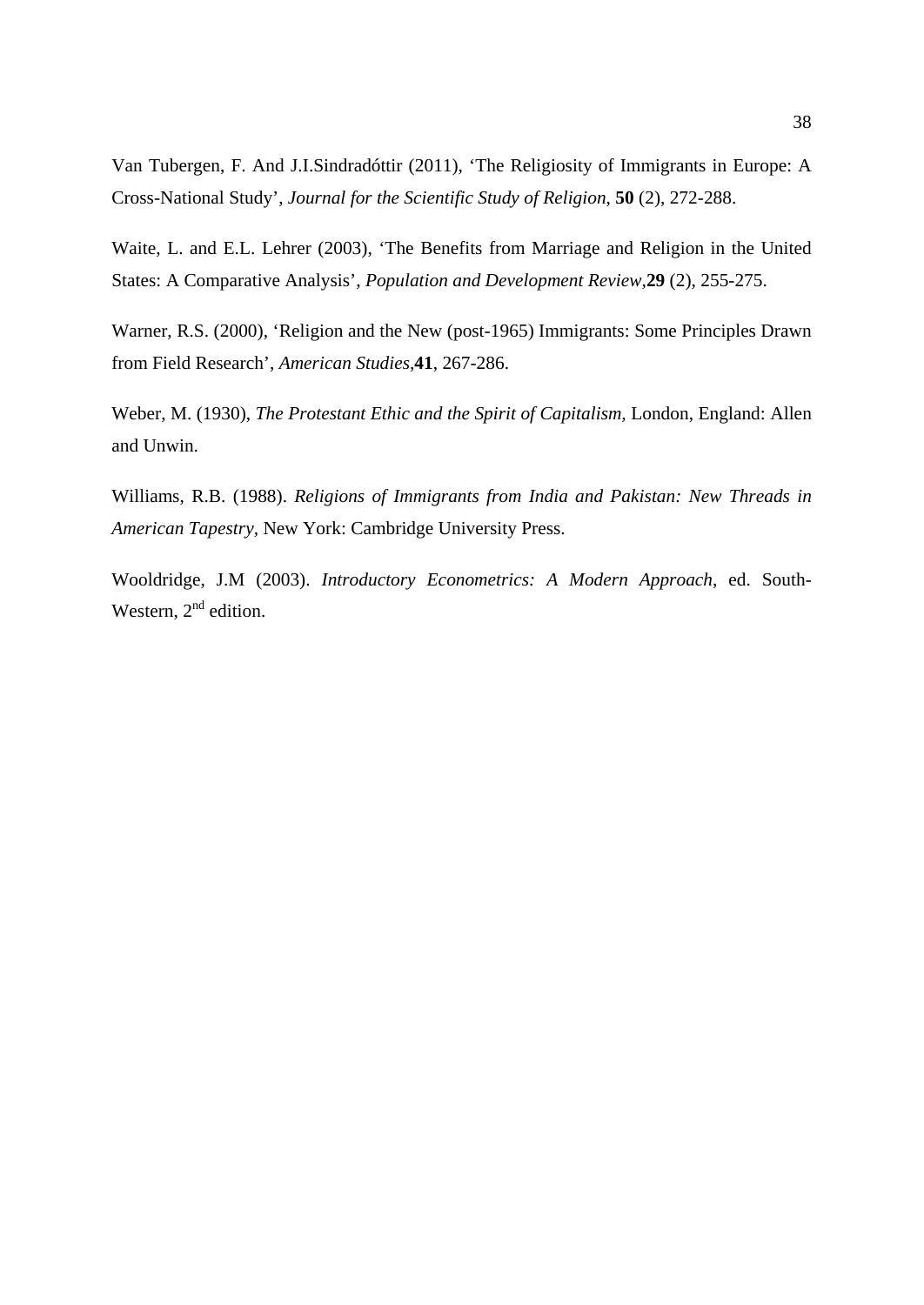Van Tubergen, F. And J.I.Sindradóttir (2011), 'The Religiosity of Immigrants in Europe: A Cross-National Study', *Journal for the Scientific Study of Religion*, **50** (2), 272-288.

Waite, L. and E.L. Lehrer (2003), 'The Benefits from Marriage and Religion in the United States: A Comparative Analysis', *Population and Development Review,***29** (2), 255-275.

Warner, R.S. (2000), 'Religion and the New (post-1965) Immigrants: Some Principles Drawn from Field Research', *American Studies,***41**, 267-286.

Weber, M. (1930), *The Protestant Ethic and the Spirit of Capitalism,* London, England: Allen and Unwin.

Williams, R.B. (1988). *Religions of Immigrants from India and Pakistan: New Threads in American Tapestry,* New York: Cambridge University Press.

Wooldridge, J.M (2003). *Introductory Econometrics: A Modern Approach*, ed. South-Western,  $2<sup>nd</sup>$  edition.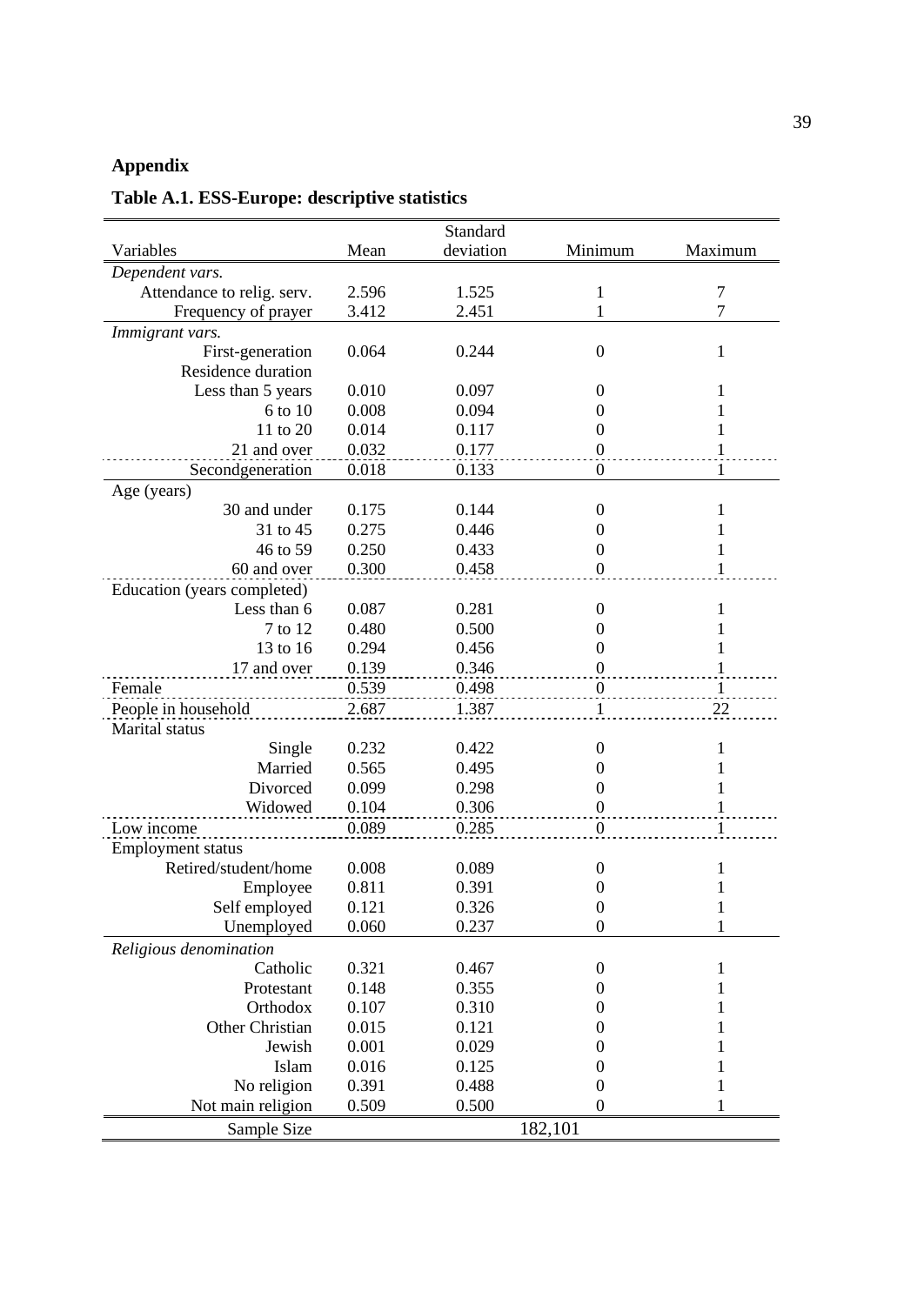#### **Appendix**

Variables Mean Standard deviation Minimum Maximum *Dependent vars.* Attendance to relig. serv. 2.596 1.525 1 7<br>Frequency of prayer 3.412 2.451 1 7 Frequency of prayer  $3.412$  2.451 1 *Immigrant vars.* First-generation 0.064 0.244 0 1 Residence duration Less than 5 years 0.010 0.097 0 1<br>6 to 10 0.008 0.094 0 1 6 to 10 0.008 0.094 0 1 11 to 20 0.014 0.117 0 1 21 and over 0.032 0.177 0 1 Secondgeneration 0.018 0.133 0 1 Age (years) 30 and under 31 to 45 0.175 0.275 0.144 0.446 0 0 1 1 46 to 59 0.250 0.433 0 1 60 and over 0.300 0.458 0 1 Education (years completed) Less than 6 7 to 12 0.087 0.480 0.281 0.500  $\Omega$ 0 1 1 13 to 16 0.294 0.456 0 1 17 and over 0.139 0.346 0.539 0.498 0 Female 0.539 0.498 0 1 People in household 2.687 1.387 Marital status Single Married 0.232 0.565 0.422 0.495 0  $\begin{matrix}0\\0\end{matrix}$ 1 1 Divorced 0.099 0.298 0 1<br>Widowed 0.104 0.306 0 1 Widowed 0.104 Low income  $0.089$   $0.285$  0 Employment status Retired/student/home Employee 0.008  $0.811$ <br> $0.121$ 0.089 0.391<br>0.326 0  $\begin{matrix} 0 \\ 0 \end{matrix}$ 1  $\frac{1}{1}$ Self employed 0.121 0.326 0<br>Unemployed 0.060 0.237 0 Unemployed 0.060 0.237 0 1 *Religious denomination* Catholic 0.321 0.467 0 1 Protestant 0.148 0.355 0 1 Orthodox 0.107 0.310 0 1 Other Christian 0.015 0.121 0 1 Jewish 0.001 0.029 0 1 Islam 0.016 0.125 0 1 No religion 0.391 0.488 0 1 Not main religion 0.509 0.500 0 1 Sample Size 182,101

### **Table A.1. ESS-Europe: descriptive statistics**